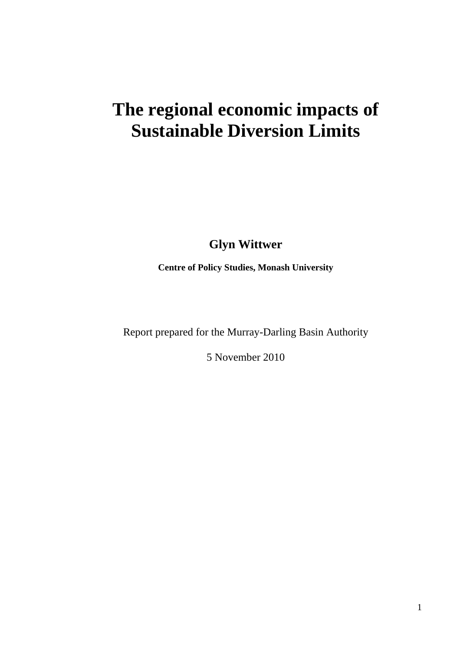# **The regional economic impacts of Sustainable Diversion Limits**

**Glyn Wittwer** 

**Centre of Policy Studies, Monash University** 

Report prepared for the Murray-Darling Basin Authority

5 November 2010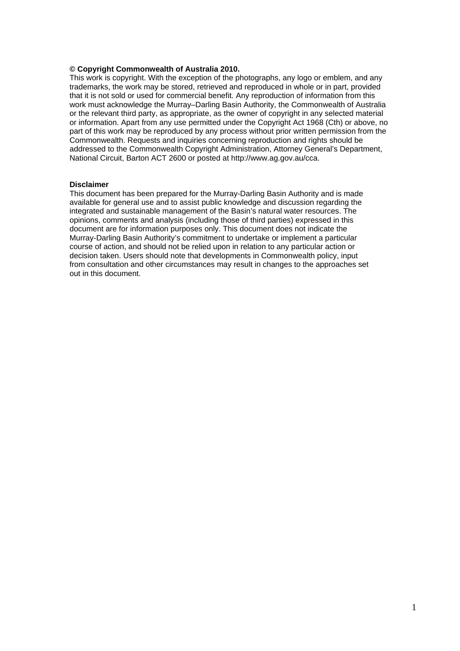#### **© Copyright Commonwealth of Australia 2010.**

This work is copyright. With the exception of the photographs, any logo or emblem, and any trademarks, the work may be stored, retrieved and reproduced in whole or in part, provided that it is not sold or used for commercial benefit. Any reproduction of information from this work must acknowledge the Murray–Darling Basin Authority, the Commonwealth of Australia or the relevant third party, as appropriate, as the owner of copyright in any selected material or information. Apart from any use permitted under the Copyright Act 1968 (Cth) or above, no part of this work may be reproduced by any process without prior written permission from the Commonwealth. Requests and inquiries concerning reproduction and rights should be addressed to the Commonwealth Copyright Administration, Attorney General's Department, National Circuit, Barton ACT 2600 or posted at http://www.ag.gov.au/cca.

#### **Disclaimer**

This document has been prepared for the Murray-Darling Basin Authority and is made available for general use and to assist public knowledge and discussion regarding the integrated and sustainable management of the Basin's natural water resources. The opinions, comments and analysis (including those of third parties) expressed in this document are for information purposes only. This document does not indicate the Murray-Darling Basin Authority's commitment to undertake or implement a particular course of action, and should not be relied upon in relation to any particular action or decision taken. Users should note that developments in Commonwealth policy, input from consultation and other circumstances may result in changes to the approaches set out in this document.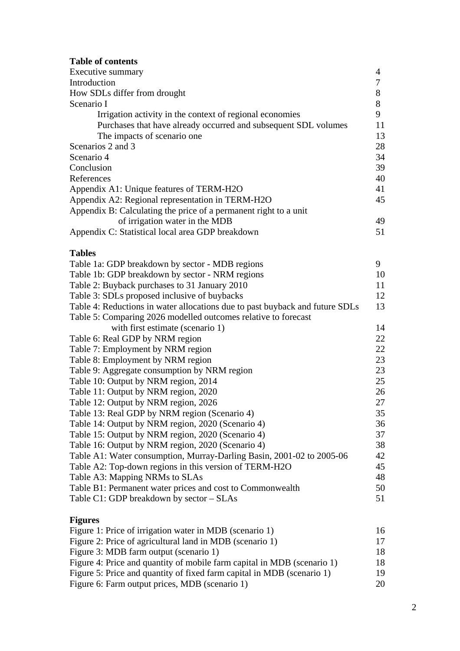### **Table of contents**

| Executive summary                                                |    |
|------------------------------------------------------------------|----|
| Introduction                                                     |    |
| How SDLs differ from drought                                     | 8  |
| Scenario I                                                       | 8  |
| Irrigation activity in the context of regional economies         | 9  |
| Purchases that have already occurred and subsequent SDL volumes  | 11 |
| The impacts of scenario one                                      | 13 |
| Scenarios 2 and 3                                                | 28 |
| Scenario 4                                                       | 34 |
| Conclusion                                                       | 39 |
| References                                                       | 40 |
| Appendix A1: Unique features of TERM-H2O                         | 41 |
| Appendix A2: Regional representation in TERM-H2O                 | 45 |
| Appendix B: Calculating the price of a permanent right to a unit |    |
| of irrigation water in the MDB                                   | 49 |
| Appendix C: Statistical local area GDP breakdown                 | 51 |

### **Tables**

| Table 1a: GDP breakdown by sector - MDB regions                              | 9  |
|------------------------------------------------------------------------------|----|
| Table 1b: GDP breakdown by sector - NRM regions                              | 10 |
| Table 2: Buyback purchases to 31 January 2010                                | 11 |
| Table 3: SDLs proposed inclusive of buybacks                                 | 12 |
| Table 4: Reductions in water allocations due to past buyback and future SDLs | 13 |
| Table 5: Comparing 2026 modelled outcomes relative to forecast               |    |
| with first estimate (scenario 1)                                             | 14 |
| Table 6: Real GDP by NRM region                                              | 22 |
| Table 7: Employment by NRM region                                            | 22 |
| Table 8: Employment by NRM region                                            | 23 |
| Table 9: Aggregate consumption by NRM region                                 | 23 |
| Table 10: Output by NRM region, 2014                                         | 25 |
| Table 11: Output by NRM region, 2020                                         | 26 |
| Table 12: Output by NRM region, 2026                                         | 27 |
| Table 13: Real GDP by NRM region (Scenario 4)                                | 35 |
| Table 14: Output by NRM region, 2020 (Scenario 4)                            | 36 |
| Table 15: Output by NRM region, 2020 (Scenario 4)                            | 37 |
| Table 16: Output by NRM region, 2020 (Scenario 4)                            | 38 |
| Table A1: Water consumption, Murray-Darling Basin, 2001-02 to 2005-06        | 42 |
| Table A2: Top-down regions in this version of TERM-H2O                       | 45 |
| Table A3: Mapping NRMs to SLAs                                               | 48 |
| Table B1: Permanent water prices and cost to Commonwealth                    | 50 |
| Table C1: GDP breakdown by sector - SLAs                                     | 51 |
|                                                                              |    |

### **Figures**

| Figure 1: Price of irrigation water in MDB (scenario 1)                 | 16 |
|-------------------------------------------------------------------------|----|
| Figure 2: Price of agricultural land in MDB (scenario 1)                | 17 |
| Figure 3: MDB farm output (scenario 1)                                  | 18 |
| Figure 4: Price and quantity of mobile farm capital in MDB (scenario 1) | 18 |
| Figure 5: Price and quantity of fixed farm capital in MDB (scenario 1)  | 19 |
| Figure 6: Farm output prices, MDB (scenario 1)                          | 20 |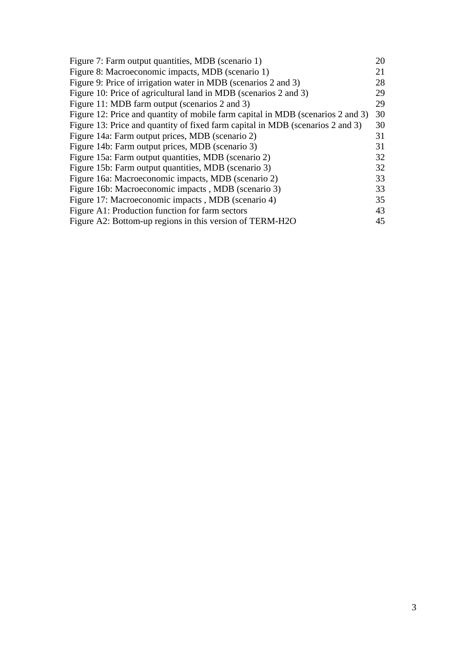| Figure 7: Farm output quantities, MDB (scenario 1)                              | 20 |
|---------------------------------------------------------------------------------|----|
| Figure 8: Macroeconomic impacts, MDB (scenario 1)                               | 21 |
| Figure 9: Price of irrigation water in MDB (scenarios 2 and 3)                  | 28 |
| Figure 10: Price of agricultural land in MDB (scenarios 2 and 3)                | 29 |
| Figure 11: MDB farm output (scenarios 2 and 3)                                  | 29 |
| Figure 12: Price and quantity of mobile farm capital in MDB (scenarios 2 and 3) | 30 |
| Figure 13: Price and quantity of fixed farm capital in MDB (scenarios 2 and 3)  | 30 |
| Figure 14a: Farm output prices, MDB (scenario 2)                                | 31 |
| Figure 14b: Farm output prices, MDB (scenario 3)                                | 31 |
| Figure 15a: Farm output quantities, MDB (scenario 2)                            | 32 |
| Figure 15b: Farm output quantities, MDB (scenario 3)                            | 32 |
| Figure 16a: Macroeconomic impacts, MDB (scenario 2)                             | 33 |
| Figure 16b: Macroeconomic impacts, MDB (scenario 3)                             | 33 |
| Figure 17: Macroeconomic impacts, MDB (scenario 4)                              | 35 |
| Figure A1: Production function for farm sectors                                 | 43 |
| Figure A2: Bottom-up regions in this version of TERM-H2O                        | 45 |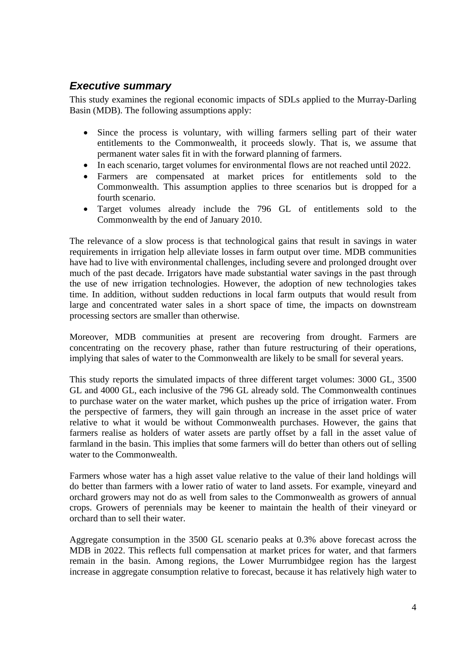### *Executive summary*

This study examines the regional economic impacts of SDLs applied to the Murray-Darling Basin (MDB). The following assumptions apply:

- Since the process is voluntary, with willing farmers selling part of their water entitlements to the Commonwealth, it proceeds slowly. That is, we assume that permanent water sales fit in with the forward planning of farmers.
- In each scenario, target volumes for environmental flows are not reached until 2022.
- Farmers are compensated at market prices for entitlements sold to the Commonwealth. This assumption applies to three scenarios but is dropped for a fourth scenario.
- Target volumes already include the 796 GL of entitlements sold to the Commonwealth by the end of January 2010.

The relevance of a slow process is that technological gains that result in savings in water requirements in irrigation help alleviate losses in farm output over time. MDB communities have had to live with environmental challenges, including severe and prolonged drought over much of the past decade. Irrigators have made substantial water savings in the past through the use of new irrigation technologies. However, the adoption of new technologies takes time. In addition, without sudden reductions in local farm outputs that would result from large and concentrated water sales in a short space of time, the impacts on downstream processing sectors are smaller than otherwise.

Moreover, MDB communities at present are recovering from drought. Farmers are concentrating on the recovery phase, rather than future restructuring of their operations, implying that sales of water to the Commonwealth are likely to be small for several years.

This study reports the simulated impacts of three different target volumes: 3000 GL, 3500 GL and 4000 GL, each inclusive of the 796 GL already sold. The Commonwealth continues to purchase water on the water market, which pushes up the price of irrigation water. From the perspective of farmers, they will gain through an increase in the asset price of water relative to what it would be without Commonwealth purchases. However, the gains that farmers realise as holders of water assets are partly offset by a fall in the asset value of farmland in the basin. This implies that some farmers will do better than others out of selling water to the Commonwealth.

Farmers whose water has a high asset value relative to the value of their land holdings will do better than farmers with a lower ratio of water to land assets. For example, vineyard and orchard growers may not do as well from sales to the Commonwealth as growers of annual crops. Growers of perennials may be keener to maintain the health of their vineyard or orchard than to sell their water.

Aggregate consumption in the 3500 GL scenario peaks at 0.3% above forecast across the MDB in 2022. This reflects full compensation at market prices for water, and that farmers remain in the basin. Among regions, the Lower Murrumbidgee region has the largest increase in aggregate consumption relative to forecast, because it has relatively high water to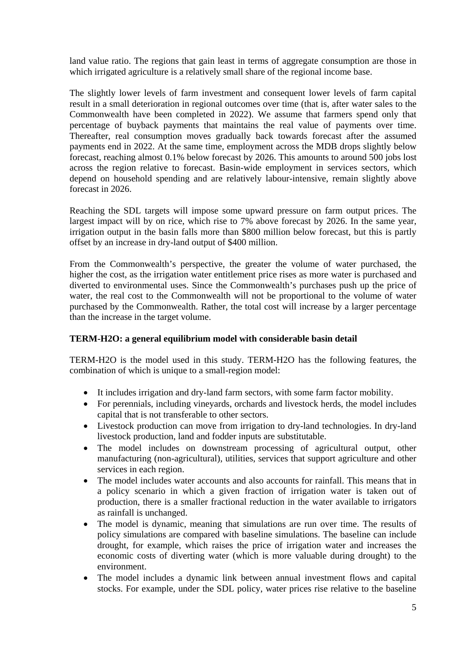land value ratio. The regions that gain least in terms of aggregate consumption are those in which irrigated agriculture is a relatively small share of the regional income base.

The slightly lower levels of farm investment and consequent lower levels of farm capital result in a small deterioration in regional outcomes over time (that is, after water sales to the Commonwealth have been completed in 2022). We assume that farmers spend only that percentage of buyback payments that maintains the real value of payments over time. Thereafter, real consumption moves gradually back towards forecast after the assumed payments end in 2022. At the same time, employment across the MDB drops slightly below forecast, reaching almost 0.1% below forecast by 2026. This amounts to around 500 jobs lost across the region relative to forecast. Basin-wide employment in services sectors, which depend on household spending and are relatively labour-intensive, remain slightly above forecast in 2026.

Reaching the SDL targets will impose some upward pressure on farm output prices. The largest impact will by on rice, which rise to 7% above forecast by 2026. In the same year, irrigation output in the basin falls more than \$800 million below forecast, but this is partly offset by an increase in dry-land output of \$400 million.

From the Commonwealth's perspective, the greater the volume of water purchased, the higher the cost, as the irrigation water entitlement price rises as more water is purchased and diverted to environmental uses. Since the Commonwealth's purchases push up the price of water, the real cost to the Commonwealth will not be proportional to the volume of water purchased by the Commonwealth. Rather, the total cost will increase by a larger percentage than the increase in the target volume.

#### **TERM-H2O: a general equilibrium model with considerable basin detail**

TERM-H2O is the model used in this study. TERM-H2O has the following features, the combination of which is unique to a small-region model:

- It includes irrigation and dry-land farm sectors, with some farm factor mobility.
- For perennials, including vineyards, orchards and livestock herds, the model includes capital that is not transferable to other sectors.
- Livestock production can move from irrigation to dry-land technologies. In dry-land livestock production, land and fodder inputs are substitutable.
- The model includes on downstream processing of agricultural output, other manufacturing (non-agricultural), utilities, services that support agriculture and other services in each region.
- The model includes water accounts and also accounts for rainfall. This means that in a policy scenario in which a given fraction of irrigation water is taken out of production, there is a smaller fractional reduction in the water available to irrigators as rainfall is unchanged.
- The model is dynamic, meaning that simulations are run over time. The results of policy simulations are compared with baseline simulations. The baseline can include drought, for example, which raises the price of irrigation water and increases the economic costs of diverting water (which is more valuable during drought) to the environment.
- The model includes a dynamic link between annual investment flows and capital stocks. For example, under the SDL policy, water prices rise relative to the baseline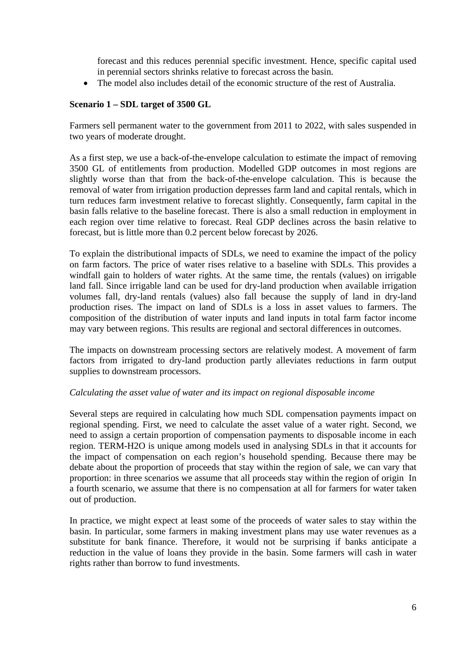forecast and this reduces perennial specific investment. Hence, specific capital used in perennial sectors shrinks relative to forecast across the basin.

The model also includes detail of the economic structure of the rest of Australia.

#### **Scenario 1 – SDL target of 3500 GL**

Farmers sell permanent water to the government from 2011 to 2022, with sales suspended in two years of moderate drought.

As a first step, we use a back-of-the-envelope calculation to estimate the impact of removing 3500 GL of entitlements from production. Modelled GDP outcomes in most regions are slightly worse than that from the back-of-the-envelope calculation. This is because the removal of water from irrigation production depresses farm land and capital rentals, which in turn reduces farm investment relative to forecast slightly. Consequently, farm capital in the basin falls relative to the baseline forecast. There is also a small reduction in employment in each region over time relative to forecast. Real GDP declines across the basin relative to forecast, but is little more than 0.2 percent below forecast by 2026.

To explain the distributional impacts of SDLs, we need to examine the impact of the policy on farm factors. The price of water rises relative to a baseline with SDLs. This provides a windfall gain to holders of water rights. At the same time, the rentals (values) on irrigable land fall. Since irrigable land can be used for dry-land production when available irrigation volumes fall, dry-land rentals (values) also fall because the supply of land in dry-land production rises. The impact on land of SDLs is a loss in asset values to farmers. The composition of the distribution of water inputs and land inputs in total farm factor income may vary between regions. This results are regional and sectoral differences in outcomes.

The impacts on downstream processing sectors are relatively modest. A movement of farm factors from irrigated to dry-land production partly alleviates reductions in farm output supplies to downstream processors.

#### *Calculating the asset value of water and its impact on regional disposable income*

Several steps are required in calculating how much SDL compensation payments impact on regional spending. First, we need to calculate the asset value of a water right. Second, we need to assign a certain proportion of compensation payments to disposable income in each region. TERM-H2O is unique among models used in analysing SDLs in that it accounts for the impact of compensation on each region's household spending. Because there may be debate about the proportion of proceeds that stay within the region of sale, we can vary that proportion: in three scenarios we assume that all proceeds stay within the region of origin In a fourth scenario, we assume that there is no compensation at all for farmers for water taken out of production.

In practice, we might expect at least some of the proceeds of water sales to stay within the basin. In particular, some farmers in making investment plans may use water revenues as a substitute for bank finance. Therefore, it would not be surprising if banks anticipate a reduction in the value of loans they provide in the basin. Some farmers will cash in water rights rather than borrow to fund investments.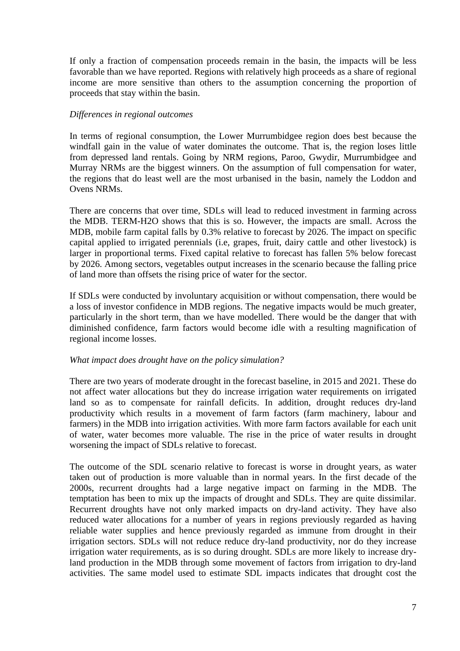If only a fraction of compensation proceeds remain in the basin, the impacts will be less favorable than we have reported. Regions with relatively high proceeds as a share of regional income are more sensitive than others to the assumption concerning the proportion of proceeds that stay within the basin.

#### *Differences in regional outcomes*

In terms of regional consumption, the Lower Murrumbidgee region does best because the windfall gain in the value of water dominates the outcome. That is, the region loses little from depressed land rentals. Going by NRM regions, Paroo, Gwydir, Murrumbidgee and Murray NRMs are the biggest winners. On the assumption of full compensation for water, the regions that do least well are the most urbanised in the basin, namely the Loddon and Ovens NRMs.

There are concerns that over time, SDLs will lead to reduced investment in farming across the MDB. TERM-H2O shows that this is so. However, the impacts are small. Across the MDB, mobile farm capital falls by 0.3% relative to forecast by 2026. The impact on specific capital applied to irrigated perennials (i.e, grapes, fruit, dairy cattle and other livestock) is larger in proportional terms. Fixed capital relative to forecast has fallen 5% below forecast by 2026. Among sectors, vegetables output increases in the scenario because the falling price of land more than offsets the rising price of water for the sector.

If SDLs were conducted by involuntary acquisition or without compensation, there would be a loss of investor confidence in MDB regions. The negative impacts would be much greater, particularly in the short term, than we have modelled. There would be the danger that with diminished confidence, farm factors would become idle with a resulting magnification of regional income losses.

#### *What impact does drought have on the policy simulation?*

There are two years of moderate drought in the forecast baseline, in 2015 and 2021. These do not affect water allocations but they do increase irrigation water requirements on irrigated land so as to compensate for rainfall deficits. In addition, drought reduces dry-land productivity which results in a movement of farm factors (farm machinery, labour and farmers) in the MDB into irrigation activities. With more farm factors available for each unit of water, water becomes more valuable. The rise in the price of water results in drought worsening the impact of SDLs relative to forecast.

The outcome of the SDL scenario relative to forecast is worse in drought years, as water taken out of production is more valuable than in normal years. In the first decade of the 2000s, recurrent droughts had a large negative impact on farming in the MDB. The temptation has been to mix up the impacts of drought and SDLs. They are quite dissimilar. Recurrent droughts have not only marked impacts on dry-land activity. They have also reduced water allocations for a number of years in regions previously regarded as having reliable water supplies and hence previously regarded as immune from drought in their irrigation sectors. SDLs will not reduce reduce dry-land productivity, nor do they increase irrigation water requirements, as is so during drought. SDLs are more likely to increase dryland production in the MDB through some movement of factors from irrigation to dry-land activities. The same model used to estimate SDL impacts indicates that drought cost the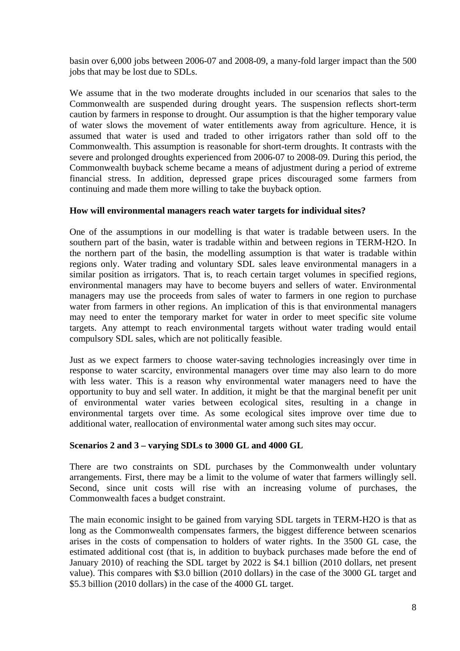basin over 6,000 jobs between 2006-07 and 2008-09, a many-fold larger impact than the 500 jobs that may be lost due to SDLs.

We assume that in the two moderate droughts included in our scenarios that sales to the Commonwealth are suspended during drought years. The suspension reflects short-term caution by farmers in response to drought. Our assumption is that the higher temporary value of water slows the movement of water entitlements away from agriculture. Hence, it is assumed that water is used and traded to other irrigators rather than sold off to the Commonwealth. This assumption is reasonable for short-term droughts. It contrasts with the severe and prolonged droughts experienced from 2006-07 to 2008-09. During this period, the Commonwealth buyback scheme became a means of adjustment during a period of extreme financial stress. In addition, depressed grape prices discouraged some farmers from continuing and made them more willing to take the buyback option.

#### **How will environmental managers reach water targets for individual sites?**

One of the assumptions in our modelling is that water is tradable between users. In the southern part of the basin, water is tradable within and between regions in TERM-H2O. In the northern part of the basin, the modelling assumption is that water is tradable within regions only. Water trading and voluntary SDL sales leave environmental managers in a similar position as irrigators. That is, to reach certain target volumes in specified regions, environmental managers may have to become buyers and sellers of water. Environmental managers may use the proceeds from sales of water to farmers in one region to purchase water from farmers in other regions. An implication of this is that environmental managers may need to enter the temporary market for water in order to meet specific site volume targets. Any attempt to reach environmental targets without water trading would entail compulsory SDL sales, which are not politically feasible.

Just as we expect farmers to choose water-saving technologies increasingly over time in response to water scarcity, environmental managers over time may also learn to do more with less water. This is a reason why environmental water managers need to have the opportunity to buy and sell water. In addition, it might be that the marginal benefit per unit of environmental water varies between ecological sites, resulting in a change in environmental targets over time. As some ecological sites improve over time due to additional water, reallocation of environmental water among such sites may occur.

#### **Scenarios 2 and 3 – varying SDLs to 3000 GL and 4000 GL**

There are two constraints on SDL purchases by the Commonwealth under voluntary arrangements. First, there may be a limit to the volume of water that farmers willingly sell. Second, since unit costs will rise with an increasing volume of purchases, the Commonwealth faces a budget constraint.

The main economic insight to be gained from varying SDL targets in TERM-H2O is that as long as the Commonwealth compensates farmers, the biggest difference between scenarios arises in the costs of compensation to holders of water rights. In the 3500 GL case, the estimated additional cost (that is, in addition to buyback purchases made before the end of January 2010) of reaching the SDL target by 2022 is \$4.1 billion (2010 dollars, net present value). This compares with \$3.0 billion (2010 dollars) in the case of the 3000 GL target and \$5.3 billion (2010 dollars) in the case of the 4000 GL target.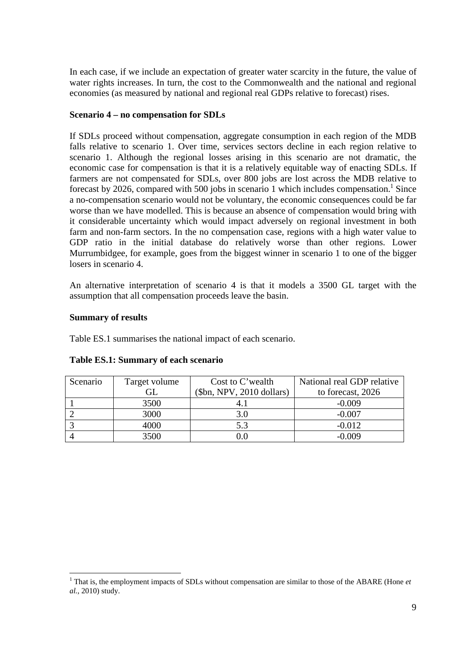In each case, if we include an expectation of greater water scarcity in the future, the value of water rights increases. In turn, the cost to the Commonwealth and the national and regional economies (as measured by national and regional real GDPs relative to forecast) rises.

#### **Scenario 4 – no compensation for SDLs**

If SDLs proceed without compensation, aggregate consumption in each region of the MDB falls relative to scenario 1. Over time, services sectors decline in each region relative to scenario 1. Although the regional losses arising in this scenario are not dramatic, the economic case for compensation is that it is a relatively equitable way of enacting SDLs. If farmers are not compensated for SDLs, over 800 jobs are lost across the MDB relative to forecast by 2026, compared with 500 jobs in scenario 1 which includes compensation.<sup>1</sup> Since a no-compensation scenario would not be voluntary, the economic consequences could be far worse than we have modelled. This is because an absence of compensation would bring with it considerable uncertainty which would impact adversely on regional investment in both farm and non-farm sectors. In the no compensation case, regions with a high water value to GDP ratio in the initial database do relatively worse than other regions. Lower Murrumbidgee, for example, goes from the biggest winner in scenario 1 to one of the bigger losers in scenario 4.

An alternative interpretation of scenario 4 is that it models a 3500 GL target with the assumption that all compensation proceeds leave the basin.

#### **Summary of results**

 $\overline{a}$ 

Table ES.1 summarises the national impact of each scenario.

| Scenario | Target volume | Cost to C'wealth          | National real GDP relative |
|----------|---------------|---------------------------|----------------------------|
|          | GI.           | $$bm, NPV, 2010$ dollars) | to forecast, 2026          |
|          | 3500          |                           | $-0.009$                   |
|          | 3000          | 3.0                       | $-0.007$                   |
|          | 4000          | 5.3                       | $-0.012$                   |
|          | 3500          |                           | $-0.009$                   |

#### **Table ES.1: Summary of each scenario**

<sup>&</sup>lt;sup>1</sup> That is, the employment impacts of SDLs without compensation are similar to those of the ABARE (Hone *et al.*, 2010) study.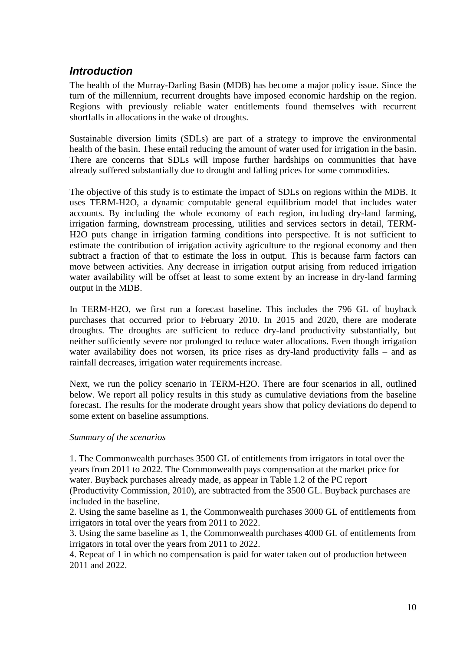### *Introduction*

The health of the Murray-Darling Basin (MDB) has become a major policy issue. Since the turn of the millennium, recurrent droughts have imposed economic hardship on the region. Regions with previously reliable water entitlements found themselves with recurrent shortfalls in allocations in the wake of droughts.

Sustainable diversion limits (SDLs) are part of a strategy to improve the environmental health of the basin. These entail reducing the amount of water used for irrigation in the basin. There are concerns that SDLs will impose further hardships on communities that have already suffered substantially due to drought and falling prices for some commodities.

The objective of this study is to estimate the impact of SDLs on regions within the MDB. It uses TERM-H2O, a dynamic computable general equilibrium model that includes water accounts. By including the whole economy of each region, including dry-land farming, irrigation farming, downstream processing, utilities and services sectors in detail, TERM-H2O puts change in irrigation farming conditions into perspective. It is not sufficient to estimate the contribution of irrigation activity agriculture to the regional economy and then subtract a fraction of that to estimate the loss in output. This is because farm factors can move between activities. Any decrease in irrigation output arising from reduced irrigation water availability will be offset at least to some extent by an increase in dry-land farming output in the MDB.

In TERM-H2O, we first run a forecast baseline. This includes the 796 GL of buyback purchases that occurred prior to February 2010. In 2015 and 2020, there are moderate droughts. The droughts are sufficient to reduce dry-land productivity substantially, but neither sufficiently severe nor prolonged to reduce water allocations. Even though irrigation water availability does not worsen, its price rises as dry-land productivity falls – and as rainfall decreases, irrigation water requirements increase.

Next, we run the policy scenario in TERM-H2O. There are four scenarios in all, outlined below. We report all policy results in this study as cumulative deviations from the baseline forecast. The results for the moderate drought years show that policy deviations do depend to some extent on baseline assumptions.

#### *Summary of the scenarios*

1. The Commonwealth purchases 3500 GL of entitlements from irrigators in total over the years from 2011 to 2022. The Commonwealth pays compensation at the market price for water. Buyback purchases already made, as appear in Table 1.2 of the PC report (Productivity Commission, 2010), are subtracted from the 3500 GL. Buyback purchases are included in the baseline.

2. Using the same baseline as 1, the Commonwealth purchases 3000 GL of entitlements from irrigators in total over the years from 2011 to 2022.

3. Using the same baseline as 1, the Commonwealth purchases 4000 GL of entitlements from irrigators in total over the years from 2011 to 2022.

4. Repeat of 1 in which no compensation is paid for water taken out of production between 2011 and 2022.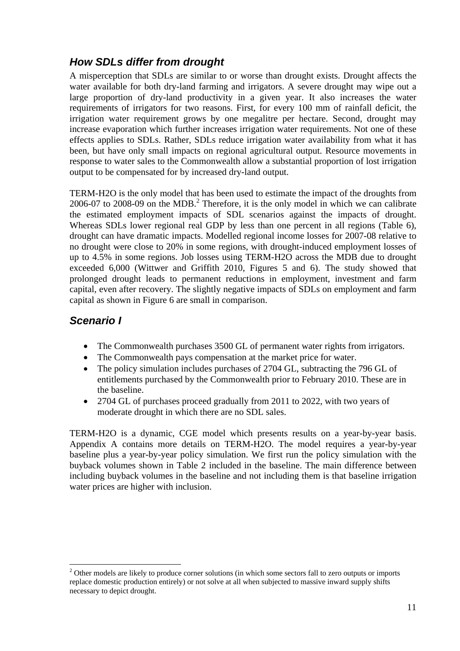### *How SDLs differ from drought*

A misperception that SDLs are similar to or worse than drought exists. Drought affects the water available for both dry-land farming and irrigators. A severe drought may wipe out a large proportion of dry-land productivity in a given year. It also increases the water requirements of irrigators for two reasons. First, for every 100 mm of rainfall deficit, the irrigation water requirement grows by one megalitre per hectare. Second, drought may increase evaporation which further increases irrigation water requirements. Not one of these effects applies to SDLs. Rather, SDLs reduce irrigation water availability from what it has been, but have only small impacts on regional agricultural output. Resource movements in response to water sales to the Commonwealth allow a substantial proportion of lost irrigation output to be compensated for by increased dry-land output.

TERM-H2O is the only model that has been used to estimate the impact of the droughts from 2006-07 to 2008-09 on the MDB.<sup>2</sup> Therefore, it is the only model in which we can calibrate the estimated employment impacts of SDL scenarios against the impacts of drought. Whereas SDLs lower regional real GDP by less than one percent in all regions (Table 6), drought can have dramatic impacts. Modelled regional income losses for 2007-08 relative to no drought were close to 20% in some regions, with drought-induced employment losses of up to 4.5% in some regions. Job losses using TERM-H2O across the MDB due to drought exceeded 6,000 (Wittwer and Griffith 2010, Figures 5 and 6). The study showed that prolonged drought leads to permanent reductions in employment, investment and farm capital, even after recovery. The slightly negative impacts of SDLs on employment and farm capital as shown in Figure 6 are small in comparison.

### *Scenario I*

 $\overline{a}$ 

- The Commonwealth purchases 3500 GL of permanent water rights from irrigators.
- The Commonwealth pays compensation at the market price for water.
- The policy simulation includes purchases of 2704 GL, subtracting the 796 GL of entitlements purchased by the Commonwealth prior to February 2010. These are in the baseline.
- 2704 GL of purchases proceed gradually from 2011 to 2022, with two years of moderate drought in which there are no SDL sales.

TERM-H2O is a dynamic, CGE model which presents results on a year-by-year basis. Appendix A contains more details on TERM-H2O. The model requires a year-by-year baseline plus a year-by-year policy simulation. We first run the policy simulation with the buyback volumes shown in Table 2 included in the baseline. The main difference between including buyback volumes in the baseline and not including them is that baseline irrigation water prices are higher with inclusion.

<sup>&</sup>lt;sup>2</sup> Other models are likely to produce corner solutions (in which some sectors fall to zero outputs or imports replace domestic production entirely) or not solve at all when subjected to massive inward supply shifts necessary to depict drought.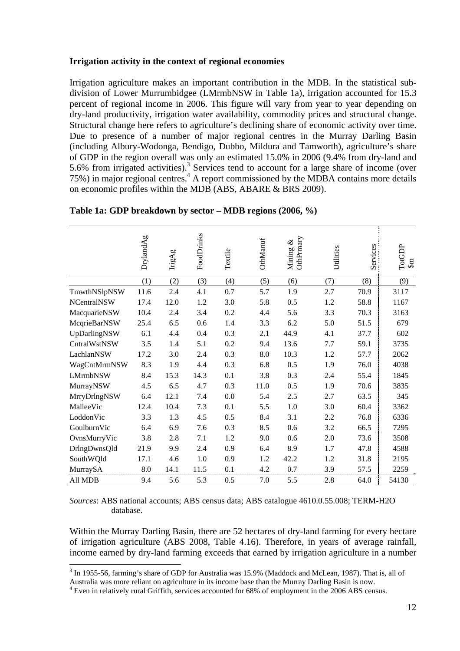#### **Irrigation activity in the context of regional economies**

Irrigation agriculture makes an important contribution in the MDB. In the statistical subdivision of Lower Murrumbidgee (LMrmbNSW in Table 1a), irrigation accounted for 15.3 percent of regional income in 2006. This figure will vary from year to year depending on dry-land productivity, irrigation water availability, commodity prices and structural change. Structural change here refers to agriculture's declining share of economic activity over time. Due to presence of a number of major regional centres in the Murray Darling Basin (including Albury-Wodonga, Bendigo, Dubbo, Mildura and Tamworth), agriculture's share of GDP in the region overall was only an estimated 15.0% in 2006 (9.4% from dry-land and 5.6% from irrigated activities).<sup>3</sup> Services tend to account for a large share of income (over 75%) in major regional centres.<sup>4</sup> A report commissioned by the MDBA contains more details on economic profiles within the MDB (ABS, ABARE & BRS 2009).

|                    | DrylandAg | $_{\mathrm{LigAg}}$ | FoodDrinks | Textile | <b>OthManuf</b> | OthPrmary<br>&<br>Mining | Utilities | Services | TotGDP<br>$\mathfrak{m}$ |
|--------------------|-----------|---------------------|------------|---------|-----------------|--------------------------|-----------|----------|--------------------------|
|                    | (1)       | (2)                 | (3)        | (4)     | (5)             | (6)                      | (7)       | (8)      | (9)                      |
| TmwthNSlpNSW       | 11.6      | 2.4                 | 4.1        | 0.7     | 5.7             | 1.9                      | 2.7       | 70.9     | 3117                     |
| <b>NCentralNSW</b> | 17.4      | 12.0                | 1.2        | 3.0     | 5.8             | 0.5                      | 1.2       | 58.8     | 1167                     |
| MacquarieNSW       | 10.4      | 2.4                 | 3.4        | 0.2     | 4.4             | 5.6                      | 3.3       | 70.3     | 3163                     |
| McqrieBarNSW       | 25.4      | 6.5                 | 0.6        | 1.4     | 3.3             | 6.2                      | 5.0       | 51.5     | 679                      |
| UpDarlingNSW       | 6.1       | 4.4                 | 0.4        | 0.3     | 2.1             | 44.9                     | 4.1       | 37.7     | 602                      |
| CntralWstNSW       | 3.5       | 1.4                 | 5.1        | 0.2     | 9.4             | 13.6                     | 7.7       | 59.1     | 3735                     |
| LachlanNSW         | 17.2      | 3.0                 | 2.4        | 0.3     | 8.0             | 10.3                     | $1.2\,$   | 57.7     | 2062                     |
| WagCntMrmNSW       | 8.3       | 1.9                 | 4.4        | 0.3     | 6.8             | 0.5                      | 1.9       | 76.0     | 4038                     |
| <b>LMrmbNSW</b>    | 8.4       | 15.3                | 14.3       | 0.1     | 3.8             | 0.3                      | 2.4       | 55.4     | 1845                     |
| MurrayNSW          | 4.5       | 6.5                 | 4.7        | 0.3     | 11.0            | 0.5                      | 1.9       | 70.6     | 3835                     |
| MrryDrlngNSW       | 6.4       | 12.1                | 7.4        | 0.0     | 5.4             | 2.5                      | 2.7       | 63.5     | 345                      |
| MalleeVic          | 12.4      | 10.4                | 7.3        | 0.1     | 5.5             | 1.0                      | 3.0       | 60.4     | 3362                     |
| LoddonVic          | 3.3       | 1.3                 | 4.5        | 0.5     | 8.4             | 3.1                      | 2.2       | 76.8     | 6336                     |
| GoulburnVic        | 6.4       | 6.9                 | 7.6        | 0.3     | 8.5             | 0.6                      | 3.2       | 66.5     | 7295                     |
| OvnsMurryVic       | 3.8       | 2.8                 | 7.1        | 1.2     | 9.0             | 0.6                      | 2.0       | 73.6     | 3508                     |
| DrlngDwnsQld       | 21.9      | 9.9                 | 2.4        | 0.9     | 6.4             | 8.9                      | 1.7       | 47.8     | 4588                     |
| SouthWQld          | 17.1      | 4.6                 | 1.0        | 0.9     | 1.2             | 42.2                     | 1.2       | 31.8     | 2195                     |
| MurraySA           | 8.0       | 14.1                | 11.5       | 0.1     | 4.2             | 0.7                      | 3.9       | 57.5     | 2259                     |
| All MDB            | 9.4       | 5.6                 | 5.3        | 0.5     | 7.0             | 5.5                      | 2.8       | 64.0     | 54130                    |

**Table 1a: GDP breakdown by sector – MDB regions (2006, %)** 

*Sources*: ABS national accounts; ABS census data; ABS catalogue 4610.0.55.008; TERM-H2O database.

Within the Murray Darling Basin, there are 52 hectares of dry-land farming for every hectare of irrigation agriculture (ABS 2008, Table 4.16). Therefore, in years of average rainfall, income earned by dry-land farming exceeds that earned by irrigation agriculture in a number

 $\overline{a}$  $3$  In 1955-56, farming's share of GDP for Australia was 15.9% (Maddock and McLean, 1987). That is, all of Australia was more reliant on agriculture in its income base than the Murray Darling Basin is now.

<sup>&</sup>lt;sup>4</sup> Even in relatively rural Griffith, services accounted for 68% of employment in the 2006 ABS census.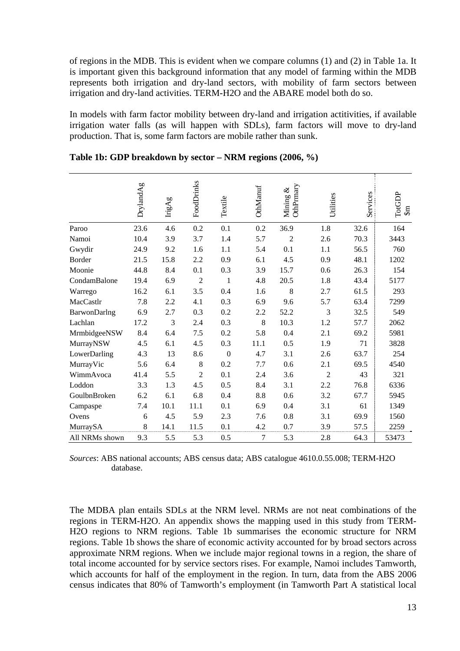of regions in the MDB. This is evident when we compare columns (1) and (2) in Table 1a. It is important given this background information that any model of farming within the MDB represents both irrigation and dry-land sectors, with mobility of farm sectors between irrigation and dry-land activities. TERM-H2O and the ABARE model both do so.

In models with farm factor mobility between dry-land and irrigation actitivities, if available irrigation water falls (as will happen with SDLs), farm factors will move to dry-land production. That is, some farm factors are mobile rather than sunk.

|                | DrylandAg | $_{\rm{LigAg}}$ | FoodDrinks     | Textile          | OthManuf       | OthPrmary<br>Mining & | Utilities      | Services | TotGDP<br>$\mathfrak{m}$ |
|----------------|-----------|-----------------|----------------|------------------|----------------|-----------------------|----------------|----------|--------------------------|
| Paroo          | 23.6      | 4.6             | 0.2            | 0.1              | 0.2            | 36.9                  | 1.8            | 32.6     | 164                      |
| Namoi          | 10.4      | 3.9             | 3.7            | 1.4              | 5.7            | $\overline{2}$        | 2.6            | 70.3     | 3443                     |
| Gwydir         | 24.9      | 9.2             | 1.6            | 1.1              | 5.4            | 0.1                   | 1.1            | 56.5     | 760                      |
| Border         | 21.5      | 15.8            | 2.2            | 0.9              | 6.1            | 4.5                   | 0.9            | 48.1     | 1202                     |
| Moonie         | 44.8      | 8.4             | 0.1            | 0.3              | 3.9            | 15.7                  | 0.6            | 26.3     | 154                      |
| CondamBalone   | 19.4      | 6.9             | $\overline{2}$ | 1                | 4.8            | 20.5                  | 1.8            | 43.4     | 5177                     |
| Warrego        | 16.2      | 6.1             | 3.5            | 0.4              | 1.6            | 8                     | 2.7            | 61.5     | 293                      |
| MacCastlr      | 7.8       | 2.2             | 4.1            | 0.3              | 6.9            | 9.6                   | 5.7            | 63.4     | 7299                     |
| BarwonDarlng   | 6.9       | 2.7             | 0.3            | 0.2              | 2.2            | 52.2                  | 3              | 32.5     | 549                      |
| Lachlan        | 17.2      | 3               | 2.4            | 0.3              | 8              | 10.3                  | 1.2            | 57.7     | 2062                     |
| MrmbidgeeNSW   | 8.4       | 6.4             | 7.5            | 0.2              | 5.8            | 0.4                   | 2.1            | 69.2     | 5981                     |
| MurrayNSW      | 4.5       | 6.1             | 4.5            | 0.3              | 11.1           | 0.5                   | 1.9            | 71       | 3828                     |
| LowerDarling   | 4.3       | 13              | 8.6            | $\boldsymbol{0}$ | 4.7            | 3.1                   | 2.6            | 63.7     | 254                      |
| MurrayVic      | 5.6       | 6.4             | 8              | 0.2              | 7.7            | 0.6                   | 2.1            | 69.5     | 4540                     |
| WimmAvoca      | 41.4      | 5.5             | $\overline{2}$ | 0.1              | 2.4            | 3.6                   | $\overline{2}$ | 43       | 321                      |
| Loddon         | 3.3       | 1.3             | 4.5            | 0.5              | 8.4            | 3.1                   | 2.2            | 76.8     | 6336                     |
| GoulbnBroken   | 6.2       | 6.1             | 6.8            | 0.4              | 8.8            | 0.6                   | 3.2            | 67.7     | 5945                     |
| Campaspe       | 7.4       | 10.1            | 11.1           | 0.1              | 6.9            | 0.4                   | 3.1            | 61       | 1349                     |
| Ovens          | 6         | 4.5             | 5.9            | 2.3              | 7.6            | 0.8                   | 3.1            | 69.9     | 1560                     |
| MurraySA       | 8         | 14.1            | 11.5           | 0.1              | 4.2            | 0.7                   | 3.9            | 57.5     | 2259                     |
| All NRMs shown | 9.3       | 5.5             | 5.3            | 0.5              | $\overline{7}$ | 5.3                   | 2.8            | 64.3     | 53473                    |
|                |           |                 |                |                  |                |                       |                |          |                          |

**Table 1b: GDP breakdown by sector – NRM regions (2006, %)** 

*Sources*: ABS national accounts; ABS census data; ABS catalogue 4610.0.55.008; TERM-H2O database.

The MDBA plan entails SDLs at the NRM level. NRMs are not neat combinations of the regions in TERM-H2O. An appendix shows the mapping used in this study from TERM-H2O regions to NRM regions. Table 1b summarises the economic structure for NRM regions. Table 1b shows the share of economic activity accounted for by broad sectors across approximate NRM regions. When we include major regional towns in a region, the share of total income accounted for by service sectors rises. For example, Namoi includes Tamworth, which accounts for half of the employment in the region. In turn, data from the ABS 2006 census indicates that 80% of Tamworth's employment (in Tamworth Part A statistical local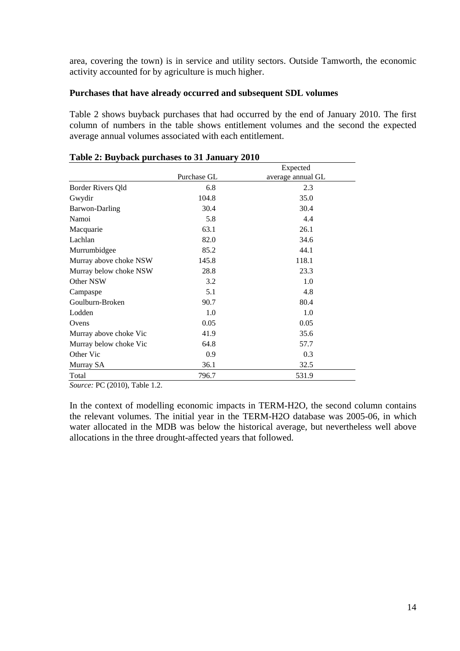area, covering the town) is in service and utility sectors. Outside Tamworth, the economic activity accounted for by agriculture is much higher.

#### **Purchases that have already occurred and subsequent SDL volumes**

Table 2 shows buyback purchases that had occurred by the end of January 2010. The first column of numbers in the table shows entitlement volumes and the second the expected average annual volumes associated with each entitlement.

|                        |             | Expected          |
|------------------------|-------------|-------------------|
|                        | Purchase GL | average annual GL |
| Border Rivers Qld      | 6.8         | 2.3               |
| Gwydir                 | 104.8       | 35.0              |
| Barwon-Darling         | 30.4        | 30.4              |
| Namoi                  | 5.8         | 4.4               |
| Macquarie              | 63.1        | 26.1              |
| Lachlan                | 82.0        | 34.6              |
| Murrumbidgee           | 85.2        | 44.1              |
| Murray above choke NSW | 145.8       | 118.1             |
| Murray below choke NSW | 28.8        | 23.3              |
| Other NSW              | 3.2         | 1.0               |
| Campaspe               | 5.1         | 4.8               |
| Goulburn-Broken        | 90.7        | 80.4              |
| Lodden                 | 1.0         | 1.0               |
| Ovens                  | 0.05        | 0.05              |
| Murray above choke Vic | 41.9        | 35.6              |
| Murray below choke Vic | 64.8        | 57.7              |
| Other Vic              | 0.9         | 0.3               |
| Murray SA              | 36.1        | 32.5              |
| Total                  | 796.7       | 531.9             |

#### **Table 2: Buyback purchases to 31 January 2010**

*Source:* PC (2010), Table 1.2.

In the context of modelling economic impacts in TERM-H2O, the second column contains the relevant volumes. The initial year in the TERM-H2O database was 2005-06, in which water allocated in the MDB was below the historical average, but nevertheless well above allocations in the three drought-affected years that followed.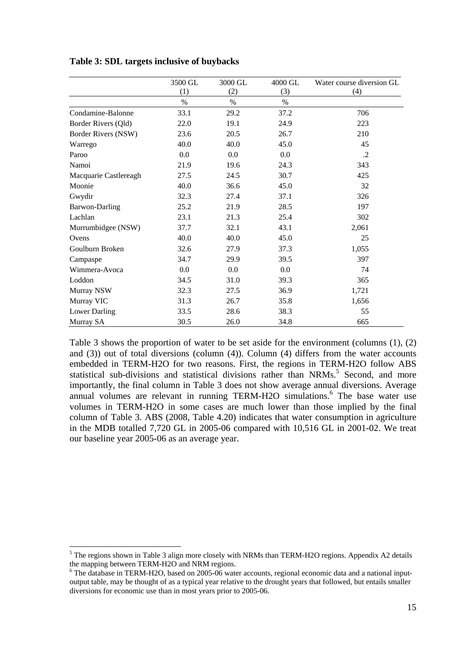|                       | 3500 GL | 3000 GL | 4000 GL | Water course diversion GL |
|-----------------------|---------|---------|---------|---------------------------|
|                       | (1)     | (2)     | (3)     | (4)                       |
|                       | $\%$    | $\%$    | $\%$    |                           |
| Condamine-Balonne     | 33.1    | 29.2    | 37.2    | 706                       |
| Border Rivers (Qld)   | 22.0    | 19.1    | 24.9    | 223                       |
| Border Rivers (NSW)   | 23.6    | 20.5    | 26.7    | 210                       |
| Warrego               | 40.0    | 40.0    | 45.0    | 45                        |
| Paroo                 | 0.0     | 0.0     | 0.0     | $\cdot$                   |
| Namoi                 | 21.9    | 19.6    | 24.3    | 343                       |
| Macquarie Castlereagh | 27.5    | 24.5    | 30.7    | 425                       |
| Moonie                | 40.0    | 36.6    | 45.0    | 32                        |
| Gwydir                | 32.3    | 27.4    | 37.1    | 326                       |
| Barwon-Darling        | 25.2    | 21.9    | 28.5    | 197                       |
| Lachlan               | 23.1    | 21.3    | 25.4    | 302                       |
| Murrumbidgee (NSW)    | 37.7    | 32.1    | 43.1    | 2,061                     |
| Ovens                 | 40.0    | 40.0    | 45.0    | 25                        |
| Goulburn Broken       | 32.6    | 27.9    | 37.3    | 1,055                     |
| Campaspe              | 34.7    | 29.9    | 39.5    | 397                       |
| Wimmera-Avoca         | 0.0     | 0.0     | 0.0     | 74                        |
| Loddon                | 34.5    | 31.0    | 39.3    | 365                       |
| Murray NSW            | 32.3    | 27.5    | 36.9    | 1,721                     |
| Murray VIC            | 31.3    | 26.7    | 35.8    | 1,656                     |
| Lower Darling         | 33.5    | 28.6    | 38.3    | 55                        |
| Murray SA             | 30.5    | 26.0    | 34.8    | 665                       |

**Table 3: SDL targets inclusive of buybacks** 

Table 3 shows the proportion of water to be set aside for the environment (columns (1), (2) and (3)) out of total diversions (column (4)). Column (4) differs from the water accounts embedded in TERM-H2O for two reasons. First, the regions in TERM-H2O follow ABS statistical sub-divisions and statistical divisions rather than NRMs.<sup>5</sup> Second, and more importantly, the final column in Table 3 does not show average annual diversions. Average annual volumes are relevant in running TERM-H2O simulations.<sup>6</sup> The base water use volumes in TERM-H2O in some cases are much lower than those implied by the final column of Table 3. ABS (2008, Table 4.20) indicates that water consumption in agriculture in the MDB totalled 7,720 GL in 2005-06 compared with 10,516 GL in 2001-02. We treat our baseline year 2005-06 as an average year.

 $\overline{a}$ 

 $<sup>5</sup>$  The regions shown in Table 3 align more closely with NRMs than TERM-H2O regions. Appendix A2 details</sup> the mapping between TERM-H2O and NRM regions.

<sup>&</sup>lt;sup>6</sup> The database in TERM-H2O, based on 2005-06 water accounts, regional economic data and a national inputoutput table, may be thought of as a typical year relative to the drought years that followed, but entails smaller diversions for economic use than in most years prior to 2005-06.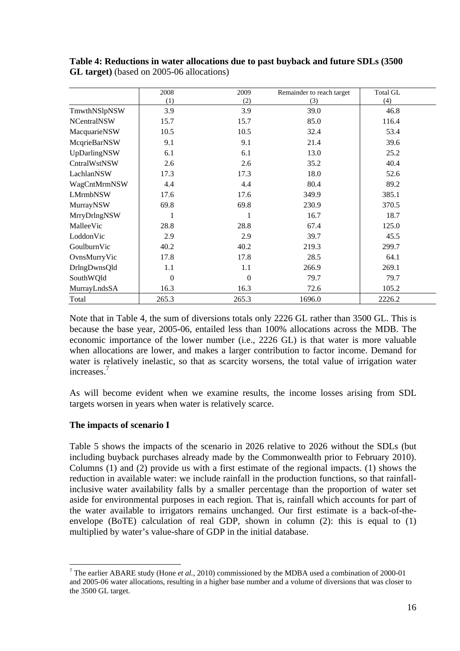|                    | 2008     | 2009           | Remainder to reach target | <b>Total GL</b> |
|--------------------|----------|----------------|---------------------------|-----------------|
|                    | (1)      | (2)            | (3)                       | (4)             |
| TmwthNSlpNSW       | 3.9      | 3.9            | 39.0                      | 46.8            |
| <b>NCentralNSW</b> | 15.7     | 15.7           | 85.0                      | 116.4           |
| MacquarieNSW       | 10.5     | 10.5           | 32.4                      | 53.4            |
| McqrieBarNSW       | 9.1      | 9.1            | 21.4                      | 39.6            |
| UpDarlingNSW       | 6.1      | 6.1            | 13.0                      | 25.2            |
| CntralWstNSW       | 2.6      | 2.6            | 35.2                      | 40.4            |
| LachlanNSW         | 17.3     | 17.3           | 18.0                      | 52.6            |
| WagCntMrmNSW       | 4.4      | 4.4            | 80.4                      | 89.2            |
| <b>LMrmbNSW</b>    | 17.6     | 17.6           | 349.9                     | 385.1           |
| MurrayNSW          | 69.8     | 69.8           | 230.9                     | 370.5           |
| MrryDrlngNSW       |          | 1              | 16.7                      | 18.7            |
| MalleeVic          | 28.8     | 28.8           | 67.4                      | 125.0           |
| LoddonVic          | 2.9      | 2.9            | 39.7                      | 45.5            |
| GoulburnVic        | 40.2     | 40.2           | 219.3                     | 299.7           |
| OvnsMurryVic       | 17.8     | 17.8           | 28.5                      | 64.1            |
| DrlngDwnsQld       | 1.1      | 1.1            | 266.9                     | 269.1           |
| SouthWQld          | $\Omega$ | $\overline{0}$ | 79.7                      | 79.7            |
| MurrayLndsSA       | 16.3     | 16.3           | 72.6                      | 105.2           |
| Total              | 265.3    | 265.3          | 1696.0                    | 2226.2          |

**Table 4: Reductions in water allocations due to past buyback and future SDLs (3500 GL target)** (based on 2005-06 allocations)

Note that in Table 4, the sum of diversions totals only 2226 GL rather than 3500 GL. This is because the base year, 2005-06, entailed less than 100% allocations across the MDB. The economic importance of the lower number (i.e., 2226 GL) is that water is more valuable when allocations are lower, and makes a larger contribution to factor income. Demand for water is relatively inelastic, so that as scarcity worsens, the total value of irrigation water increases.7

As will become evident when we examine results, the income losses arising from SDL targets worsen in years when water is relatively scarce.

#### **The impacts of scenario I**

Table 5 shows the impacts of the scenario in 2026 relative to 2026 without the SDLs (but including buyback purchases already made by the Commonwealth prior to February 2010). Columns (1) and (2) provide us with a first estimate of the regional impacts. (1) shows the reduction in available water: we include rainfall in the production functions, so that rainfallinclusive water availability falls by a smaller percentage than the proportion of water set aside for environmental purposes in each region. That is, rainfall which accounts for part of the water available to irrigators remains unchanged. Our first estimate is a back-of-theenvelope (BoTE) calculation of real GDP, shown in column (2): this is equal to (1) multiplied by water's value-share of GDP in the initial database.

 $\overline{a}$ 7 The earlier ABARE study (Hone *et al.*, 2010) commissioned by the MDBA used a combination of 2000-01 and 2005-06 water allocations, resulting in a higher base number and a volume of diversions that was closer to the 3500 GL target.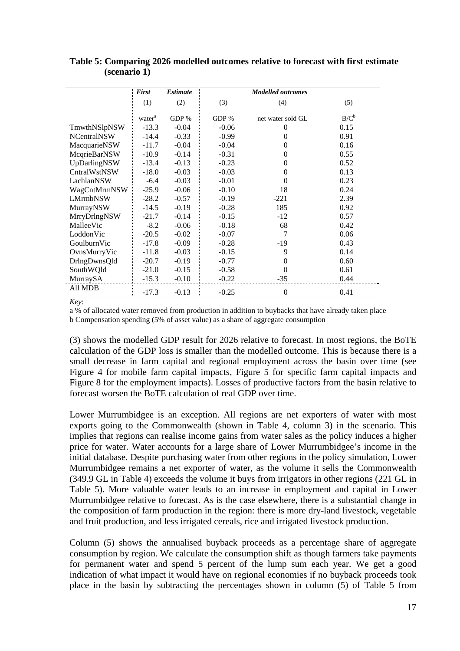|                    | <b>First</b>       | <b>Estimate</b> | <b>Modelled outcomes</b> |                   |         |  |
|--------------------|--------------------|-----------------|--------------------------|-------------------|---------|--|
|                    | (1)                | (2)             | (3)                      | (4)               | (5)     |  |
|                    | water <sup>a</sup> | GDP %           | GDP %                    | net water sold GL | $B/C^b$ |  |
| TmwthNSlpNSW       | $-13.3$            | $-0.04$         | $-0.06$                  | 0                 | 0.15    |  |
| <b>NCentralNSW</b> | $-14.4$            | $-0.33$         | $-0.99$                  | $\theta$          | 0.91    |  |
| MacquarieNSW       | $-11.7$            | $-0.04$         | $-0.04$                  | $\overline{0}$    | 0.16    |  |
| McqrieBarNSW       | $-10.9$            | $-0.14$         | $-0.31$                  | 0                 | 0.55    |  |
| UpDarlingNSW       | $-13.4$            | $-0.13$         | $-0.23$                  | $\Omega$          | 0.52    |  |
| CntralWstNSW       | $-18.0$            | $-0.03$         | $-0.03$                  | $\Omega$          | 0.13    |  |
| LachlanNSW         | $-6.4$             | $-0.03$         | $-0.01$                  | 0                 | 0.23    |  |
| WagCntMrmNSW       | $-25.9$            | $-0.06$         | $-0.10$                  | 18                | 0.24    |  |
| <b>LMrmbNSW</b>    | $-28.2$            | $-0.57$         | $-0.19$                  | $-221$            | 2.39    |  |
| MurrayNSW          | $-14.5$            | $-0.19$         | $-0.28$                  | 185               | 0.92    |  |
| MrryDrlngNSW       | $-21.7$            | $-0.14$         | $-0.15$                  | $-12$             | 0.57    |  |
| MalleeVic          | $-8.2$             | $-0.06$         | $-0.18$                  | 68                | 0.42    |  |
| LoddonVic          | $-20.5$            | $-0.02$         | $-0.07$                  | 7                 | 0.06    |  |
| GoulburnVic        | $-17.8$            | $-0.09$         | $-0.28$                  | $-19$             | 0.43    |  |
| OvnsMurryVic       | $-11.8$            | $-0.03$         | $-0.15$                  | 9                 | 0.14    |  |
| DrlngDwnsQld       | $-20.7$            | $-0.19$         | $-0.77$                  | $\theta$          | 0.60    |  |
| SouthWQld          | $-21.0$            | $-0.15$         | $-0.58$                  | $\theta$          | 0.61    |  |
| MurraySA           | $-15.3$            | $-0.10$         | $-0.22$                  | $-35$             | 0.44    |  |
| All MDB            | $-17.3$            | $-0.13$         | $-0.25$                  | $\theta$          | 0.41    |  |

**Table 5: Comparing 2026 modelled outcomes relative to forecast with first estimate (scenario 1)** 

*Key*:

a % of allocated water removed from production in addition to buybacks that have already taken place

b Compensation spending (5% of asset value) as a share of aggregate consumption

(3) shows the modelled GDP result for 2026 relative to forecast. In most regions, the BoTE calculation of the GDP loss is smaller than the modelled outcome. This is because there is a small decrease in farm capital and regional employment across the basin over time (see Figure 4 for mobile farm capital impacts, Figure 5 for specific farm capital impacts and Figure 8 for the employment impacts). Losses of productive factors from the basin relative to forecast worsen the BoTE calculation of real GDP over time.

Lower Murrumbidgee is an exception. All regions are net exporters of water with most exports going to the Commonwealth (shown in Table 4, column 3) in the scenario. This implies that regions can realise income gains from water sales as the policy induces a higher price for water. Water accounts for a large share of Lower Murrumbidgee's income in the initial database. Despite purchasing water from other regions in the policy simulation, Lower Murrumbidgee remains a net exporter of water, as the volume it sells the Commonwealth (349.9 GL in Table 4) exceeds the volume it buys from irrigators in other regions (221 GL in Table 5). More valuable water leads to an increase in employment and capital in Lower Murrumbidgee relative to forecast. As is the case elsewhere, there is a substantial change in the composition of farm production in the region: there is more dry-land livestock, vegetable and fruit production, and less irrigated cereals, rice and irrigated livestock production.

Column (5) shows the annualised buyback proceeds as a percentage share of aggregate consumption by region. We calculate the consumption shift as though farmers take payments for permanent water and spend 5 percent of the lump sum each year. We get a good indication of what impact it would have on regional economies if no buyback proceeds took place in the basin by subtracting the percentages shown in column (5) of Table 5 from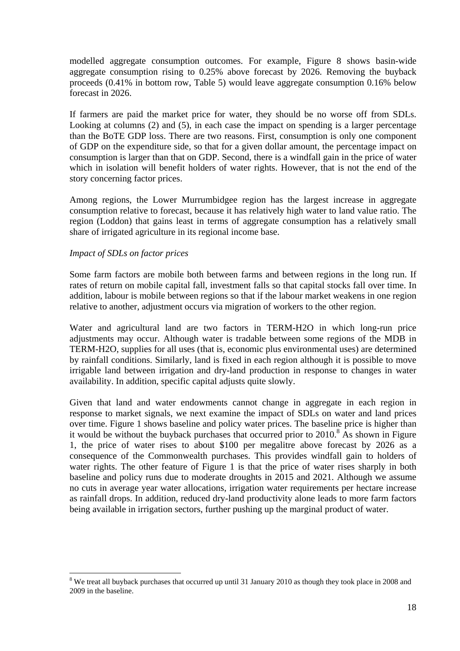modelled aggregate consumption outcomes. For example, Figure 8 shows basin-wide aggregate consumption rising to 0.25% above forecast by 2026. Removing the buyback proceeds (0.41% in bottom row, Table 5) would leave aggregate consumption 0.16% below forecast in 2026.

If farmers are paid the market price for water, they should be no worse off from SDLs. Looking at columns (2) and (5), in each case the impact on spending is a larger percentage than the BoTE GDP loss. There are two reasons. First, consumption is only one component of GDP on the expenditure side, so that for a given dollar amount, the percentage impact on consumption is larger than that on GDP. Second, there is a windfall gain in the price of water which in isolation will benefit holders of water rights. However, that is not the end of the story concerning factor prices.

Among regions, the Lower Murrumbidgee region has the largest increase in aggregate consumption relative to forecast, because it has relatively high water to land value ratio. The region (Loddon) that gains least in terms of aggregate consumption has a relatively small share of irrigated agriculture in its regional income base.

#### *Impact of SDLs on factor prices*

 $\overline{a}$ 

Some farm factors are mobile both between farms and between regions in the long run. If rates of return on mobile capital fall, investment falls so that capital stocks fall over time. In addition, labour is mobile between regions so that if the labour market weakens in one region relative to another, adjustment occurs via migration of workers to the other region.

Water and agricultural land are two factors in TERM-H2O in which long-run price adjustments may occur. Although water is tradable between some regions of the MDB in TERM-H2O, supplies for all uses (that is, economic plus environmental uses) are determined by rainfall conditions. Similarly, land is fixed in each region although it is possible to move irrigable land between irrigation and dry-land production in response to changes in water availability. In addition, specific capital adjusts quite slowly.

Given that land and water endowments cannot change in aggregate in each region in response to market signals, we next examine the impact of SDLs on water and land prices over time. Figure 1 shows baseline and policy water prices. The baseline price is higher than it would be without the buyback purchases that occurred prior to  $2010$ .<sup>8</sup> As shown in Figure 1, the price of water rises to about \$100 per megalitre above forecast by 2026 as a consequence of the Commonwealth purchases. This provides windfall gain to holders of water rights. The other feature of Figure 1 is that the price of water rises sharply in both baseline and policy runs due to moderate droughts in 2015 and 2021. Although we assume no cuts in average year water allocations, irrigation water requirements per hectare increase as rainfall drops. In addition, reduced dry-land productivity alone leads to more farm factors being available in irrigation sectors, further pushing up the marginal product of water.

<sup>&</sup>lt;sup>8</sup> We treat all buyback purchases that occurred up until 31 January 2010 as though they took place in 2008 and 2009 in the baseline.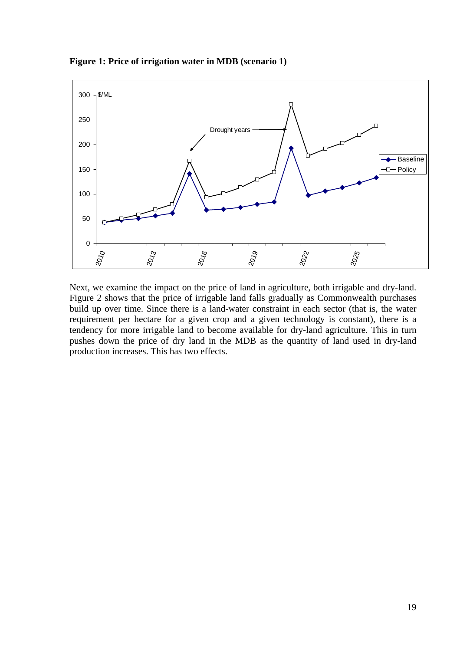**Figure 1: Price of irrigation water in MDB (scenario 1)** 



Next, we examine the impact on the price of land in agriculture, both irrigable and dry-land. Figure 2 shows that the price of irrigable land falls gradually as Commonwealth purchases build up over time. Since there is a land-water constraint in each sector (that is, the water requirement per hectare for a given crop and a given technology is constant), there is a tendency for more irrigable land to become available for dry-land agriculture. This in turn pushes down the price of dry land in the MDB as the quantity of land used in dry-land production increases. This has two effects.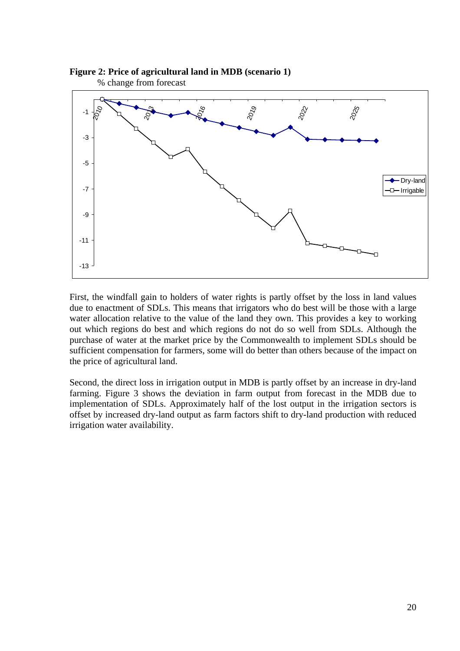

### **Figure 2: Price of agricultural land in MDB (scenario 1)**

First, the windfall gain to holders of water rights is partly offset by the loss in land values due to enactment of SDLs. This means that irrigators who do best will be those with a large water allocation relative to the value of the land they own. This provides a key to working out which regions do best and which regions do not do so well from SDLs. Although the purchase of water at the market price by the Commonwealth to implement SDLs should be sufficient compensation for farmers, some will do better than others because of the impact on the price of agricultural land.

Second, the direct loss in irrigation output in MDB is partly offset by an increase in dry-land farming. Figure 3 shows the deviation in farm output from forecast in the MDB due to implementation of SDLs. Approximately half of the lost output in the irrigation sectors is offset by increased dry-land output as farm factors shift to dry-land production with reduced irrigation water availability.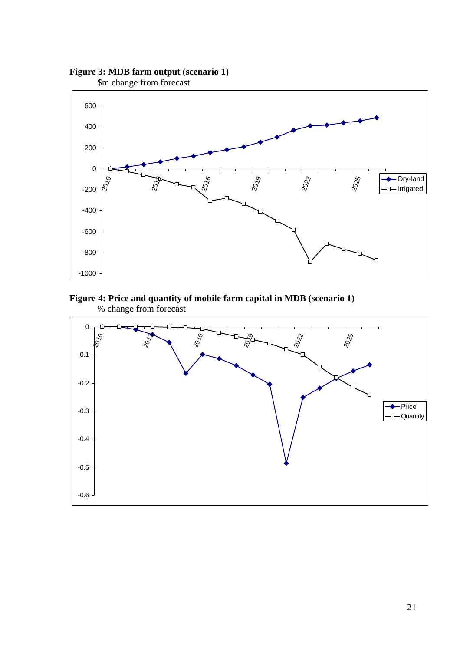



#### **Figure 4: Price and quantity of mobile farm capital in MDB (scenario 1)**  % change from forecast

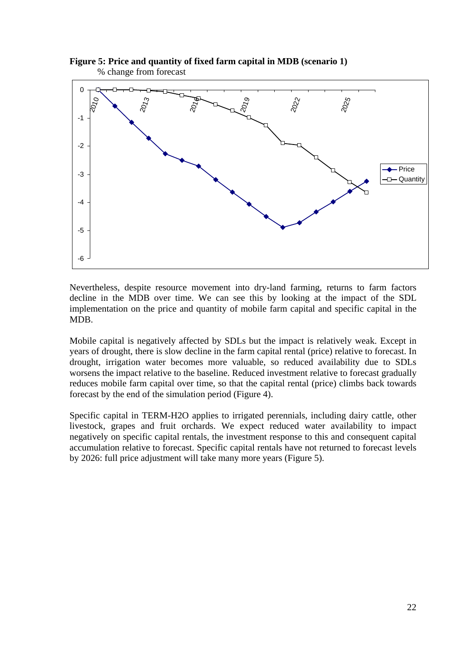

**Figure 5: Price and quantity of fixed farm capital in MDB (scenario 1)**  % change from forecast

Nevertheless, despite resource movement into dry-land farming, returns to farm factors decline in the MDB over time. We can see this by looking at the impact of the SDL implementation on the price and quantity of mobile farm capital and specific capital in the MDB.

Mobile capital is negatively affected by SDLs but the impact is relatively weak. Except in years of drought, there is slow decline in the farm capital rental (price) relative to forecast. In drought, irrigation water becomes more valuable, so reduced availability due to SDLs worsens the impact relative to the baseline. Reduced investment relative to forecast gradually reduces mobile farm capital over time, so that the capital rental (price) climbs back towards forecast by the end of the simulation period (Figure 4).

Specific capital in TERM-H2O applies to irrigated perennials, including dairy cattle, other livestock, grapes and fruit orchards. We expect reduced water availability to impact negatively on specific capital rentals, the investment response to this and consequent capital accumulation relative to forecast. Specific capital rentals have not returned to forecast levels by 2026: full price adjustment will take many more years (Figure 5).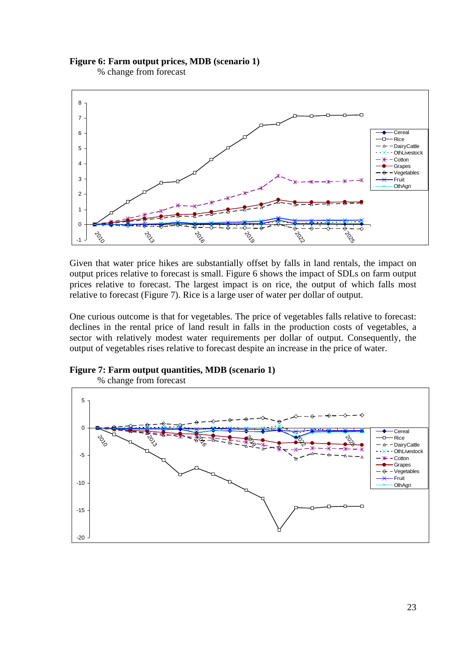**Figure 6: Farm output prices, MDB (scenario 1)** 

% change from forecast



Given that water price hikes are substantially offset by falls in land rentals, the impact on output prices relative to forecast is small. Figure 6 shows the impact of SDLs on farm output prices relative to forecast. The largest impact is on rice, the output of which falls most relative to forecast (Figure 7). Rice is a large user of water per dollar of output.

One curious outcome is that for vegetables. The price of vegetables falls relative to forecast: declines in the rental price of land result in falls in the production costs of vegetables, a sector with relatively modest water requirements per dollar of output. Consequently, the output of vegetables rises relative to forecast despite an increase in the price of water.





23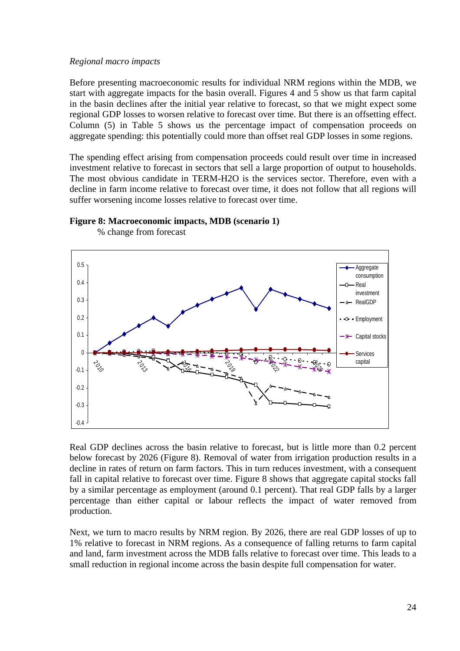#### *Regional macro impacts*

Before presenting macroeconomic results for individual NRM regions within the MDB, we start with aggregate impacts for the basin overall. Figures 4 and 5 show us that farm capital in the basin declines after the initial year relative to forecast, so that we might expect some regional GDP losses to worsen relative to forecast over time. But there is an offsetting effect. Column (5) in Table 5 shows us the percentage impact of compensation proceeds on aggregate spending: this potentially could more than offset real GDP losses in some regions.

The spending effect arising from compensation proceeds could result over time in increased investment relative to forecast in sectors that sell a large proportion of output to households. The most obvious candidate in TERM-H2O is the services sector. Therefore, even with a decline in farm income relative to forecast over time, it does not follow that all regions will suffer worsening income losses relative to forecast over time.



% change from forecast

**Figure 8: Macroeconomic impacts, MDB (scenario 1)** 

Real GDP declines across the basin relative to forecast, but is little more than 0.2 percent below forecast by 2026 (Figure 8). Removal of water from irrigation production results in a decline in rates of return on farm factors. This in turn reduces investment, with a consequent fall in capital relative to forecast over time. Figure 8 shows that aggregate capital stocks fall by a similar percentage as employment (around 0.1 percent). That real GDP falls by a larger percentage than either capital or labour reflects the impact of water removed from production.

Next, we turn to macro results by NRM region. By 2026, there are real GDP losses of up to 1% relative to forecast in NRM regions. As a consequence of falling returns to farm capital and land, farm investment across the MDB falls relative to forecast over time. This leads to a small reduction in regional income across the basin despite full compensation for water.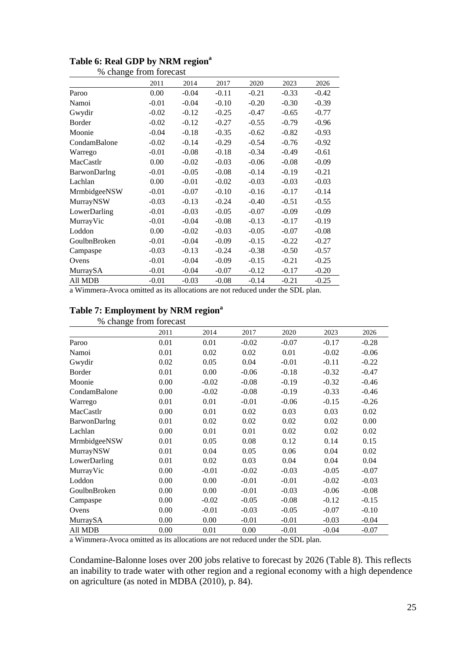|              | 2011    | 2014    | 2017    | 2020    | 2023    | 2026    |
|--------------|---------|---------|---------|---------|---------|---------|
| Paroo        | 0.00    | $-0.04$ | $-0.11$ | $-0.21$ | $-0.33$ | $-0.42$ |
| Namoi        | $-0.01$ | $-0.04$ | $-0.10$ | $-0.20$ | $-0.30$ | $-0.39$ |
| Gwydir       | $-0.02$ | $-0.12$ | $-0.25$ | $-0.47$ | $-0.65$ | $-0.77$ |
| Border       | $-0.02$ | $-0.12$ | $-0.27$ | $-0.55$ | $-0.79$ | $-0.96$ |
| Moonie       | $-0.04$ | $-0.18$ | $-0.35$ | $-0.62$ | $-0.82$ | $-0.93$ |
| CondamBalone | $-0.02$ | $-0.14$ | $-0.29$ | $-0.54$ | $-0.76$ | $-0.92$ |
| Warrego      | $-0.01$ | $-0.08$ | $-0.18$ | $-0.34$ | $-0.49$ | $-0.61$ |
| MacCastlr    | 0.00    | $-0.02$ | $-0.03$ | $-0.06$ | $-0.08$ | $-0.09$ |
| BarwonDarlng | $-0.01$ | $-0.05$ | $-0.08$ | $-0.14$ | $-0.19$ | $-0.21$ |
| Lachlan      | 0.00    | $-0.01$ | $-0.02$ | $-0.03$ | $-0.03$ | $-0.03$ |
| MrmbidgeeNSW | $-0.01$ | $-0.07$ | $-0.10$ | $-0.16$ | $-0.17$ | $-0.14$ |
| MurrayNSW    | $-0.03$ | $-0.13$ | $-0.24$ | $-0.40$ | $-0.51$ | $-0.55$ |
| LowerDarling | $-0.01$ | $-0.03$ | $-0.05$ | $-0.07$ | $-0.09$ | $-0.09$ |
| MurrayVic    | $-0.01$ | $-0.04$ | $-0.08$ | $-0.13$ | $-0.17$ | $-0.19$ |
| Loddon       | 0.00    | $-0.02$ | $-0.03$ | $-0.05$ | $-0.07$ | $-0.08$ |
| GoulbnBroken | $-0.01$ | $-0.04$ | $-0.09$ | $-0.15$ | $-0.22$ | $-0.27$ |
| Campaspe     | $-0.03$ | $-0.13$ | $-0.24$ | $-0.38$ | $-0.50$ | $-0.57$ |
| Ovens        | $-0.01$ | $-0.04$ | $-0.09$ | $-0.15$ | $-0.21$ | $-0.25$ |
| MurraySA     | $-0.01$ | $-0.04$ | $-0.07$ | $-0.12$ | $-0.17$ | $-0.20$ |
| All MDB      | $-0.01$ | $-0.03$ | $-0.08$ | $-0.14$ | $-0.21$ | $-0.25$ |

#### Table 6: Real GDP by NRM region<sup>a</sup> % change from forecast

a Wimmera-Avoca omitted as its allocations are not reduced under the SDL plan.

### Table 7: Employment by NRM region<sup>a</sup>

% change from forecast

|              | 2011 | 2014    | 2017    | 2020    | 2023    | 2026    |
|--------------|------|---------|---------|---------|---------|---------|
| Paroo        | 0.01 | 0.01    | $-0.02$ | $-0.07$ | $-0.17$ | $-0.28$ |
| Namoi        | 0.01 | 0.02    | 0.02    | 0.01    | $-0.02$ | $-0.06$ |
| Gwydir       | 0.02 | 0.05    | 0.04    | $-0.01$ | $-0.11$ | $-0.22$ |
| Border       | 0.01 | 0.00    | $-0.06$ | $-0.18$ | $-0.32$ | $-0.47$ |
| Moonie       | 0.00 | $-0.02$ | $-0.08$ | $-0.19$ | $-0.32$ | $-0.46$ |
| CondamBalone | 0.00 | $-0.02$ | $-0.08$ | $-0.19$ | $-0.33$ | $-0.46$ |
| Warrego      | 0.01 | 0.01    | $-0.01$ | $-0.06$ | $-0.15$ | $-0.26$ |
| MacCastlr    | 0.00 | 0.01    | 0.02    | 0.03    | 0.03    | 0.02    |
| BarwonDarlng | 0.01 | 0.02    | 0.02    | 0.02    | 0.02    | 0.00    |
| Lachlan      | 0.00 | 0.01    | 0.01    | 0.02    | 0.02    | 0.02    |
| MrmbidgeeNSW | 0.01 | 0.05    | 0.08    | 0.12    | 0.14    | 0.15    |
| MurrayNSW    | 0.01 | 0.04    | 0.05    | 0.06    | 0.04    | 0.02    |
| LowerDarling | 0.01 | 0.02    | 0.03    | 0.04    | 0.04    | 0.04    |
| MurrayVic    | 0.00 | $-0.01$ | $-0.02$ | $-0.03$ | $-0.05$ | $-0.07$ |
| Loddon       | 0.00 | 0.00    | $-0.01$ | $-0.01$ | $-0.02$ | $-0.03$ |
| GoulbnBroken | 0.00 | 0.00    | $-0.01$ | $-0.03$ | $-0.06$ | $-0.08$ |
| Campaspe     | 0.00 | $-0.02$ | $-0.05$ | $-0.08$ | $-0.12$ | $-0.15$ |
| Ovens        | 0.00 | $-0.01$ | $-0.03$ | $-0.05$ | $-0.07$ | $-0.10$ |
| MurraySA     | 0.00 | 0.00    | $-0.01$ | $-0.01$ | $-0.03$ | $-0.04$ |
| All MDB      | 0.00 | 0.01    | 0.00    | $-0.01$ | $-0.04$ | $-0.07$ |

a Wimmera-Avoca omitted as its allocations are not reduced under the SDL plan.

Condamine-Balonne loses over 200 jobs relative to forecast by 2026 (Table 8). This reflects an inability to trade water with other region and a regional economy with a high dependence on agriculture (as noted in MDBA (2010), p. 84).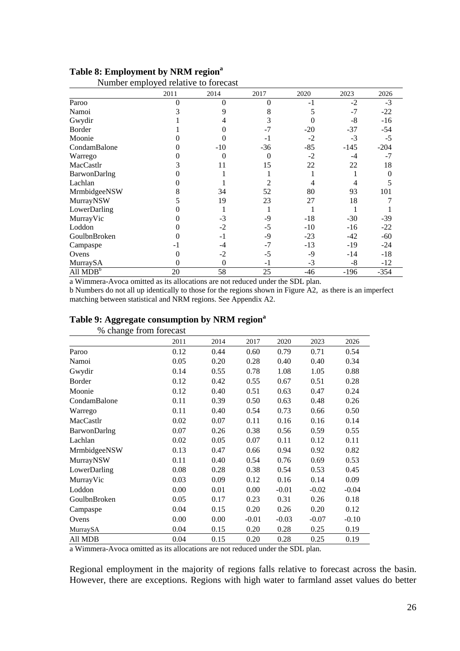|              | ramoer emproyee relative to roleeast |                  |          |       |        |          |
|--------------|--------------------------------------|------------------|----------|-------|--------|----------|
|              | 2011                                 | 2014             | 2017     | 2020  | 2023   | 2026     |
| Paroo        | $\theta$                             | $\theta$         | $\theta$ | $-1$  | $-2$   | $-3$     |
| Namoi        |                                      | 9                | 8        | 5     | $-7$   | $-22$    |
| Gwydir       |                                      | 4                | 3        | 0     | $-8$   | $-16$    |
| Border       |                                      | $\theta$         | $-7$     | $-20$ | $-37$  | $-54$    |
| Moonie       |                                      | 0                | $-1$     | $-2$  | $-3$   | $-5$     |
| CondamBalone | 0                                    | $-10$            | $-36$    | $-85$ | $-145$ | $-204$   |
| Warrego      |                                      | $\theta$         | $\theta$ | $-2$  | $-4$   | $-7$     |
| MacCastlr    | 3                                    | 11               | 15       | 22    | 22     | 18       |
| BarwonDarlng |                                      |                  |          |       |        | $\Omega$ |
| Lachlan      | 0                                    |                  | 2        | 4     | 4      |          |
| MrmbidgeeNSW | 8                                    | 34               | 52       | 80    | 93     | 101      |
| MurrayNSW    |                                      | 19               | 23       | 27    | 18     |          |
| LowerDarling |                                      |                  |          |       |        |          |
| MurrayVic    |                                      | $-3$             | $-9$     | $-18$ | $-30$  | $-39$    |
| Loddon       | 0                                    | $-2$             | $-5$     | $-10$ | $-16$  | $-22$    |
| GoulbnBroken |                                      | $-1$             | $-9$     | $-23$ | $-42$  | $-60$    |
| Campaspe     | $-1$                                 | $-4$             | $-7$     | $-13$ | $-19$  | $-24$    |
| Ovens        | 0                                    | $-2$             | $-5$     | $-9$  | $-14$  | $-18$    |
| MurraySA     | 0                                    | $\boldsymbol{0}$ | $-1$     | $-3$  | $-8$   | $-12$    |
| All $MDBb$   | 20                                   | 58               | 25       | $-46$ | $-196$ | $-354$   |

#### Table 8: Employment by NRM region<sup>a</sup> Number employed relative to forecast

a Wimmera-Avoca omitted as its allocations are not reduced under the SDL plan. b Numbers do not all up identically to those for the regions shown in Figure A2, as there is an imperfect

matching between statistical and NRM regions. See Appendix A2.

|      |                        | ັ       |         |         |         |
|------|------------------------|---------|---------|---------|---------|
|      |                        |         |         |         |         |
| 2011 | 2014                   | 2017    | 2020    | 2023    | 2026    |
| 0.12 | 0.44                   | 0.60    | 0.79    | 0.71    | 0.54    |
| 0.05 | 0.20                   | 0.28    | 0.40    | 0.40    | 0.34    |
| 0.14 | 0.55                   | 0.78    | 1.08    | 1.05    | 0.88    |
| 0.12 | 0.42                   | 0.55    | 0.67    | 0.51    | 0.28    |
| 0.12 | 0.40                   | 0.51    | 0.63    | 0.47    | 0.24    |
| 0.11 | 0.39                   | 0.50    | 0.63    | 0.48    | 0.26    |
| 0.11 | 0.40                   | 0.54    | 0.73    | 0.66    | 0.50    |
| 0.02 | 0.07                   | 0.11    | 0.16    | 0.16    | 0.14    |
| 0.07 | 0.26                   | 0.38    | 0.56    | 0.59    | 0.55    |
| 0.02 | 0.05                   | 0.07    | 0.11    | 0.12    | 0.11    |
| 0.13 | 0.47                   | 0.66    | 0.94    | 0.92    | 0.82    |
| 0.11 | 0.40                   | 0.54    | 0.76    | 0.69    | 0.53    |
| 0.08 | 0.28                   | 0.38    | 0.54    | 0.53    | 0.45    |
| 0.03 | 0.09                   | 0.12    | 0.16    | 0.14    | 0.09    |
| 0.00 | 0.01                   | 0.00    | $-0.01$ | $-0.02$ | $-0.04$ |
| 0.05 | 0.17                   | 0.23    | 0.31    | 0.26    | 0.18    |
| 0.04 | 0.15                   | 0.20    | 0.26    | 0.20    | 0.12    |
| 0.00 | 0.00                   | $-0.01$ | $-0.03$ | $-0.07$ | $-0.10$ |
| 0.04 | 0.15                   | 0.20    | 0.28    | 0.25    | 0.19    |
| 0.04 | 0.15                   | 0.20    | 0.28    | 0.25    | 0.19    |
|      | % change from forecast |         |         |         |         |

#### Table 9: Aggregate consumption by NRM region<sup>a</sup>

a Wimmera-Avoca omitted as its allocations are not reduced under the SDL plan.

Regional employment in the majority of regions falls relative to forecast across the basin. However, there are exceptions. Regions with high water to farmland asset values do better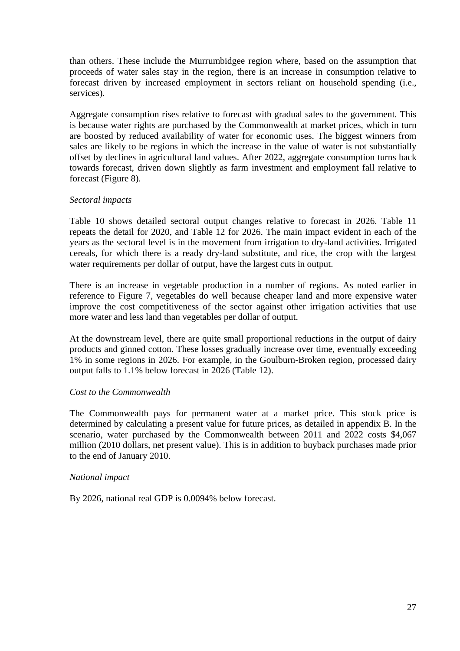than others. These include the Murrumbidgee region where, based on the assumption that proceeds of water sales stay in the region, there is an increase in consumption relative to forecast driven by increased employment in sectors reliant on household spending (i.e., services).

Aggregate consumption rises relative to forecast with gradual sales to the government. This is because water rights are purchased by the Commonwealth at market prices, which in turn are boosted by reduced availability of water for economic uses. The biggest winners from sales are likely to be regions in which the increase in the value of water is not substantially offset by declines in agricultural land values. After 2022, aggregate consumption turns back towards forecast, driven down slightly as farm investment and employment fall relative to forecast (Figure 8).

#### *Sectoral impacts*

Table 10 shows detailed sectoral output changes relative to forecast in 2026. Table 11 repeats the detail for 2020, and Table 12 for 2026. The main impact evident in each of the years as the sectoral level is in the movement from irrigation to dry-land activities. Irrigated cereals, for which there is a ready dry-land substitute, and rice, the crop with the largest water requirements per dollar of output, have the largest cuts in output.

There is an increase in vegetable production in a number of regions. As noted earlier in reference to Figure 7, vegetables do well because cheaper land and more expensive water improve the cost competitiveness of the sector against other irrigation activities that use more water and less land than vegetables per dollar of output.

At the downstream level, there are quite small proportional reductions in the output of dairy products and ginned cotton. These losses gradually increase over time, eventually exceeding 1% in some regions in 2026. For example, in the Goulburn-Broken region, processed dairy output falls to 1.1% below forecast in 2026 (Table 12).

#### *Cost to the Commonwealth*

The Commonwealth pays for permanent water at a market price. This stock price is determined by calculating a present value for future prices, as detailed in appendix B. In the scenario, water purchased by the Commonwealth between 2011 and 2022 costs \$4,067 million (2010 dollars, net present value). This is in addition to buyback purchases made prior to the end of January 2010.

#### *National impact*

By 2026, national real GDP is 0.0094% below forecast.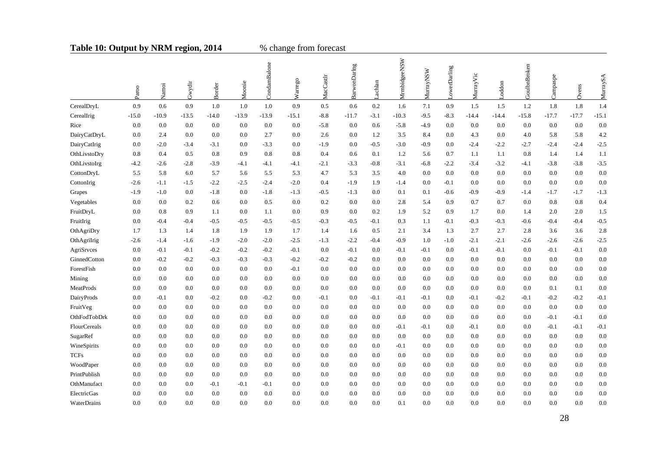### Table 10: Output by NRM region, 2014 % change from forecast

|                     | Paroo   | Namoi   | Gwydir  | Border  | Moonie  | CondamBalone | Warrego | MacCastlr | BarwonDaring | .achlan | MrmbidgeeNSW | MurrayNSW | owerDarling | Murray Vic | oddon   | GoulbnBroken | Campaspe | Ovens   | MurraySA |
|---------------------|---------|---------|---------|---------|---------|--------------|---------|-----------|--------------|---------|--------------|-----------|-------------|------------|---------|--------------|----------|---------|----------|
| CerealDryL          | 0.9     | 0.6     | 0.9     | 1.0     | 1.0     | 1.0          | 0.9     | 0.5       | 0.6          | $0.2\,$ | 1.6          | 7.1       | 0.9         | 1.5        | 1.5     | 1.2          | 1.8      | 1.8     | 1.4      |
| CerealIrig          | $-15.0$ | $-10.9$ | $-13.5$ | $-14.0$ | $-13.9$ | $-13.9$      | $-15.1$ | $-8.8$    | $-11.7$      | $-3.1$  | $-10.3$      | $-9.5$    | $-8.3$      | $-14.4$    | $-14.4$ | $-15.8$      | -17.7    | $-17.7$ | $-15.1$  |
| Rice                | 0.0     | 0.0     | 0.0     | 0.0     | 0.0     | 0.0          | 0.0     | $-5.8$    | 0.0          | 0.6     | $-5.8$       | $-4.9$    | 0.0         | 0.0        | 0.0     | 0.0          | 0.0      | 0.0     | 0.0      |
| DairyCatDryL        | 0.0     | 2.4     | 0.0     | 0.0     | 0.0     | 2.7          | 0.0     | 2.6       | 0.0          | 1.2     | 3.5          | 8.4       | 0.0         | 4.3        | 0.0     | 4.0          | 5.8      | 5.8     | 4.2      |
| DairyCatIrig        | 0.0     | $-2.0$  | $-3.4$  | $-3.1$  | 0.0     | $-3.3$       | 0.0     | $-1.9$    | 0.0          | $-0.5$  | $-3.0$       | $-0.9$    | 0.0         | $-2.4$     | $-2.2$  | $-2.7$       | $-2.4$   | $-2.4$  | $-2.5$   |
| OthLivstoDry        | 0.8     | 0.4     | 0.5     | 0.8     | 0.9     | 0.8          | 0.8     | 0.4       | 0.6          | 0.1     | 1.2          | 5.6       | 0.7         | 1.1        | 1.1     | 0.8          | 1.4      | 1.4     | 1.1      |
| OthLivstoIrg        | $-4.2$  | $-2.6$  | $-2.8$  | $-3.9$  | $-4.1$  | -4.1         | $-4.1$  | $-2.1$    | $-3.3$       | $-0.8$  | $-3.1$       | $-6.8$    | $-2.2$      | $-3.4$     | $-3.2$  | -4.1         | $-3.8$   | $-3.8$  | $-3.5$   |
| CottonDryL          | 5.5     | 5.8     | 6.0     | 5.7     | 5.6     | 5.5          | 5.3     | 4.7       | 5.3          | 3.5     | 4.0          | 0.0       | 0.0         | 0.0        | 0.0     | 0.0          | 0.0      | 0.0     | 0.0      |
| CottonIrig          | $-2.6$  | $-1.1$  | $-1.5$  | $-2.2$  | $-2.5$  | $-2.4$       | $-2.0$  | 0.4       | $-1.9$       | 1.9     | $-1.4$       | 0.0       | $-0.1$      | 0.0        | 0.0     | 0.0          | 0.0      | 0.0     | 0.0      |
| Grapes              | $-1.9$  | $-1.0$  | 0.0     | $-1.8$  | 0.0     | $-1.8$       | $-1.3$  | $-0.5$    | $-1.3$       | 0.0     | 0.1          | 0.1       | $-0.6$      | $-0.9$     | $-0.9$  | $-1.4$       | $-1.7$   | $-1.7$  | $-1.3$   |
| Vegetables          | 0.0     | 0.0     | 0.2     | 0.6     | 0.0     | 0.5          | 0.0     | 0.2       | 0.0          | 0.0     | 2.8          | 5.4       | 0.9         | 0.7        | 0.7     | 0.0          | 0.8      | 0.8     | 0.4      |
| FruitDryL           | 0.0     | 0.8     | 0.9     | 1.1     | 0.0     | 1.1          | 0.0     | 0.9       | 0.0          | 0.2     | 1.9          | 5.2       | 0.9         | 1.7        | 0.0     | 1.4          | 2.0      | 2.0     | 1.5      |
| FruitIrig           | 0.0     | $-0.4$  | $-0.4$  | $-0.5$  | $-0.5$  | $-0.5$       | $-0.5$  | $-0.3$    | $-0.5$       | $-0.1$  | 0.3          | 1.1       | $-0.1$      | $-0.3$     | $-0.3$  | $-0.6$       | $-0.4$   | $-0.4$  | $-0.5$   |
| OthAgriDry          | 1.7     | 1.3     | 1.4     | 1.8     | 1.9     | 1.9          | 1.7     | 1.4       | 1.6          | 0.5     | 2.1          | 3.4       | 1.3         | 2.7        | 2.7     | 2.8          | 3.6      | 3.6     | 2.8      |
| OthAgriIrig         | $-2.6$  | $-1.4$  | $-1.6$  | $-1.9$  | $-2.0$  | $-2.0$       | $-2.5$  | $-1.3$    | $-2.2$       | $-0.4$  | $-0.9$       | 1.0       | $-1.0$      | $-2.1$     | $-2.1$  | $-2.6$       | $-2.6$   | $-2.6$  | $-2.5$   |
| AgriSrvces          | 0.0     | $-0.1$  | $-0.1$  | $-0.2$  | $-0.2$  | $-0.2$       | $-0.1$  | 0.0       | $-0.1$       | 0.0     | $-0.1$       | $-0.1$    | 0.0         | $-0.1$     | $-0.1$  | 0.0          | $-0.1$   | $-0.1$  | 0.0      |
| GinnedCotton        | 0.0     | $-0.2$  | $-0.2$  | $-0.3$  | $-0.3$  | $-0.3$       | $-0.2$  | $-0.2$    | $-0.2$       | 0.0     | 0.0          | 0.0       | 0.0         | 0.0        | 0.0     | 0.0          | 0.0      | 0.0     | 0.0      |
| ForestFish          | 0.0     | 0.0     | 0.0     | 0.0     | 0.0     | 0.0          | $-0.1$  | 0.0       | 0.0          | 0.0     | 0.0          | 0.0       | 0.0         | 0.0        | 0.0     | 0.0          | 0.0      | 0.0     | 0.0      |
| Mining              | 0.0     | 0.0     | 0.0     | 0.0     | 0.0     | 0.0          | 0.0     | 0.0       | 0.0          | 0.0     | 0.0          | 0.0       | 0.0         | 0.0        | 0.0     | 0.0          | 0.0      | 0.0     | 0.0      |
| MeatProds           | 0.0     | 0.0     | 0.0     | 0.0     | 0.0     | 0.0          | 0.0     | 0.0       | 0.0          | 0.0     | 0.0          | 0.0       | 0.0         | 0.0        | 0.0     | 0.0          | 0.1      | 0.1     | 0.0      |
| DairyProds          | 0.0     | $-0.1$  | 0.0     | $-0.2$  | 0.0     | $-0.2$       | 0.0     | $-0.1$    | 0.0          | $-0.1$  | $-0.1$       | $-0.1$    | 0.0         | $-0.1$     | $-0.2$  | $-0.1$       | $-0.2$   | $-0.2$  | $-0.1$   |
| FruitVeg            | 0.0     | 0.0     | 0.0     | 0.0     | 0.0     | 0.0          | 0.0     | 0.0       | 0.0          | 0.0     | 0.0          | 0.0       | 0.0         | 0.0        | 0.0     | 0.0          | 0.0      | 0.0     | 0.0      |
| OthFodTobDrk        | 0.0     | 0.0     | 0.0     | 0.0     | 0.0     | 0.0          | 0.0     | 0.0       | 0.0          | 0.0     | 0.0          | 0.0       | 0.0         | 0.0        | 0.0     | 0.0          | $-0.1$   | $-0.1$  | 0.0      |
| <b>FlourCereals</b> | 0.0     | 0.0     | 0.0     | 0.0     | 0.0     | 0.0          | 0.0     | 0.0       | 0.0          | 0.0     | $-0.1$       | $-0.1$    | 0.0         | $-0.1$     | 0.0     | 0.0          | $-0.1$   | $-0.1$  | $-0.1$   |
| SugarRef            | 0.0     | 0.0     | 0.0     | 0.0     | 0.0     | 0.0          | 0.0     | 0.0       | 0.0          | 0.0     | 0.0          | 0.0       | 0.0         | 0.0        | 0.0     | 0.0          | 0.0      | 0.0     | 0.0      |
| WineSpirits         | 0.0     | 0.0     | 0.0     | 0.0     | 0.0     | 0.0          | 0.0     | 0.0       | 0.0          | 0.0     | $-0.1$       | 0.0       | 0.0         | 0.0        | 0.0     | 0.0          | 0.0      | 0.0     | 0.0      |
| <b>TCFs</b>         | 0.0     | 0.0     | 0.0     | 0.0     | 0.0     | 0.0          | 0.0     | 0.0       | 0.0          | 0.0     | 0.0          | 0.0       | 0.0         | 0.0        | 0.0     | 0.0          | 0.0      | 0.0     | 0.0      |
| WoodPaper           | 0.0     | 0.0     | 0.0     | 0.0     | 0.0     | 0.0          | 0.0     | 0.0       | 0.0          | 0.0     | 0.0          | 0.0       | 0.0         | 0.0        | 0.0     | 0.0          | 0.0      | 0.0     | 0.0      |
| PrintPublish        | 0.0     | $0.0\,$ | 0.0     | 0.0     | 0.0     | 0.0          | 0.0     | 0.0       | 0.0          | 0.0     | 0.0          | 0.0       | 0.0         | 0.0        | 0.0     | 0.0          | 0.0      | 0.0     | 0.0      |
| OthManufact         | 0.0     | 0.0     | 0.0     | $-0.1$  | $-0.1$  | $-0.1$       | 0.0     | 0.0       | 0.0          | 0.0     | 0.0          | 0.0       | 0.0         | 0.0        | 0.0     | 0.0          | 0.0      | 0.0     | 0.0      |
| ElectricGas         | 0.0     | $0.0\,$ | 0.0     | 0.0     | 0.0     | 0.0          | 0.0     | 0.0       | 0.0          | $0.0\,$ | 0.0          | 0.0       | 0.0         | 0.0        | 0.0     | 0.0          | 0.0      | 0.0     | 0.0      |
| WaterDrains         | 0.0     | 0.0     | 0.0     | 0.0     | 0.0     | 0.0          | 0.0     | 0.0       | 0.0          | 0.0     | 0.1          | 0.0       | 0.0         | 0.0        | 0.0     | 0.0          | 0.0      | 0.0     | 0.0      |
|                     |         |         |         |         |         |              |         |           |              |         |              |           |             |            |         |              |          |         |          |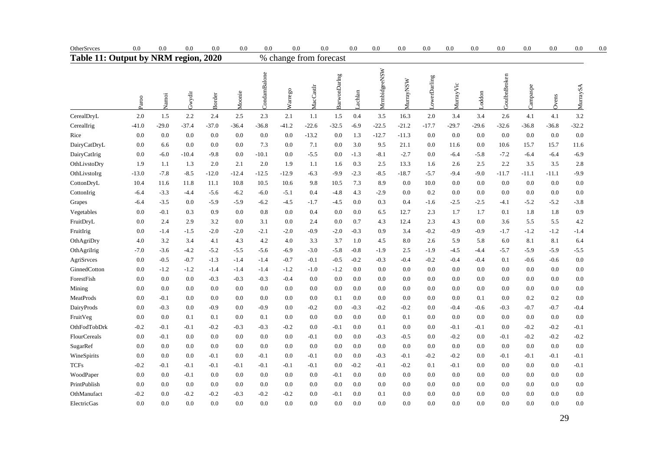| OtherSrvces                          | 0.0     | 0.0     | 0.0     | 0.0           | 0.0     | 0.0          | 0.0                    |           | 0.0          | 0.0     | 0.0          | 0.0              | 0.0          | 0.0       | 0.0     | 0.0          | 0.0      | 0.0     | 0.0      | 0.0 |
|--------------------------------------|---------|---------|---------|---------------|---------|--------------|------------------------|-----------|--------------|---------|--------------|------------------|--------------|-----------|---------|--------------|----------|---------|----------|-----|
| Table 11: Output by NRM region, 2020 |         |         |         |               |         |              | % change from forecast |           |              |         |              |                  |              |           |         |              |          |         |          |     |
|                                      | Paroo   | Namoi   | Gwydir  | <b>Border</b> | Moonie  | CondamBalone | Warrego                | MacCastlr | BarwonDarlng | Lachlan | MrmbidgeeNSW | <b>MurrayNSW</b> | LowerDarling | MurrayVic | Loddon  | GoulbnBroken | Campaspe | Ovens   | MurraySA |     |
| CerealDryL                           | 2.0     | 1.5     | 2.2     | 2.4           | 2.5     | 2.3          | 2.1                    | 1.1       | 1.5          | 0.4     | 3.5          | 16.3             | 2.0          | 3.4       | 3.4     | 2.6          | 4.1      | 4.1     | 3.2      |     |
| CerealIrig                           | $-41.0$ | $-29.0$ | $-37.4$ | $-37.0$       | $-36.4$ | $-36.8$      | $-41.2$                | $-22.6$   | $-32.5$      | $-6.9$  | $-22.5$      | $-21.2$          | $-17.7$      | $-29.7$   | $-29.6$ | -32.6        | $-36.8$  | -36.8   | $-32.2$  |     |
| Rice                                 | 0.0     | 0.0     | 0.0     | 0.0           | 0.0     | 0.0          | 0.0                    | $-13.2$   | 0.0          | 1.3     | $-12.7$      | $-11.3$          | 0.0          | 0.0       | 0.0     | 0.0          | 0.0      | 0.0     | 0.0      |     |
| DairyCatDryL                         | 0.0     | 6.6     | 0.0     | 0.0           | 0.0     | 7.3          | 0.0                    | 7.1       | 0.0          | 3.0     | 9.5          | 21.1             | 0.0          | 11.6      | 0.0     | 10.6         | 15.7     | 15.7    | 11.6     |     |
| DairyCatIrig                         | 0.0     | $-6.0$  | $-10.4$ | $-9.8$        | 0.0     | $-10.1$      | 0.0                    | $-5.5$    | 0.0          | $-1.3$  | $-8.1$       | $-2.7$           | 0.0          | -6.4      | $-5.8$  | $-7.2$       | -6.4     | $-6.4$  | $-6.9$   |     |
| OthLivstoDry                         | 1.9     | 1.1     | 1.3     | 2.0           | 2.1     | 2.0          | 1.9                    | 1.1       | 1.6          | 0.3     | 2.5          | 13.3             | 1.6          | 2.6       | 2.5     | 2.2          | 3.5      | 3.5     | 2.8      |     |
| OthLivstoIrg                         | $-13.0$ | $-7.8$  | $-8.5$  | $-12.0$       | $-12.4$ | $-12.5$      | $-12.9$                | $-6.3$    | $-9.9$       | $-2.3$  | $-8.5$       | $-18.7$          | $-5.7$       | $-9.4$    | $-9.0$  | $-11.7$      | $-11.1$  | $-11.1$ | $-9.9$   |     |
| CottonDryL                           | 10.4    | 11.6    | 11.8    | 11.1          | 10.8    | 10.5         | 10.6                   | 9.8       | 10.5         | 7.3     | 8.9          | 0.0              | 10.0         | 0.0       | 0.0     | 0.0          | 0.0      | 0.0     | 0.0      |     |
| CottonIrig                           | $-6.4$  | $-3.3$  | -4.4    | $-5.6$        | $-6.2$  | $-6.0$       | $-5.1$                 | 0.4       | $-4.8$       | 4.3     | $-2.9$       | 0.0              | 0.2          | 0.0       | 0.0     | 0.0          | 0.0      | 0.0     | 0.0      |     |
| Grapes                               | $-6.4$  | $-3.5$  | 0.0     | $-5.9$        | $-5.9$  | $-6.2$       | $-4.5$                 | $-1.7$    | $-4.5$       | 0.0     | 0.3          | 0.4              | $-1.6$       | $-2.5$    | $-2.5$  | $-4.1$       | $-5.2$   | $-5.2$  | $-3.8$   |     |
| Vegetables                           | 0.0     | $-0.1$  | 0.3     | 0.9           | 0.0     | 0.8          | 0.0                    | 0.4       | 0.0          | 0.0     | 6.5          | 12.7             | 2.3          | 1.7       | 1.7     | 0.1          | 1.8      | 1.8     | 0.9      |     |
| FruitDryL                            | 0.0     | 2.4     | 2.9     | 3.2           | 0.0     | 3.1          | 0.0                    | 2.4       | 0.0          | 0.7     | 4.3          | 12.4             | 2.3          | 4.3       | 0.0     | 3.6          | 5.5      | 5.5     | 4.2      |     |
| FruitIrig                            | 0.0     | $-1.4$  | $-1.5$  | $-2.0$        | $-2.0$  | $-2.1$       | $-2.0$                 | $-0.9$    | $-2.0$       | $-0.3$  | 0.9          | 3.4              | $-0.2$       | $-0.9$    | $-0.9$  | $-1.7$       | $-1.2$   | $-1.2$  | $-1.4$   |     |
| OthAgriDry                           | 4.0     | 3.2     | 3.4     | 4.1           | 4.3     | 4.2          | 4.0                    | 3.3       | 3.7          | 1.0     | 4.5          | 8.0              | 2.6          | 5.9       | 5.8     | 6.0          | 8.1      | 8.1     | 6.4      |     |
| OthAgriIrig                          | $-7.0$  | $-3.6$  | $-4.2$  | $-5.2$        | $-5.5$  | $-5.6$       | $-6.9$                 | $-3.0$    | $-5.8$       | $-0.8$  | $-1.9$       | 2.5              | $-1.9$       | $-4.5$    | -4.4    | $-5.7$       | $-5.9$   | $-5.9$  | $-5.5$   |     |
| AgriSrvces                           | 0.0     | $-0.5$  | $-0.7$  | $-1.3$        | $-1.4$  | -1.4         | $-0.7$                 | $-0.1$    | $-0.5$       | $-0.2$  | $-0.3$       | $-0.4$           | $-0.2$       | $-0.4$    | $-0.4$  | 0.1          | $-0.6$   | $-0.6$  | 0.0      |     |
| GinnedCotton                         | 0.0     | $-1.2$  | $-1.2$  | $-1.4$        | $-1.4$  | -1.4         | $-1.2$                 | $-1.0$    | $-1.2$       | 0.0     | 0.0          | 0.0              | 0.0          | 0.0       | 0.0     | 0.0          | 0.0      | 0.0     | 0.0      |     |
| ForestFish                           | 0.0     | 0.0     | 0.0     | $-0.3$        | $-0.3$  | $-0.3$       | $-0.4$                 | 0.0       | 0.0          | $0.0\,$ | 0.0          | 0.0              | 0.0          | 0.0       | 0.0     | 0.0          | 0.0      | 0.0     | 0.0      |     |
| Mining                               | 0.0     | 0.0     | 0.0     | 0.0           | 0.0     | 0.0          | 0.0                    | 0.0       | 0.0          | 0.0     | 0.0          | 0.0              | 0.0          | 0.0       | 0.0     | 0.0          | 0.0      | 0.0     | 0.0      |     |
| MeatProds                            | 0.0     | $-0.1$  | 0.0     | 0.0           | 0.0     | 0.0          | 0.0                    | 0.0       | 0.1          | 0.0     | 0.0          | 0.0              | 0.0          | 0.0       | 0.1     | 0.0          | 0.2      | 0.2     | 0.0      |     |
| DairyProds                           | 0.0     | $-0.3$  | 0.0     | $-0.9$        | 0.0     | $-0.9$       | 0.0                    | $-0.2$    | 0.0          | $-0.3$  | $-0.2$       | $-0.2$           | 0.0          | $-0.4$    | $-0.6$  | $-0.3$       | $-0.7$   | $-0.7$  | $-0.4$   |     |
| FruitVeg                             | 0.0     | 0.0     | 0.1     | 0.1           | 0.0     | 0.1          | 0.0                    | 0.0       | 0.0          | 0.0     | 0.0          | 0.1              | 0.0          | 0.0       | 0.0     | 0.0          | 0.0      | 0.0     | 0.0      |     |
| OthFodTobDrk                         | $-0.2$  | $-0.1$  | $-0.1$  | $-0.2$        | $-0.3$  | $-0.3$       | $-0.2$                 | 0.0       | $-0.1$       | 0.0     | 0.1          | 0.0              | 0.0          | $-0.1$    | $-0.1$  | 0.0          | $-0.2$   | $-0.2$  | $-0.1$   |     |
| FlourCereals                         | 0.0     | $-0.1$  | 0.0     | 0.0           | 0.0     | 0.0          | 0.0                    | $-0.1$    | 0.0          | 0.0     | -0.3         | $-0.5$           | 0.0          | $-0.2$    | 0.0     | $-0.1$       | $-0.2$   | $-0.2$  | $-0.2$   |     |
| SugarRef                             | 0.0     | 0.0     | 0.0     | 0.0           | 0.0     | 0.0          | 0.0                    | 0.0       | 0.0          | 0.0     | 0.0          | 0.0              | 0.0          | 0.0       | 0.0     | 0.0          | 0.0      | 0.0     | 0.0      |     |
| WineSpirits                          | 0.0     | 0.0     | 0.0     | $-0.1$        | 0.0     | -0.1         | 0.0                    | $-0.1$    | 0.0          | 0.0     | $-0.3$       | $-0.1$           | $-0.2$       | $-0.2$    | 0.0     | $-0.1$       | $-0.1$   | $-0.1$  | $-0.1$   |     |
| <b>TCFs</b>                          | $-0.2$  | $-0.1$  | $-0.1$  | $-0.1$        | $-0.1$  | -0.1         | $-0.1$                 | $-0.1$    | 0.0          | $-0.2$  | $-0.1$       | $-0.2$           | 0.1          | -0.1      | 0.0     | 0.0          | 0.0      | 0.0     | $-0.1$   |     |
| WoodPaper                            | 0.0     | 0.0     | $-0.1$  | 0.0           | 0.0     | 0.0          | 0.0                    | 0.0       | $-0.1$       | 0.0     | 0.0          | 0.0              | 0.0          | 0.0       | 0.0     | 0.0          | 0.0      | 0.0     | 0.0      |     |
| PrintPublish                         | 0.0     | 0.0     | 0.0     | 0.0           | 0.0     | 0.0          | 0.0                    | 0.0       | 0.0          | 0.0     | 0.0          | 0.0              | 0.0          | 0.0       | 0.0     | 0.0          | 0.0      | 0.0     | 0.0      |     |
| OthManufact                          | $-0.2$  | 0.0     | -0.2    | $-0.2$        | $-0.3$  | -0.2         | $-0.2$                 | 0.0       | -0.1         | 0.0     | 0.1          | 0.0              | 0.0          | 0.0       | 0.0     | 0.0          | 0.0      | 0.0     | 0.0      |     |
| ElectricGas                          | 0.0     | 0.0     | 0.0     | 0.0           | 0.0     | 0.0          | 0.0                    | 0.0       | 0.0          | 0.0     | 0.0          | 0.0              | 0.0          | 0.0       | 0.0     | 0.0          | 0.0      | 0.0     | 0.0      |     |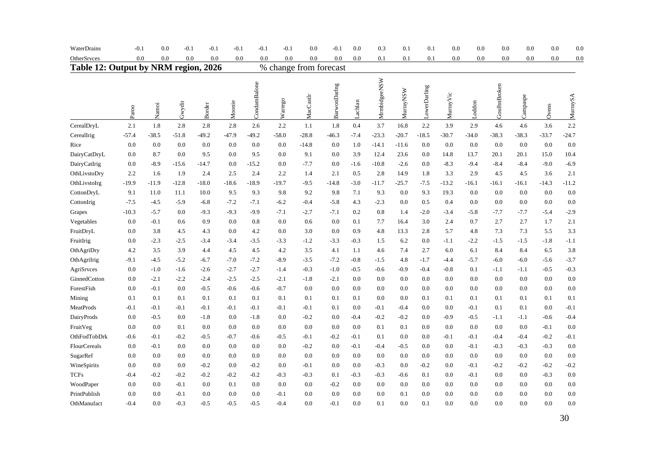| WaterDrains                          | $-0.1$  | 0.0     | $-0.1$  | $-0.1$     | $-0.1$  | $-0.1$       | $-0.1$                 | 0.0       | $-0.1$       | $0.0\,$ | 0.3          | 0.1              | 0.1          | $0.0\,$    | 0.0     | 0.0          | 0.0      | 0.0     | 0.0      |
|--------------------------------------|---------|---------|---------|------------|---------|--------------|------------------------|-----------|--------------|---------|--------------|------------------|--------------|------------|---------|--------------|----------|---------|----------|
| OtherSrvces                          | 0.0     | 0.0     |         | 0.0<br>0.0 | 0.0     | 0.0          | 0.0                    | 0.0       | 0.0          | 0.0     | 0.1          | 0.1              | 0.1          | 0.0        | 0.0     | 0.0          | 0.0      | 0.0     | 0.0      |
| Table 12: Output by NRM region, 2026 |         |         |         |            |         |              | % change from forecast |           |              |         |              |                  |              |            |         |              |          |         |          |
|                                      | Paroo   | Namoi   | Gwydir  | Border     | Moonie  | CondamBalone | Warrego                | MacCastlr | BarwonDarlng | Lachlan | MrmbidgeeNSW | <b>MurrayNSW</b> | LowerDarling | Murray Vic | Loddon  | GoulbnBroken | Campaspe | Ovens   | MurraySA |
| CerealDryL                           | 2.1     | 1.8     | 2.8     | 2.8        | 2.8     | 2.6          | 2.2                    | 1.1       | 1.8          | 0.4     | 3.7          | 16.8             | 2.2          | 3.9        | 2.9     | 4.6          | 4.6      | 3.6     | 2.2      |
| CerealIrig                           | $-57.4$ | $-38.5$ | $-51.8$ | $-49.2$    | $-47.9$ | $-49.2$      | $-58.0$                | $-28.8$   | $-46.3$      | $-7.4$  | $-23.3$      | $-20.7$          | $-18.5$      | $-30.7$    | $-34.0$ | $-38.3$      | $-38.3$  | $-33.7$ | $-24.7$  |
| Rice                                 | 0.0     | 0.0     | 0.0     | 0.0        | 0.0     | 0.0          | 0.0                    | $-14.8$   | 0.0          | 1.0     | $-14.1$      | $-11.6$          | 0.0          | 0.0        | 0.0     | 0.0          | 0.0      | 0.0     | 0.0      |
| DairyCatDryL                         | 0.0     | 8.7     | 0.0     | 9.5        | 0.0     | 9.5          | 0.0                    | 9.1       | 0.0          | 3.9     | 12.4         | 23.6             | 0.0          | 14.8       | 13.7    | 20.1         | 20.1     | 15.0    | 10.4     |
| DairyCatIrig                         | 0.0     | $-8.9$  | $-15.6$ | $-14.7$    | 0.0     | $-15.2$      | 0.0                    | $-7.7$    | 0.0          | $-1.6$  | $-10.8$      | $-2.6$           | 0.0          | $-8.3$     | $-9.4$  | $-8.4$       | $-8.4$   | $-9.0$  | $-6.9$   |
| OthLivstoDry                         | 2.2     | 1.6     | 1.9     | 2.4        | 2.5     | 2.4          | 2.2                    | 1.4       | 2.1          | 0.5     | 2.8          | 14.9             | 1.8          | 3.3        | 2.9     | 4.5          | 4.5      | 3.6     | 2.1      |
| OthLivstoIrg                         | $-19.9$ | $-11.9$ | $-12.8$ | $-18.0$    | $-18.6$ | $-18.9$      | $-19.7$                | $-9.5$    | $-14.8$      | $-3.0$  | $-11.7$      | $-25.7$          | $-7.5$       | $-13.2$    | $-16.1$ | $-16.1$      | $-16.1$  | $-14.3$ | $-11.2$  |
| CottonDryL                           | 9.1     | 11.0    | 11.1    | 10.0       | 9.5     | 9.3          | 9.8                    | 9.2       | 9.8          | 7.1     | 9.3          | 0.0              | 9.3          | 19.3       | 0.0     | 0.0          | 0.0      | 0.0     | 0.0      |
| CottonIrig                           | $-7.5$  | $-4.5$  | $-5.9$  | $-6.8$     | $-7.2$  | $-7.1$       | $-6.2$                 | $-0.4$    | $-5.8$       | 4.3     | $-2.3$       | 0.0              | 0.5          | 0.4        | 0.0     | 0.0          | 0.0      | 0.0     | 0.0      |
| Grapes                               | $-10.3$ | $-5.7$  | 0.0     | $-9.3$     | $-9.3$  | $-9.9$       | $-7.1$                 | $-2.7$    | $-7.1$       | 0.2     | 0.8          | 1.4              | $-2.0$       | $-3.4$     | $-5.8$  | $-7.7$       | $-7.7$   | $-5.4$  | $-2.9$   |
| Vegetables                           | 0.0     | $-0.1$  | 0.6     | 0.9        | 0.0     | 0.8          | 0.0                    | 0.6       | 0.0          | 0.1     | 7.7          | 16.4             | 3.0          | 2.4        | 0.7     | 2.7          | 2.7      | 1.7     | 2.1      |
| FruitDryL                            | 0.0     | 3.8     | 4.5     | 4.3        | 0.0     | 4.2          | 0.0                    | 3.0       | 0.0          | 0.9     | 4.8          | 13.3             | 2.8          | 5.7        | 4.8     | 7.3          | 7.3      | 5.5     | 3.3      |
| FruitIrig                            | 0.0     | $-2.3$  | $-2.5$  | $-3.4$     | $-3.4$  | $-3.5$       | $-3.3$                 | $-1.2$    | $-3.3$       | $-0.3$  | 1.5          | 6.2              | 0.0          | $-1.1$     | $-2.2$  | $-1.5$       | $-1.5$   | $-1.8$  | $-1.1$   |
| OthAgriDry                           | 4.2     | 3.5     | 3.9     | 4.4        | 4.5     | 4.5          | 4.2                    | 3.5       | 4.1          | 1.1     | 4.6          | 7.4              | 2.7          | 6.0        | 6.1     | 8.4          | 8.4      | 6.5     | 3.8      |
| OthAgriIrig                          | $-9.1$  | $-4.5$  | $-5.2$  | $-6.7$     | $-7.0$  | $-7.2$       | $-8.9$                 | $-3.5$    | $-7.2$       | $-0.8$  | $-1.5$       | 4.8              | $-1.7$       | $-4.4$     | $-5.7$  | $-6.0$       | $-6.0$   | $-5.6$  | $-3.7$   |
| AgriSrvces                           | 0.0     | $-1.0$  | $-1.6$  | $-2.6$     | $-2.7$  | $-2.7$       | $-1.4$                 | $-0.3$    | $-1.0$       | $-0.5$  | $-0.6$       | $-0.9$           | $-0.4$       | $-0.8$     | 0.1     | $-1.1$       | $-1.1$   | $-0.5$  | $-0.3$   |
| GinnedCotton                         | 0.0     | $-2.1$  | $-2.2$  | $-2.4$     | $-2.5$  | $-2.5$       | $-2.1$                 | $-1.8$    | $-2.1$       | 0.0     | 0.0          | 0.0              | 0.0          | 0.0        | 0.0     | 0.0          | 0.0      | 0.0     | 0.0      |
| ForestFish                           | 0.0     | $-0.1$  | 0.0     | $-0.5$     | $-0.6$  | $-0.6$       | $-0.7$                 | 0.0       | 0.0          | 0.0     | 0.0          | 0.0              | 0.0          | 0.0        | 0.0     | 0.0          | 0.0      | 0.0     | 0.0      |
| Mining                               | 0.1     | 0.1     | 0.1     | 0.1        | 0.1     | 0.1          | 0.1                    | 0.1       | 0.1          | 0.1     | 0.0          | 0.0              | 0.1          | 0.1        | 0.1     | 0.1          | 0.1      | 0.1     | 0.1      |
| MeatProds                            | $-0.1$  | $-0.1$  | $-0.1$  | $-0.1$     | $-0.1$  | $-0.1$       | $-0.1$                 | $-0.1$    | 0.1          | 0.0     | $-0.1$       | $-0.4$           | 0.0          | 0.0        | $-0.1$  | 0.1          | 0.1      | 0.0     | $-0.1$   |
| DairyProds                           | 0.0     | $-0.5$  | 0.0     | $-1.8$     | 0.0     | $-1.8$       | 0.0                    | $-0.2$    | 0.0          | $-0.4$  | $-0.2$       | $-0.2$           | 0.0          | $-0.9$     | $-0.5$  | $-1.1$       | $-1.1$   | $-0.6$  | $-0.4$   |
| FruitVeg                             | 0.0     | 0.0     | 0.1     | 0.0        | 0.0     | 0.0          | 0.0                    | 0.0       | 0.0          | 0.0     | 0.1          | 0.1              | 0.0          | 0.0        | 0.0     | 0.0          | 0.0      | $-0.1$  | 0.0      |
| OthFodTobDrk                         | -0.6    | $-0.1$  | $-0.2$  | $-0.5$     | $-0.7$  | $-0.6$       | $-0.5$                 | $-0.1$    | $-0.2$       | $-0.1$  | 0.1          | 0.0              | 0.0          | $-0.1$     | $-0.1$  | $-0.4$       | $-0.4$   | $-0.2$  | $-0.1$   |
| FlourCereals                         | 0.0     | $-0.1$  | 0.0     | 0.0        | 0.0     | 0.0          | 0.0                    | $-0.2$    | 0.0          | $-0.1$  | $-0.4$       | $-0.5$           | 0.0          | 0.0        | $-0.1$  | $-0.3$       | $-0.3$   | $-0.3$  | 0.0      |
| SugarRef                             | 0.0     | 0.0     | 0.0     | 0.0        | 0.0     | 0.0          | 0.0                    | 0.0       | 0.0          | 0.0     | 0.0          | 0.0              | 0.0          | 0.0        | 0.0     | 0.0          | 0.0      | 0.0     | 0.0      |
| WineSpirits                          | 0.0     | 0.0     | 0.0     | $-0.2$     | 0.0     | $-0.2$       | 0.0                    | $-0.1$    | 0.0          | 0.0     | $-0.3$       | 0.0              | $-0.2$       | 0.0        | $-0.1$  | $-0.2$       | $-0.2$   | $-0.2$  | $-0.2$   |
| <b>TCFs</b>                          | $-0.4$  | $-0.2$  | $-0.2$  | $-0.2$     | $-0.2$  | $-0.2$       | $-0.3$                 | $-0.3$    | 0.1          | $-0.3$  | $-0.3$       | $-0.6$           | 0.1          | 0.0        | $-0.1$  | 0.0          | 0.0      | $-0.3$  | 0.0      |
| WoodPaper                            | 0.0     | 0.0     | $-0.1$  | 0.0        | 0.1     | 0.0          | 0.0                    | 0.0       | $-0.2$       | 0.0     | 0.0          | 0.0              | 0.0          | 0.0        | 0.0     | 0.0          | 0.0      | 0.0     | 0.0      |
| PrintPublish                         | 0.0     | 0.0     | $-0.1$  | 0.0        | 0.0     | 0.0          | $-0.1$                 | 0.0       | 0.0          | 0.0     | 0.0          | 0.1              | 0.0          | 0.0        | 0.0     | 0.0          | 0.0      | 0.0     | 0.0      |
| OthManufact                          | $-0.4$  | 0.0     | $-0.3$  | $-0.5$     | $-0.5$  | $-0.5$       | $-0.4$                 | 0.0       | $-0.1$       | 0.0     | 0.1          | 0.0              | 0.1          | 0.0        | 0.0     | 0.0          | 0.0      | 0.0     | 0.0      |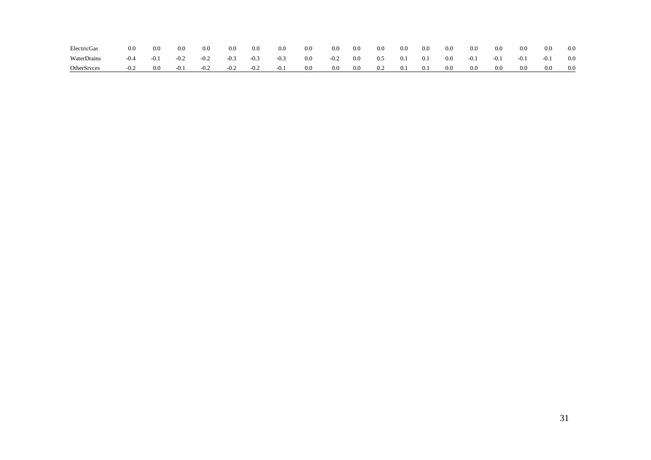| ElectricGas        |        | 0.0    | 0.0    | 0.0    | 0.0    | 0.0    | 0.0    | 0.0 | 0.0    | 0.0 | 0.0 | 0.0 | 0.0 | 0.0 | 0.0    | 0.0    | 0.0     | 0.0    | 0.0     |
|--------------------|--------|--------|--------|--------|--------|--------|--------|-----|--------|-----|-----|-----|-----|-----|--------|--------|---------|--------|---------|
| WaterDrains        | $-0.4$ | $-0.1$ | $-0.2$ | $-0.2$ | $-0.3$ | $-0.3$ | $-0.3$ | 0.0 | $-0.2$ | 0.0 | 0.5 | 0.1 | 0.1 | 0.0 | $-0.1$ | $-0.1$ | $-0.1$  | $-0.1$ | 0.0     |
| <b>OtherSrvces</b> | $-0.2$ | 0.0    | $-0.1$ | $-0.2$ | $-0.2$ | $-0.2$ | $-0.1$ | 0.0 | 0.0    | 0.0 | 0.2 | 0.1 | 0.1 | 0.0 | 0.0    | 0.0    | $0.0\,$ | 0.0    | $0.0\,$ |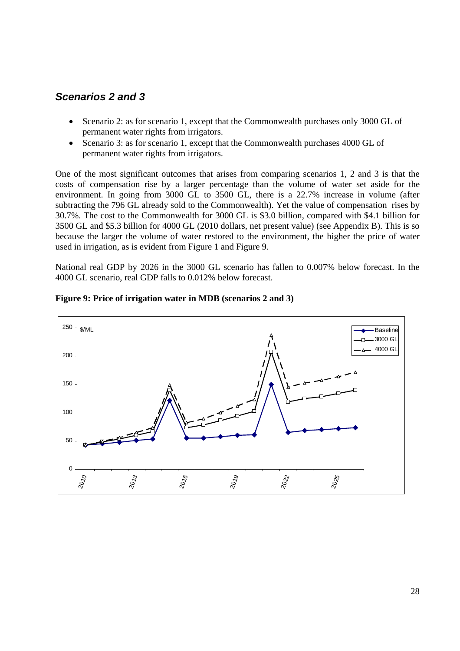### *Scenarios 2 and 3*

- Scenario 2: as for scenario 1, except that the Commonwealth purchases only 3000 GL of permanent water rights from irrigators.
- Scenario 3: as for scenario 1, except that the Commonwealth purchases 4000 GL of permanent water rights from irrigators.

One of the most significant outcomes that arises from comparing scenarios 1, 2 and 3 is that the costs of compensation rise by a larger percentage than the volume of water set aside for the environment. In going from 3000 GL to 3500 GL, there is a 22.7% increase in volume (after subtracting the 796 GL already sold to the Commonwealth). Yet the value of compensation rises by 30.7%. The cost to the Commonwealth for 3000 GL is \$3.0 billion, compared with \$4.1 billion for 3500 GL and \$5.3 billion for 4000 GL (2010 dollars, net present value) (see Appendix B). This is so because the larger the volume of water restored to the environment, the higher the price of water used in irrigation, as is evident from Figure 1 and Figure 9.

National real GDP by 2026 in the 3000 GL scenario has fallen to 0.007% below forecast. In the 4000 GL scenario, real GDP falls to 0.012% below forecast.



#### **Figure 9: Price of irrigation water in MDB (scenarios 2 and 3)**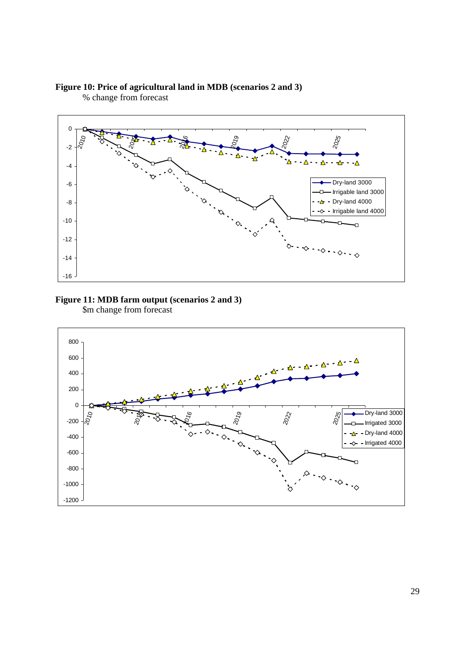#### **Figure 10: Price of agricultural land in MDB (scenarios 2 and 3)**





# **Figure 11: MDB farm output (scenarios 2 and 3)**

\$m change from forecast

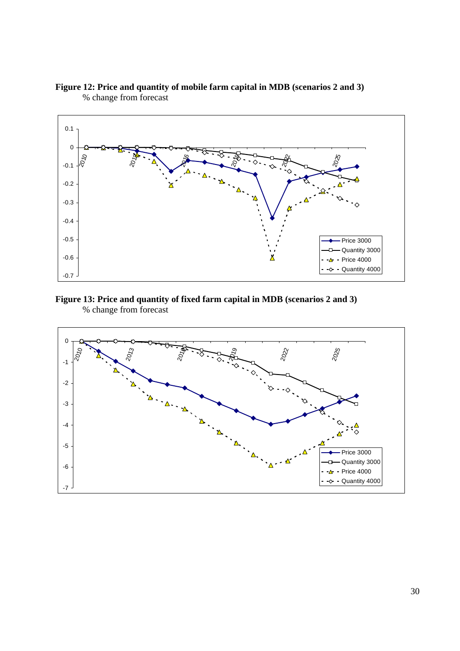

**Figure 12: Price and quantity of mobile farm capital in MDB (scenarios 2 and 3)**  % change from forecast

#### **Figure 13: Price and quantity of fixed farm capital in MDB (scenarios 2 and 3)**  % change from forecast

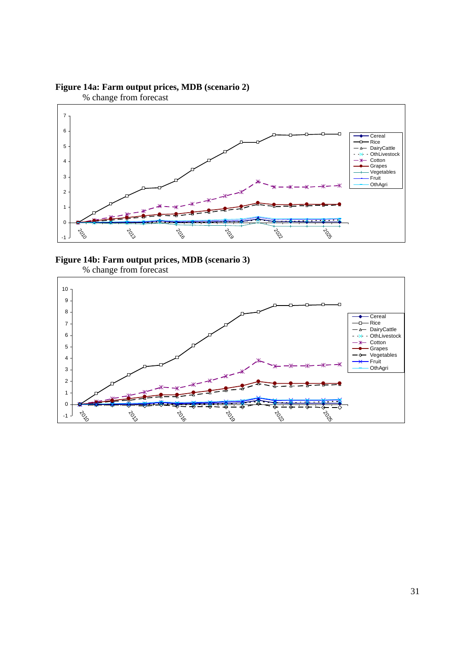



**Figure 14b: Farm output prices, MDB (scenario 3)** 



% change from forecast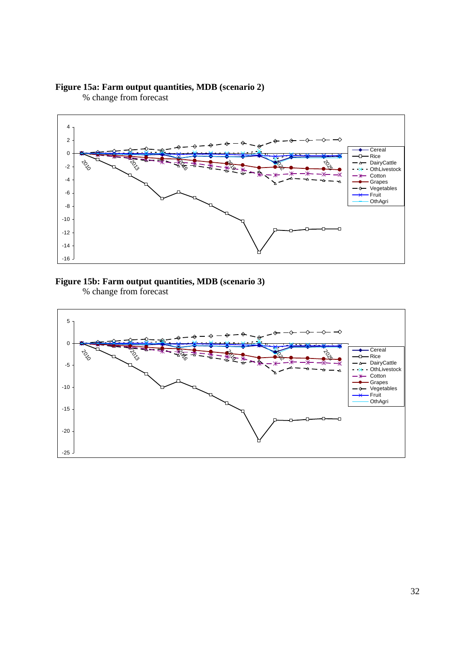#### **Figure 15a: Farm output quantities, MDB (scenario 2)**

% change from forecast



#### **Figure 15b: Farm output quantities, MDB (scenario 3)**  % change from forecast

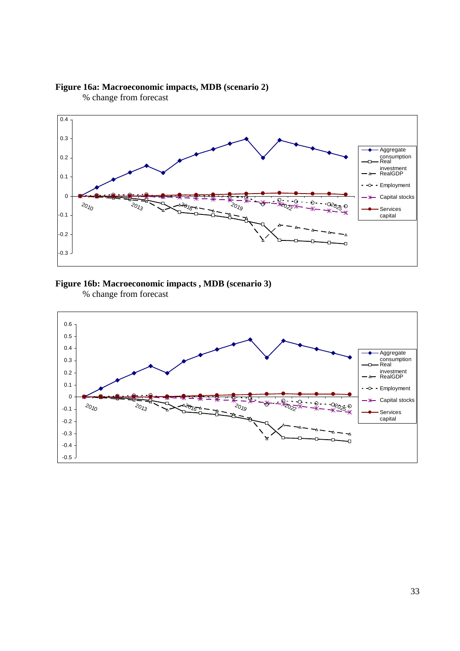





# **Figure 16b: Macroeconomic impacts , MDB (scenario 3)**

% change from forecast

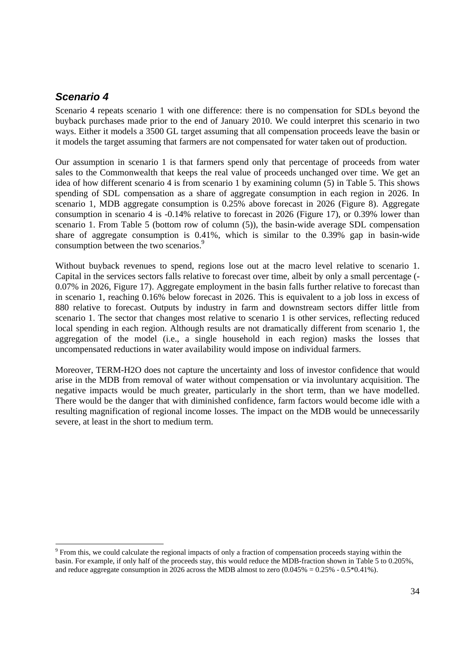### *Scenario 4*

l

Scenario 4 repeats scenario 1 with one difference: there is no compensation for SDLs beyond the buyback purchases made prior to the end of January 2010. We could interpret this scenario in two ways. Either it models a 3500 GL target assuming that all compensation proceeds leave the basin or it models the target assuming that farmers are not compensated for water taken out of production.

Our assumption in scenario 1 is that farmers spend only that percentage of proceeds from water sales to the Commonwealth that keeps the real value of proceeds unchanged over time. We get an idea of how different scenario 4 is from scenario 1 by examining column (5) in Table 5. This shows spending of SDL compensation as a share of aggregate consumption in each region in 2026. In scenario 1, MDB aggregate consumption is 0.25% above forecast in 2026 (Figure 8). Aggregate consumption in scenario 4 is -0.14% relative to forecast in 2026 (Figure 17), or 0.39% lower than scenario 1. From Table 5 (bottom row of column (5)), the basin-wide average SDL compensation share of aggregate consumption is 0.41%, which is similar to the 0.39% gap in basin-wide consumption between the two scenarios.<sup>9</sup>

Without buyback revenues to spend, regions lose out at the macro level relative to scenario 1. Capital in the services sectors falls relative to forecast over time, albeit by only a small percentage (- 0.07% in 2026, Figure 17). Aggregate employment in the basin falls further relative to forecast than in scenario 1, reaching 0.16% below forecast in 2026. This is equivalent to a job loss in excess of 880 relative to forecast. Outputs by industry in farm and downstream sectors differ little from scenario 1. The sector that changes most relative to scenario 1 is other services, reflecting reduced local spending in each region. Although results are not dramatically different from scenario 1, the aggregation of the model (i.e., a single household in each region) masks the losses that uncompensated reductions in water availability would impose on individual farmers.

Moreover, TERM-H2O does not capture the uncertainty and loss of investor confidence that would arise in the MDB from removal of water without compensation or via involuntary acquisition. The negative impacts would be much greater, particularly in the short term, than we have modelled. There would be the danger that with diminished confidence, farm factors would become idle with a resulting magnification of regional income losses. The impact on the MDB would be unnecessarily severe, at least in the short to medium term.

<sup>&</sup>lt;sup>9</sup> From this, we could calculate the regional impacts of only a fraction of compensation proceeds staying within the basin. For example, if only half of the proceeds stay, this would reduce the MDB-fraction shown in Table 5 to 0.205%, and reduce aggregate consumption in 2026 across the MDB almost to zero  $(0.045\% = 0.25\% - 0.5\%0.41\%)$ .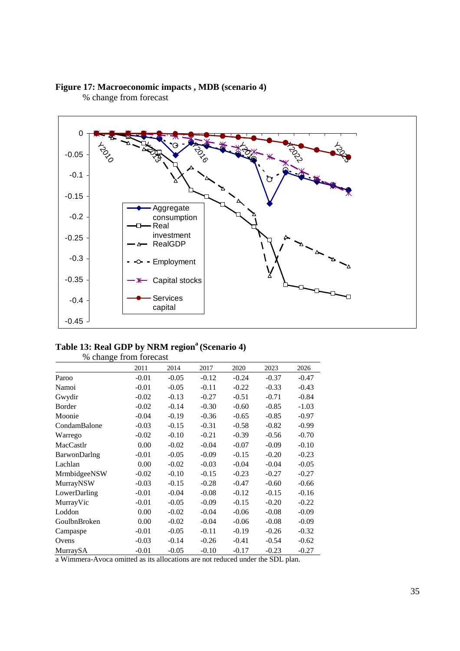

% change from forecast



#### Table 13: Real GDP by NRM region<sup>a</sup> (Scenario 4)

|              | % change from forecast |         |         |         |         |         |
|--------------|------------------------|---------|---------|---------|---------|---------|
|              | 2011                   | 2014    | 2017    | 2020    | 2023    | 2026    |
| Paroo        | $-0.01$                | $-0.05$ | $-0.12$ | $-0.24$ | $-0.37$ | $-0.47$ |
| Namoi        | $-0.01$                | $-0.05$ | $-0.11$ | $-0.22$ | $-0.33$ | $-0.43$ |
| Gwydir       | $-0.02$                | $-0.13$ | $-0.27$ | $-0.51$ | $-0.71$ | $-0.84$ |
| Border       | $-0.02$                | $-0.14$ | $-0.30$ | $-0.60$ | $-0.85$ | $-1.03$ |
| Moonie       | $-0.04$                | $-0.19$ | $-0.36$ | $-0.65$ | $-0.85$ | $-0.97$ |
| CondamBalone | $-0.03$                | $-0.15$ | $-0.31$ | $-0.58$ | $-0.82$ | $-0.99$ |
| Warrego      | $-0.02$                | $-0.10$ | $-0.21$ | $-0.39$ | $-0.56$ | $-0.70$ |
| MacCastlr    | 0.00                   | $-0.02$ | $-0.04$ | $-0.07$ | $-0.09$ | $-0.10$ |
| BarwonDarlng | $-0.01$                | $-0.05$ | $-0.09$ | $-0.15$ | $-0.20$ | $-0.23$ |
| Lachlan      | 0.00                   | $-0.02$ | $-0.03$ | $-0.04$ | $-0.04$ | $-0.05$ |
| MrmbidgeeNSW | $-0.02$                | $-0.10$ | $-0.15$ | $-0.23$ | $-0.27$ | $-0.27$ |
| MurrayNSW    | $-0.03$                | $-0.15$ | $-0.28$ | $-0.47$ | $-0.60$ | $-0.66$ |
| LowerDarling | $-0.01$                | $-0.04$ | $-0.08$ | $-0.12$ | $-0.15$ | $-0.16$ |
| MurrayVic    | $-0.01$                | $-0.05$ | $-0.09$ | $-0.15$ | $-0.20$ | $-0.22$ |
| Loddon       | 0.00                   | $-0.02$ | $-0.04$ | $-0.06$ | $-0.08$ | $-0.09$ |
| GoulbnBroken | 0.00                   | $-0.02$ | $-0.04$ | $-0.06$ | $-0.08$ | $-0.09$ |
| Campaspe     | $-0.01$                | $-0.05$ | $-0.11$ | $-0.19$ | $-0.26$ | $-0.32$ |
| Ovens        | $-0.03$                | $-0.14$ | $-0.26$ | $-0.41$ | $-0.54$ | $-0.62$ |
| MurraySA     | $-0.01$                | $-0.05$ | $-0.10$ | $-0.17$ | $-0.23$ | $-0.27$ |

% change from forecast

a Wimmera-Avoca omitted as its allocations are not reduced under the SDL plan.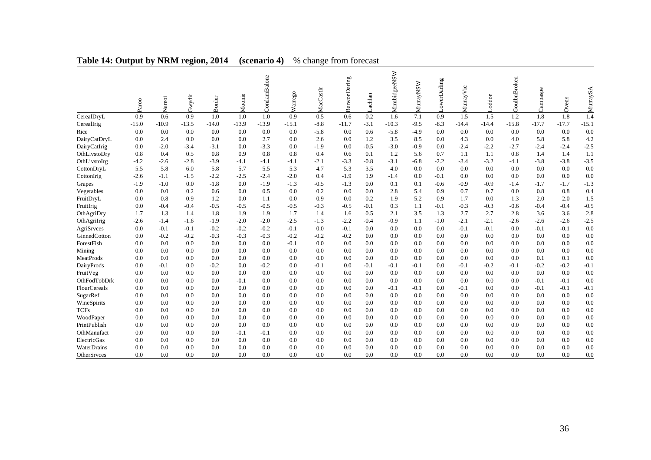|              | Paroo   | Namoi   | Gwydir  | Border  | Moonie  | CondamBalone | arrego<br>⋧ | MacCastlr | BarwonDaring | achlan | MrmbidgeeNSW | MurrayNSW | owerDarling | MurrayVic | oddon   | GoulbnBroken | Campaspe | Ovens   | MurraySA |
|--------------|---------|---------|---------|---------|---------|--------------|-------------|-----------|--------------|--------|--------------|-----------|-------------|-----------|---------|--------------|----------|---------|----------|
| CerealDryL   | 0.9     | 0.6     | 0.9     | 1.0     | 1.0     | 1.0          | 0.9         | 0.5       | 0.6          | 0.2    | 1.6          | 7.1       | 0.9         | 1.5       | 1.5     | 1.2          | 1.8      | 1.8     | 1.4      |
| CerealIrig   | $-15.0$ | $-10.9$ | $-13.5$ | $-14.0$ | $-13.9$ | $-13.9$      | $-15.1$     | $-8.8$    | $-11.7$      | $-3.1$ | $-10.3$      | $-9.5$    | $-8.3$      | $-14.4$   | $-14.4$ | $-15.8$      | $-17.7$  | $-17.7$ | $-15.1$  |
| Rice         | 0.0     | 0.0     | 0.0     | 0.0     | 0.0     | 0.0          | 0.0         | $-5.8$    | 0.0          | 0.6    | $-5.8$       | $-4.9$    | 0.0         | 0.0       | 0.0     | 0.0          | 0.0      | 0.0     | 0.0      |
| DairyCatDryL | 0.0     | 2.4     | 0.0     | 0.0     | 0.0     | 2.7          | 0.0         | 2.6       | 0.0          | 1.2    | 3.5          | 8.5       | 0.0         | 4.3       | 0.0     | 4.0          | 5.8      | 5.8     | 4.2      |
| DairyCatIrig | 0.0     | $-2.0$  | $-3.4$  | $-3.1$  | 0.0     | $-3.3$       | 0.0         | $-1.9$    | 0.0          | $-0.5$ | $-3.0$       | $-0.9$    | 0.0         | $-2.4$    | $-2.2$  | $-2.7$       | $-2.4$   | $-2.4$  | $-2.5$   |
| OthLivstoDry | 0.8     | 0.4     | 0.5     | 0.8     | 0.9     | 0.8          | 0.8         | 0.4       | 0.6          | 0.1    | 1.2          | 5.6       | 0.7         | 1.1       | 1.1     | 0.8          | 1.4      | 1.4     | 1.1      |
| OthLivstoIrg | $-4.2$  | $-2.6$  | $-2.8$  | $-3.9$  | $-4.1$  | $-4.1$       | $-4.1$      | $-2.1$    | $-3.3$       | $-0.8$ | $-3.1$       | $-6.8$    | $-2.2$      | $-3.4$    | $-3.2$  | $-4.1$       | $-3.8$   | $-3.8$  | $-3.5$   |
| CottonDryL   | 5.5     | 5.8     | 6.0     | 5.8     | 5.7     | 5.5          | 5.3         | 4.7       | 5.3          | 3.5    | 4.0          | 0.0       | 0.0         | 0.0       | 0.0     | 0.0          | 0.0      | 0.0     | 0.0      |
| CottonIrig   | $-2.6$  | $-1.1$  | $-1.5$  | $-2.2$  | $-2.5$  | $-2.4$       | $-2.0$      | 0.4       | $-1.9$       | 1.9    | $-1.4$       | 0.0       | $-0.1$      | 0.0       | 0.0     | 0.0          | 0.0      | 0.0     | 0.0      |
| Grapes       | $-1.9$  | $-1.0$  | 0.0     | $-1.8$  | 0.0     | $-1.9$       | $-1.3$      | $-0.5$    | $-1.3$       | 0.0    | 0.1          | 0.1       | $-0.6$      | $-0.9$    | $-0.9$  | $-1.4$       | $-1.7$   | $-1.7$  | $-1.3$   |
| Vegetables   | 0.0     | 0.0     | 0.2     | 0.6     | 0.0     | 0.5          | 0.0         | 0.2       | 0.0          | 0.0    | 2.8          | 5.4       | 0.9         | 0.7       | 0.7     | 0.0          | 0.8      | 0.8     | 0.4      |
| FruitDryL    | 0.0     | 0.8     | 0.9     | 1.2     | 0.0     | 1.1          | 0.0         | 0.9       | 0.0          | 0.2    | 1.9          | 5.2       | 0.9         | 1.7       | 0.0     | 1.3          | 2.0      | 2.0     | 1.5      |
| FruitIrig    | 0.0     | $-0.4$  | $-0.4$  | $-0.5$  | $-0.5$  | $-0.5$       | $-0.5$      | $-0.3$    | $-0.5$       | $-0.1$ | 0.3          | 1.1       | $-0.1$      | $-0.3$    | $-0.3$  | $-0.6$       | $-0.4$   | $-0.4$  | $-0.5$   |
| OthAgriDry   | 1.7     | 1.3     | 1.4     | 1.8     | 1.9     | 1.9          | 1.7         | 1.4       | 1.6          | 0.5    | 2.1          | 3.5       | 1.3         | 2.7       | 2.7     | 2.8          | 3.6      | 3.6     | 2.8      |
| OthAgriIrig  | $-2.6$  | $-1.4$  | $-1.6$  | $-1.9$  | $-2.0$  | $-2.0$       | $-2.5$      | $-1.3$    | $-2.2$       | $-0.4$ | $-0.9$       | 1.1       | $-1.0$      | $-2.1$    | $-2.1$  | $-2.6$       | $-2.6$   | $-2.6$  | $-2.5$   |
| AgriSrvces   | 0.0     | $-0.1$  | $-0.1$  | $-0.2$  | $-0.2$  | $-0.2$       | $-0.1$      | 0.0       | $-0.1$       | 0.0    | 0.0          | 0.0       | 0.0         | $-0.1$    | $-0.1$  | 0.0          | $-0.1$   | $-0.1$  | 0.0      |
| GinnedCotton | 0.0     | $-0.2$  | $-0.2$  | $-0.3$  | $-0.3$  | $-0.3$       | $-0.2$      | $-0.2$    | $-0.2$       | 0.0    | 0.0          | 0.0       | 0.0         | 0.0       | 0.0     | 0.0          | 0.0      | 0.0     | 0.0      |
| ForestFish   | 0.0     | 0.0     | 0.0     | 0.0     | 0.0     | 0.0          | $-0.1$      | 0.0       | 0.0          | 0.0    | 0.0          | 0.0       | 0.0         | 0.0       | 0.0     | 0.0          | 0.0      | 0.0     | 0.0      |
| Mining       | 0.0     | 0.0     | 0.0     | 0.0     | 0.0     | 0.0          | 0.0         | 0.0       | 0.0          | 0.0    | 0.0          | 0.0       | 0.0         | 0.0       | 0.0     | 0.0          | 0.0      | 0.0     | 0.0      |
| MeatProds    | 0.0     | 0.0     | 0.0     | 0.0     | 0.0     | 0.0          | 0.0         | 0.0       | 0.0          | 0.0    | 0.0          | 0.0       | 0.0         | 0.0       | 0.0     | 0.0          | 0.1      | 0.1     | 0.0      |
| DairyProds   | 0.0     | $-0.1$  | 0.0     | $-0.2$  | 0.0     | $-0.2$       | 0.0         | $-0.1$    | 0.0          | $-0.1$ | $-0.1$       | $-0.1$    | 0.0         | $-0.1$    | $-0.2$  | $-0.1$       | $-0.2$   | $-0.2$  | $-0.1$   |
| FruitVeg     | 0.0     | 0.0     | 0.0     | 0.0     | 0.0     | 0.0          | 0.0         | 0.0       | 0.0          | 0.0    | 0.0          | 0.0       | 0.0         | 0.0       | 0.0     | 0.0          | 0.0      | 0.0     | 0.0      |
| OthFodTobDrk | 0.0     | 0.0     | 0.0     | 0.0     | $-0.1$  | 0.0          | 0.0         | 0.0       | 0.0          | 0.0    | 0.0          | 0.0       | 0.0         | 0.0       | 0.0     | 0.0          | $-0.1$   | $-0.1$  | 0.0      |
| FlourCereals | 0.0     | 0.0     | 0.0     | 0.0     | 0.0     | 0.0          | 0.0         | 0.0       | 0.0          | 0.0    | $-0.1$       | $-0.1$    | 0.0         | $-0.1$    | 0.0     | 0.0          | $-0.1$   | $-0.1$  | $-0.1$   |
| SugarRef     | 0.0     | 0.0     | 0.0     | 0.0     | 0.0     | 0.0          | 0.0         | 0.0       | 0.0          | 0.0    | 0.0          | 0.0       | 0.0         | 0.0       | 0.0     | 0.0          | 0.0      | 0.0     | 0.0      |
| WineSpirits  | 0.0     | 0.0     | 0.0     | 0.0     | 0.0     | 0.0          | 0.0         | 0.0       | 0.0          | 0.0    | 0.0          | 0.0       | 0.0         | 0.0       | 0.0     | 0.0          | 0.0      | 0.0     | 0.0      |
| <b>TCFs</b>  | 0.0     | 0.0     | 0.0     | 0.0     | 0.0     | 0.0          | 0.0         | 0.0       | 0.0          | 0.0    | 0.0          | 0.0       | 0.0         | 0.0       | 0.0     | 0.0          | 0.0      | 0.0     | 0.0      |
| WoodPaper    | 0.0     | 0.0     | 0.0     | 0.0     | 0.0     | 0.0          | 0.0         | 0.0       | 0.0          | 0.0    | 0.0          | 0.0       | 0.0         | 0.0       | 0.0     | 0.0          | 0.0      | 0.0     | 0.0      |
| PrintPublish | 0.0     | 0.0     | 0.0     | 0.0     | 0.0     | 0.0          | 0.0         | 0.0       | 0.0          | 0.0    | 0.0          | 0.0       | 0.0         | 0.0       | 0.0     | 0.0          | 0.0      | 0.0     | 0.0      |
| OthManufact  | 0.0     | 0.0     | 0.0     | 0.0     | $-0.1$  | $-0.1$       | 0.0         | 0.0       | 0.0          | 0.0    | 0.0          | 0.0       | 0.0         | 0.0       | 0.0     | 0.0          | 0.0      | 0.0     | 0.0      |
| ElectricGas  | 0.0     | 0.0     | 0.0     | 0.0     | 0.0     | 0.0          | 0.0         | 0.0       | 0.0          | 0.0    | 0.0          | 0.0       | 0.0         | 0.0       | 0.0     | 0.0          | 0.0      | 0.0     | 0.0      |
| WaterDrains  | 0.0     | 0.0     | 0.0     | 0.0     | 0.0     | 0.0          | 0.0         | 0.0       | 0.0          | 0.0    | 0.0          | 0.0       | 0.0         | 0.0       | 0.0     | 0.0          | 0.0      | 0.0     | 0.0      |
| OtherSrvces  | 0.0     | 0.0     | 0.0     | 0.0     | 0.0     | 0.0          | 0.0         | 0.0       | 0.0          | 0.0    | 0.0          | 0.0       | 0.0         | 0.0       | 0.0     | 0.0          | 0.0      | 0.0     | 0.0      |

### **Table 14: Output by NRM region, 2014 (scenario 4)** % change from forecast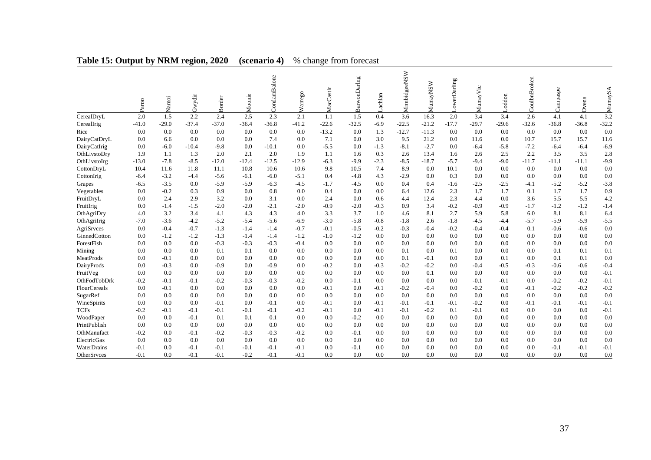|              | Paroo   | Namoi   | Gwydir  | Border  | Moonie  | CondamBalone | arrego<br>⋧ | MacCastlr | BarwonDarIng | achlan | MrmbidgeeNSW | MurrayNSW | owerDarling | MurrayVic | oddon   | GoulbnBroken | Campaspe | Ovens   | rraySA<br>Σ |
|--------------|---------|---------|---------|---------|---------|--------------|-------------|-----------|--------------|--------|--------------|-----------|-------------|-----------|---------|--------------|----------|---------|-------------|
| CerealDryL   | $2.0\,$ | 1.5     | 2.2     | 2.4     | 2.5     | 2.3          | 2.1         | 1.1       | 1.5          | 0.4    | 3.6          | 16.3      | 2.0         | 3.4       | 3.4     | 2.6          | 4.1      | 4.1     | 3.2         |
| CerealIrig   | $-41.0$ | $-29.0$ | $-37.4$ | $-37.0$ | $-36.4$ | $-36.8$      | $-41.2$     | $-22.6$   | $-32.5$      | $-6.9$ | $-22.5$      | $-21.2$   | $-17.7$     | $-29.7$   | $-29.6$ | $-32.6$      | $-36.8$  | $-36.8$ | $-32.2$     |
| Rice         | 0.0     | 0.0     | 0.0     | 0.0     | 0.0     | 0.0          | 0.0         | $-13.2$   | 0.0          | 1.3    | $-12.7$      | $-11.3$   | 0.0         | 0.0       | 0.0     | 0.0          | 0.0      | 0.0     | 0.0         |
| DairyCatDryL | 0.0     | 6.6     | 0.0     | 0.0     | 0.0     | 7.4          | 0.0         | 7.1       | 0.0          | 3.0    | 9.5          | 21.2      | 0.0         | 11.6      | 0.0     | 10.7         | 15.7     | 15.7    | 11.6        |
| DairyCatIrig | 0.0     | $-6.0$  | $-10.4$ | $-9.8$  | 0.0     | $-10.1$      | 0.0         | $-5.5$    | 0.0          | $-1.3$ | $-8.1$       | $-2.7$    | 0.0         | $-6.4$    | $-5.8$  | $-7.2$       | $-6.4$   | $-6.4$  | $-6.9$      |
| OthLivstoDry | 1.9     | 1.1     | 1.3     | 2.0     | 2.1     | 2.0          | 1.9         | 1.1       | 1.6          | 0.3    | 2.6          | 13.4      | 1.6         | 2.6       | 2.5     | 2.2          | 3.5      | 3.5     | 2.8         |
| OthLivstoIrg | $-13.0$ | $-7.8$  | $-8.5$  | $-12.0$ | $-12.4$ | $-12.5$      | $-12.9$     | $-6.3$    | $-9.9$       | $-2.3$ | $-8.5$       | $-18.7$   | $-5.7$      | $-9.4$    | $-9.0$  | $-11.7$      | $-11.1$  | $-11.1$ | $-9.9$      |
| CottonDryL   | 10.4    | 11.6    | 11.8    | 11.1    | 10.8    | 10.6         | 10.6        | 9.8       | 10.5         | 7.4    | 8.9          | 0.0       | 10.1        | 0.0       | 0.0     | 0.0          | 0.0      | 0.0     | 0.0         |
| CottonIrig   | $-6.4$  | $-3.2$  | $-4.4$  | $-5.6$  | $-6.1$  | $-6.0$       | $-5.1$      | 0.4       | $-4.8$       | 4.3    | $-2.9$       | 0.0       | 0.3         | 0.0       | 0.0     | 0.0          | 0.0      | 0.0     | 0.0         |
| Grapes       | $-6.5$  | $-3.5$  | 0.0     | $-5.9$  | $-5.9$  | $-6.3$       | $-4.5$      | $-1.7$    | $-4.5$       | 0.0    | 0.4          | 0.4       | $-1.6$      | $-2.5$    | $-2.5$  | $-4.1$       | $-5.2$   | $-5.2$  | $-3.8$      |
| Vegetables   | 0.0     | $-0.2$  | 0.3     | 0.9     | 0.0     | 0.8          | 0.0         | 0.4       | 0.0          | 0.0    | 6.4          | 12.6      | 2.3         | 1.7       | 1.7     | 0.1          | 1.7      | 1.7     | 0.9         |
| FruitDryL    | 0.0     | 2.4     | 2.9     | 3.2     | 0.0     | 3.1          | 0.0         | 2.4       | 0.0          | 0.6    | 4.4          | 12.4      | 2.3         | 4.4       | 0.0     | 3.6          | 5.5      | 5.5     | 4.2         |
| FruitIrig    | 0.0     | $-1.4$  | $-1.5$  | $-2.0$  | $-2.0$  | $-2.1$       | $-2.0$      | $-0.9$    | $-2.0$       | $-0.3$ | 0.9          | 3.4       | $-0.2$      | $-0.9$    | $-0.9$  | $-1.7$       | $-1.2$   | $-1.2$  | $-1.4$      |
| OthAgriDry   | 4.0     | 3.2     | 3.4     | 4.1     | 4.3     | 4.3          | 4.0         | 3.3       | 3.7          | 1.0    | 4.6          | 8.1       | 2.7         | 5.9       | 5.8     | 6.0          | 8.1      | 8.1     | 6.4         |
| OthAgriIrig  | $-7.0$  | $-3.6$  | $-4.2$  | $-5.2$  | $-5.4$  | $-5.6$       | $-6.9$      | $-3.0$    | $-5.8$       | $-0.8$ | $-1.8$       | 2.6       | $-1.8$      | $-4.5$    | $-4.4$  | $-5.7$       | $-5.9$   | $-5.9$  | $-5.5$      |
| AgriSrvces   | 0.0     | $-0.4$  | $-0.7$  | $-1.3$  | $-1.4$  | $-1.4$       | $-0.7$      | $-0.1$    | $-0.5$       | $-0.2$ | $-0.3$       | $-0.4$    | $-0.2$      | $-0.4$    | $-0.4$  | 0.1          | $-0.6$   | $-0.6$  | 0.0         |
| GinnedCotton | 0.0     | $-1.2$  | $-1.2$  | $-1.3$  | $-1.4$  | $-1.4$       | $-1.2$      | $-1.0$    | $-1.2$       | 0.0    | 0.0          | 0.0       | 0.0         | 0.0       | 0.0     | 0.0          | 0.0      | 0.0     | 0.0         |
| ForestFish   | 0.0     | 0.0     | 0.0     | $-0.3$  | $-0.3$  | $-0.3$       | $-0.4$      | 0.0       | 0.0          | 0.0    | 0.0          | 0.0       | 0.0         | 0.0       | 0.0     | 0.0          | 0.0      | 0.0     | 0.0         |
| Mining       | 0.0     | 0.0     | 0.0     | 0.1     | 0.1     | 0.0          | 0.0         | 0.0       | 0.0          | 0.0    | 0.1          | 0.0       | 0.1         | 0.0       | 0.0     | 0.0          | 0.1      | 0.1     | 0.1         |
| MeatProds    | 0.0     | $-0.1$  | 0.0     | 0.0     | 0.0     | 0.0          | 0.0         | 0.0       | 0.0          | 0.0    | 0.1          | $-0.1$    | 0.0         | 0.0       | 0.1     | 0.0          | 0.1      | 0.1     | 0.0         |
| DairyProds   | 0.0     | $-0.3$  | 0.0     | $-0.9$  | 0.0     | $-0.9$       | 0.0         | $-0.2$    | 0.0          | $-0.3$ | $-0.2$       | $-0.2$    | 0.0         | $-0.4$    | $-0.5$  | $-0.3$       | $-0.6$   | $-0.6$  | $-0.4$      |
| FruitVeg     | 0.0     | 0.0     | 0.0     | 0.0     | 0.0     | 0.0          | 0.0         | 0.0       | 0.0          | 0.0    | 0.0          | 0.1       | 0.0         | 0.0       | 0.0     | 0.0          | 0.0      | 0.0     | $-0.1$      |
| OthFodTobDrk | $-0.2$  | $-0.1$  | $-0.1$  | $-0.2$  | $-0.3$  | $-0.3$       | $-0.2$      | 0.0       | $-0.1$       | 0.0    | 0.0          | 0.0       | 0.0         | $-0.1$    | $-0.1$  | 0.0          | $-0.2$   | $-0.2$  | $-0.1$      |
| FlourCereals | 0.0     | $-0.1$  | 0.0     | 0.0     | 0.0     | 0.0          | 0.0         | $-0.1$    | 0.0          | $-0.1$ | $-0.2$       | $-0.4$    | 0.0         | $-0.2$    | 0.0     | $-0.1$       | $-0.2$   | $-0.2$  | $-0.2$      |
| SugarRef     | 0.0     | 0.0     | 0.0     | 0.0     | 0.0     | 0.0          | 0.0         | 0.0       | 0.0          | 0.0    | 0.0          | 0.0       | 0.0         | 0.0       | 0.0     | 0.0          | 0.0      | 0.0     | 0.0         |
| WineSpirits  | 0.0     | 0.0     | 0.0     | $-0.1$  | 0.0     | $-0.1$       | 0.0         | $-0.1$    | 0.0          | $-0.1$ | $-0.1$       | $-0.1$    | $-0.1$      | $-0.2$    | 0.0     | $-0.1$       | $-0.1$   | $-0.1$  | $-0.1$      |
| <b>TCFs</b>  | $-0.2$  | $-0.1$  | $-0.1$  | $-0.1$  | $-0.1$  | $-0.1$       | $-0.2$      | $-0.1$    | 0.0          | $-0.1$ | $-0.1$       | $-0.2$    | 0.1         | $-0.1$    | 0.0     | 0.0          | 0.0      | 0.0     | $-0.1$      |
| WoodPaper    | 0.0     | 0.0     | $-0.1$  | 0.1     | 0.1     | 0.1          | 0.0         | 0.0       | $-0.2$       | 0.0    | 0.0          | 0.0       | 0.0         | 0.0       | 0.0     | 0.0          | 0.0      | 0.0     | 0.0         |
| PrintPublish | 0.0     | 0.0     | 0.0     | 0.0     | 0.0     | 0.0          | 0.0         | 0.0       | 0.0          | 0.0    | 0.0          | 0.0       | 0.0         | 0.0       | 0.0     | 0.0          | 0.0      | 0.0     | 0.0         |
| OthManufact  | $-0.2$  | 0.0     | $-0.1$  | $-0.2$  | $-0.3$  | $-0.3$       | $-0.2$      | 0.0       | $-0.1$       | 0.0    | 0.0          | 0.0       | 0.0         | 0.0       | 0.0     | 0.0          | 0.0      | 0.0     | 0.0         |
| ElectricGas  | 0.0     | 0.0     | 0.0     | 0.0     | 0.0     | 0.0          | 0.0         | 0.0       | 0.0          | 0.0    | 0.0          | 0.0       | 0.0         | 0.0       | 0.0     | 0.0          | 0.0      | 0.0     | 0.0         |
| WaterDrains  | $-0.1$  | 0.0     | $-0.1$  | $-0.1$  | $-0.1$  | $-0.1$       | $-0.1$      | 0.0       | $-0.1$       | 0.0    | 0.0          | 0.0       | 0.0         | 0.0       | 0.0     | 0.0          | $-0.1$   | $-0.1$  | $-0.1$      |
| OtherSrvces  | $-0.1$  | 0.0     | $-0.1$  | $-0.1$  | $-0.2$  | $-0.1$       | $-0.1$      | 0.0       | 0.0          | 0.0    | 0.0          | 0.0       | 0.0         | 0.0       | 0.0     | 0.0          | 0.0      | 0.0     | 0.0         |

# **Table 15: Output by NRM region, 2020 (scenario 4)** % change from forecast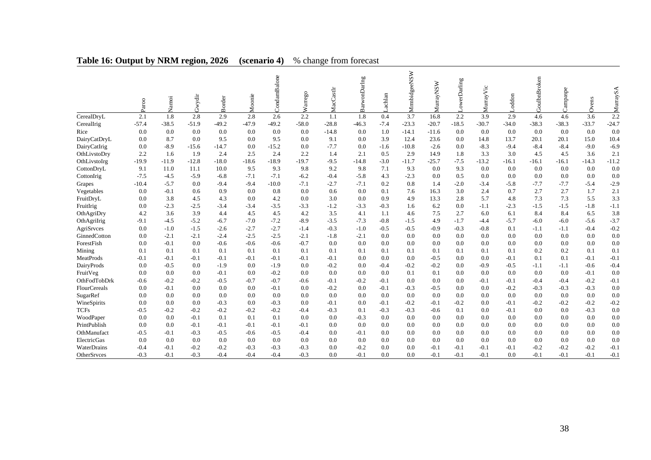|              | Paroo   | Namoi   | Gwydir  | Border  | Moonie  | CondamBalone | Warrego | MacCastlr | BarwonDarlng | achlan | MrmbidgeeNSW | <b>MurrayNSW</b> | owerDarling | MurrayVic | oddon   | <b>GoulbnBroken</b> | Campaspe | Ovens   | SA.<br>rray. |
|--------------|---------|---------|---------|---------|---------|--------------|---------|-----------|--------------|--------|--------------|------------------|-------------|-----------|---------|---------------------|----------|---------|--------------|
| CerealDryL   | 2.1     | 1.8     | 2.8     | 2.9     | 2.8     | 2.6          | 2.2     | 1.1       | 1.8          | 0.4    | 3.7          | 16.8             | 2.2         | 3.9       | 2.9     | 4.6                 | 4.6      | 3.6     | 2.2          |
| CerealIrig   | $-57.4$ | $-38.5$ | $-51.9$ | $-49.2$ | $-47.9$ | $-49.2$      | $-58.0$ | $-28.8$   | $-46.3$      | $-7.4$ | $-23.3$      | $-20.7$          | $-18.5$     | $-30.7$   | $-34.0$ | $-38.3$             | $-38.3$  | $-33.7$ | $-24.7$      |
| Rice         | 0.0     | 0.0     | 0.0     | 0.0     | 0.0     | 0.0          | 0.0     | $-14.8$   | 0.0          | 1.0    | $-14.1$      | $-11.6$          | 0.0         | 0.0       | 0.0     | 0.0                 | 0.0      | 0.0     | 0.0          |
| DairyCatDryL | 0.0     | 8.7     | 0.0     | 9.5     | 0.0     | 9.5          | 0.0     | 9.1       | 0.0          | 3.9    | 12.4         | 23.6             | 0.0         | 14.8      | 13.7    | 20.1                | 20.1     | 15.0    | 10.4         |
| DairyCatIrig | 0.0     | $-8.9$  | $-15.6$ | $-14.7$ | 0.0     | $-15.2$      | 0.0     | $-7.7$    | 0.0          | $-1.6$ | $-10.8$      | $-2.6$           | 0.0         | $-8.3$    | $-9.4$  | $-8.4$              | $-8.4$   | $-9.0$  | $-6.9$       |
| OthLivstoDry | 2.2     | 1.6     | 1.9     | 2.4     | 2.5     | 2.4          | 2.2     | 1.4       | 2.1          | 0.5    | 2.9          | 14.9             | 1.8         | 3.3       | 3.0     | 4.5                 | 4.5      | 3.6     | 2.1          |
| OthLivstoIrg | $-19.9$ | $-11.9$ | $-12.8$ | $-18.0$ | $-18.6$ | $-18.9$      | $-19.7$ | $-9.5$    | $-14.8$      | $-3.0$ | $-11.7$      | $-25.7$          | $-7.5$      | $-13.2$   | $-16.1$ | $-16.1$             | $-16.1$  | $-14.3$ | $-11.2$      |
| CottonDryL   | 9.1     | 11.0    | 11.1    | 10.0    | 9.5     | 9.3          | 9.8     | 9.2       | 9.8          | 7.1    | 9.3          | 0.0              | 9.3         | 0.0       | 0.0     | 0.0                 | 0.0      | 0.0     | 0.0          |
| CottonIrig   | $-7.5$  | $-4.5$  | $-5.9$  | $-6.8$  | $-7.1$  | $-7.1$       | $-6.2$  | $-0.4$    | $-5.8$       | 4.3    | $-2.3$       | 0.0              | 0.5         | 0.0       | 0.0     | 0.0                 | 0.0      | 0.0     | 0.0          |
| Grapes       | $-10.4$ | $-5.7$  | 0.0     | $-9.4$  | $-9.4$  | $-10.0$      | $-7.1$  | $-2.7$    | $-7.1$       | 0.2    | 0.8          | 1.4              | $-2.0$      | $-3.4$    | $-5.8$  | $-7.7$              | $-7.7$   | $-5.4$  | $-2.9$       |
| Vegetables   | 0.0     | $-0.1$  | 0.6     | 0.9     | 0.0     | 0.8          | 0.0     | 0.6       | 0.0          | 0.1    | 7.6          | 16.3             | 3.0         | 2.4       | 0.7     | 2.7                 | 2.7      | 1.7     | 2.1          |
| FruitDryL    | 0.0     | 3.8     | 4.5     | 4.3     | 0.0     | 4.2          | 0.0     | 3.0       | 0.0          | 0.9    | 4.9          | 13.3             | 2.8         | 5.7       | 4.8     | 7.3                 | 7.3      | 5.5     | 3.3          |
| FruitIrig    | 0.0     | $-2.3$  | $-2.5$  | $-3.4$  | $-3.4$  | $-3.5$       | $-3.3$  | $-1.2$    | $-3.3$       | $-0.3$ | 1.6          | 6.2              | 0.0         | $-1.1$    | $-2.3$  | $-1.5$              | $-1.5$   | $-1.8$  | $-1.1$       |
| OthAgriDry   | 4.2     | 3.6     | 3.9     | 4.4     | 4.5     | 4.5          | 4.2     | 3.5       | 4.1          | 1.1    | 4.6          | 7.5              | 2.7         | 6.0       | 6.1     | 8.4                 | 8.4      | 6.5     | 3.8          |
| OthAgriIrig  | $-9.1$  | $-4.5$  | $-5.2$  | $-6.7$  | $-7.0$  | $-7.2$       | $-8.9$  | $-3.5$    | $-7.3$       | $-0.8$ | $-1.5$       | 4.9              | $-1.7$      | $-4.4$    | $-5.7$  | $-6.0$              | $-6.0$   | $-5.6$  | $-3.7$       |
| AgriSrvces   | 0.0     | $-1.0$  | $-1.5$  | $-2.6$  | $-2.7$  | $-2.7$       | $-1.4$  | $-0.3$    | $-1.0$       | $-0.5$ | $-0.5$       | $-0.9$           | $-0.3$      | $-0.8$    | 0.1     | $-1.1$              | $-1.1$   | $-0.4$  | $-0.2$       |
| GinnedCotton | 0.0     | $-2.1$  | $-2.1$  | $-2.4$  | $-2.5$  | $-2.5$       | $-2.1$  | $-1.8$    | $-2.1$       | 0.0    | 0.0          | 0.0              | 0.0         | 0.0       | 0.0     | 0.0                 | 0.0      | 0.0     | 0.0          |
| ForestFish   | 0.0     | $-0.1$  | 0.0     | $-0.6$  | $-0.6$  | $-0.6$       | $-0.7$  | 0.0       | 0.0          | 0.0    | 0.0          | 0.0              | 0.0         | 0.0       | 0.0     | 0.0                 | 0.0      | 0.0     | 0.0          |
| Mining       | 0.1     | 0.1     | 0.1     | 0.1     | 0.1     | 0.1          | 0.1     | 0.1       | 0.1          | 0.1    | 0.1          | 0.1              | 0.1         | 0.1       | 0.1     | 0.2                 | 0.2      | 0.1     | 0.1          |
| MeatProds    | $-0.1$  | $-0.1$  | $-0.1$  | $-0.1$  | $-0.1$  | $-0.1$       | $-0.1$  | $-0.1$    | 0.0          | 0.0    | 0.0          | $-0.5$           | 0.0         | 0.0       | $-0.1$  | 0.1                 | 0.1      | $-0.1$  | $-0.1$       |
| DairyProds   | 0.0     | $-0.5$  | 0.0     | $-1.9$  | 0.0     | $-1.9$       | 0.0     | $-0.2$    | 0.0          | $-0.4$ | $-0.2$       | $-0.2$           | 0.0         | $-0.9$    | $-0.5$  | $-1.1$              | $-1.1$   | $-0.6$  | $-0.4$       |
| FruitVeg     | 0.0     | 0.0     | 0.0     | $-0.1$  | 0.0     | $-0.2$       | 0.0     | 0.0       | 0.0          | 0.0    | 0.1          | 0.1              | 0.0         | 0.0       | 0.0     | 0.0                 | 0.0      | $-0.1$  | 0.0          |
| OthFodTobDrk | $-0.6$  | $-0.2$  | $-0.2$  | $-0.5$  | $-0.7$  | $-0.7$       | $-0.6$  | $-0.1$    | $-0.2$       | $-0.1$ | 0.0          | 0.0              | 0.0         | $-0.1$    | $-0.1$  | $-0.4$              | $-0.4$   | $-0.2$  | $-0.1$       |
| FlourCereals | 0.0     | $-0.1$  | 0.0     | 0.0     | 0.0     | $-0.1$       | 0.0     | $-0.2$    | 0.0          | $-0.1$ | $-0.3$       | $-0.5$           | 0.0         | 0.0       | $-0.2$  | $-0.3$              | $-0.3$   | $-0.3$  | 0.0          |
| SugarRef     | 0.0     | 0.0     | 0.0     | 0.0     | 0.0     | 0.0          | 0.0     | 0.0       | 0.0          | 0.0    | 0.0          | 0.0              | 0.0         | 0.0       | 0.0     | 0.0                 | 0.0      | 0.0     | 0.0          |
| WineSpirits  | 0.0     | 0.0     | 0.0     | $-0.3$  | 0.0     | $-0.3$       | 0.0     | $-0.1$    | 0.0          | $-0.1$ | $-0.2$       | $-0.1$           | $-0.2$      | 0.0       | $-0.1$  | $-0.2$              | $-0.2$   | $-0.2$  | $-0.2$       |
| <b>TCFs</b>  | $-0.5$  | $-0.2$  | $-0.2$  | $-0.2$  | $-0.2$  | $-0.2$       | $-0.4$  | $-0.3$    | 0.1          | $-0.3$ | $-0.3$       | $-0.6$           | 0.1         | 0.0       | $-0.1$  | 0.0                 | 0.0      | $-0.3$  | 0.0          |
| WoodPaper    | 0.0     | 0.0     | $-0.1$  | 0.1     | 0.1     | 0.1          | 0.0     | 0.0       | $-0.3$       | 0.0    | 0.0          | 0.0              | 0.0         | 0.0       | 0.0     | 0.0                 | 0.0      | 0.0     | 0.0          |
| PrintPublish | 0.0     | 0.0     | $-0.1$  | $-0.1$  | $-0.1$  | $-0.1$       | $-0.1$  | 0.0       | 0.0          | 0.0    | 0.0          | 0.0              | 0.0         | 0.0       | 0.0     | 0.0                 | 0.0      | 0.0     | 0.0          |
| OthManufact  | $-0.5$  | $-0.1$  | $-0.3$  | $-0.5$  | $-0.6$  | $-0.5$       | $-0.4$  | 0.0       | $-0.1$       | 0.0    | 0.0          | 0.0              | 0.0         | 0.0       | 0.0     | 0.0                 | 0.0      | 0.0     | 0.0          |
| ElectricGas  | 0.0     | 0.0     | 0.0     | 0.0     | 0.0     | 0.0          | 0.0     | 0.0       | 0.0          | 0.0    | 0.0          | 0.0              | 0.0         | 0.0       | 0.0     | 0.0                 | 0.0      | 0.0     | 0.0          |
| WaterDrains  | $-0.4$  | $-0.1$  | $-0.2$  | $-0.2$  | $-0.3$  | $-0.3$       | $-0.3$  | 0.0       | $-0.2$       | 0.0    | 0.0          | $-0.1$           | $-0.1$      | $-0.1$    | $-0.1$  | $-0.2$              | $-0.2$   | $-0.2$  | $-0.1$       |
| OtherSrvces  | $-0.3$  | $-0.1$  | $-0.3$  | $-0.4$  | $-0.4$  | $-0.4$       | $-0.3$  | 0.0       | $-0.1$       | 0.0    | 0.0          | $-0.1$           | $-0.1$      | $-0.1$    | 0.0     | $-0.1$              | $-0.1$   | $-0.1$  | $-0.1$       |

# **Table 16: Output by NRM region, 2026 (scenario 4)** % change from forecast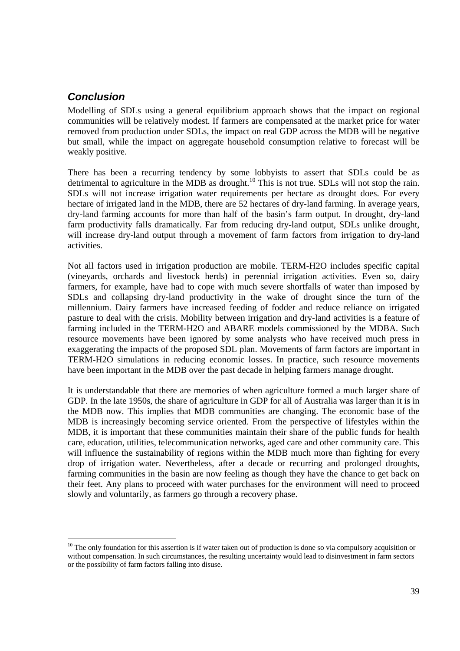### *Conclusion*

Modelling of SDLs using a general equilibrium approach shows that the impact on regional communities will be relatively modest. If farmers are compensated at the market price for water removed from production under SDLs, the impact on real GDP across the MDB will be negative but small, while the impact on aggregate household consumption relative to forecast will be weakly positive.

There has been a recurring tendency by some lobbyists to assert that SDLs could be as detrimental to agriculture in the MDB as drought.<sup>10</sup> This is not true. SDLs will not stop the rain. SDLs will not increase irrigation water requirements per hectare as drought does. For every hectare of irrigated land in the MDB, there are 52 hectares of dry-land farming. In average years, dry-land farming accounts for more than half of the basin's farm output. In drought, dry-land farm productivity falls dramatically. Far from reducing dry-land output, SDLs unlike drought, will increase dry-land output through a movement of farm factors from irrigation to dry-land activities.

Not all factors used in irrigation production are mobile. TERM-H2O includes specific capital (vineyards, orchards and livestock herds) in perennial irrigation activities. Even so, dairy farmers, for example, have had to cope with much severe shortfalls of water than imposed by SDLs and collapsing dry-land productivity in the wake of drought since the turn of the millennium. Dairy farmers have increased feeding of fodder and reduce reliance on irrigated pasture to deal with the crisis. Mobility between irrigation and dry-land activities is a feature of farming included in the TERM-H2O and ABARE models commissioned by the MDBA. Such resource movements have been ignored by some analysts who have received much press in exaggerating the impacts of the proposed SDL plan. Movements of farm factors are important in TERM-H2O simulations in reducing economic losses. In practice, such resource movements have been important in the MDB over the past decade in helping farmers manage drought.

It is understandable that there are memories of when agriculture formed a much larger share of GDP. In the late 1950s, the share of agriculture in GDP for all of Australia was larger than it is in the MDB now. This implies that MDB communities are changing. The economic base of the MDB is increasingly becoming service oriented. From the perspective of lifestyles within the MDB, it is important that these communities maintain their share of the public funds for health care, education, utilities, telecommunication networks, aged care and other community care. This will influence the sustainability of regions within the MDB much more than fighting for every drop of irrigation water. Nevertheless, after a decade or recurring and prolonged droughts, farming communities in the basin are now feeling as though they have the chance to get back on their feet. Any plans to proceed with water purchases for the environment will need to proceed slowly and voluntarily, as farmers go through a recovery phase.

 $10$  The only foundation for this assertion is if water taken out of production is done so via compulsory acquisition or without compensation. In such circumstances, the resulting uncertainty would lead to disinvestment in farm sectors or the possibility of farm factors falling into disuse.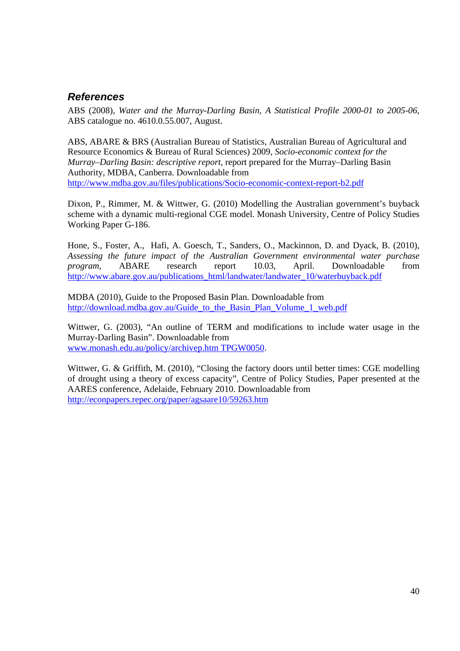### *References*

ABS (2008), *Water and the Murray-Darling Basin, A Statistical Profile 2000-01 to 2005-06*, ABS catalogue no. 4610.0.55.007, August.

ABS, ABARE & BRS (Australian Bureau of Statistics, Australian Bureau of Agricultural and Resource Economics & Bureau of Rural Sciences) 2009, *Socio-economic context for the Murray–Darling Basin: descriptive report*, report prepared for the Murray–Darling Basin Authority, MDBA, Canberra. Downloadable from http://www.mdba.gov.au/files/publications/Socio-economic-context-report-b2.pdf

Dixon, P., Rimmer, M. & Wittwer, G. (2010) Modelling the Australian government's buyback scheme with a dynamic multi-regional CGE model. Monash University, Centre of Policy Studies Working Paper G-186.

Hone, S., Foster, A., Hafi, A. Goesch, T., Sanders, O., Mackinnon, D. and Dyack, B. (2010), *Assessing the future impact of the Australian Government environmental water purchase program*, ABARE research report 10.03, April. Downloadable from http://www.abare.gov.au/publications\_html/landwater/landwater\_10/waterbuyback.pdf

MDBA (2010), Guide to the Proposed Basin Plan. Downloadable from http://download.mdba.gov.au/Guide\_to\_the\_Basin\_Plan\_Volume\_1\_web.pdf

Wittwer, G. (2003), "An outline of TERM and modifications to include water usage in the Murray-Darling Basin". Downloadable from www.monash.edu.au/policy/archivep.htm TPGW0050.

Wittwer, G. & Griffith, M. (2010), "Closing the factory doors until better times: CGE modelling of drought using a theory of excess capacity", Centre of Policy Studies, Paper presented at the AARES conference, Adelaide, February 2010. Downloadable from http://econpapers.repec.org/paper/agsaare10/59263.htm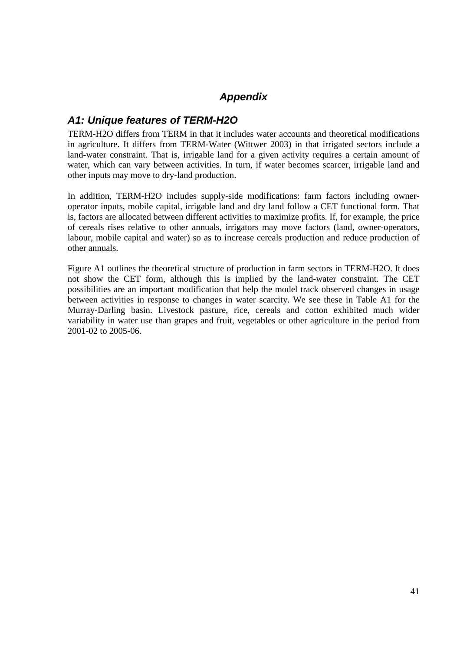### *Appendix*

### *A1: Unique features of TERM-H2O*

TERM-H2O differs from TERM in that it includes water accounts and theoretical modifications in agriculture. It differs from TERM-Water (Wittwer 2003) in that irrigated sectors include a land-water constraint. That is, irrigable land for a given activity requires a certain amount of water, which can vary between activities. In turn, if water becomes scarcer, irrigable land and other inputs may move to dry-land production.

In addition, TERM-H2O includes supply-side modifications: farm factors including owneroperator inputs, mobile capital, irrigable land and dry land follow a CET functional form. That is, factors are allocated between different activities to maximize profits. If, for example, the price of cereals rises relative to other annuals, irrigators may move factors (land, owner-operators, labour, mobile capital and water) so as to increase cereals production and reduce production of other annuals.

Figure A1 outlines the theoretical structure of production in farm sectors in TERM-H2O. It does not show the CET form, although this is implied by the land-water constraint. The CET possibilities are an important modification that help the model track observed changes in usage between activities in response to changes in water scarcity. We see these in Table A1 for the Murray-Darling basin. Livestock pasture, rice, cereals and cotton exhibited much wider variability in water use than grapes and fruit, vegetables or other agriculture in the period from 2001-02 to 2005-06.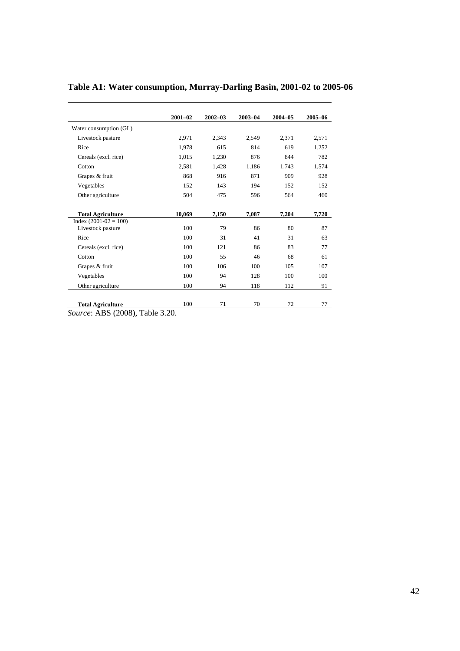|                          | $2001 - 02$ | $2002 - 03$ | $2003 - 04$ | $2004 - 05$ | 2005-06 |
|--------------------------|-------------|-------------|-------------|-------------|---------|
| Water consumption (GL)   |             |             |             |             |         |
| Livestock pasture        | 2,971       | 2,343       | 2,549       | 2,371       | 2,571   |
| Rice                     | 1.978       | 615         | 814         | 619         | 1,252   |
| Cereals (excl. rice)     | 1,015       | 1,230       | 876         | 844         | 782     |
| Cotton                   | 2,581       | 1,428       | 1,186       | 1.743       | 1,574   |
| Grapes & fruit           | 868         | 916         | 871         | 909         | 928     |
| Vegetables               | 152         | 143         | 194         | 152         | 152     |
| Other agriculture        | 504         | 475         | 596         | 564         | 460     |
|                          |             |             |             |             |         |
| <b>Total Agriculture</b> | 10,069      | 7,150       | 7,087       | 7,204       | 7,720   |
| $Index (2001-02 = 100)$  |             |             |             |             |         |
| Livestock pasture        | 100         | 79          | 86          | 80          | 87      |
| Rice                     | 100         | 31          | 41          | 31          | 63      |
| Cereals (excl. rice)     | 100         | 121         | 86          | 83          | 77      |
| Cotton                   | 100         | 55          | 46          | 68          | 61      |
| Grapes & fruit           | 100         | 106         | 100         | 105         | 107     |
| Vegetables               | 100         | 94          | 128         | 100         | 100     |
| Other agriculture        | 100         | 94          | 118         | 112         | 91      |
|                          |             |             |             |             |         |
| <b>Total Agriculture</b> | 100         | 71          | 70          | 72          | 77      |

# **Table A1: Water consumption, Murray-Darling Basin, 2001-02 to 2005-06**

*Source*: ABS (2008), Table 3.20.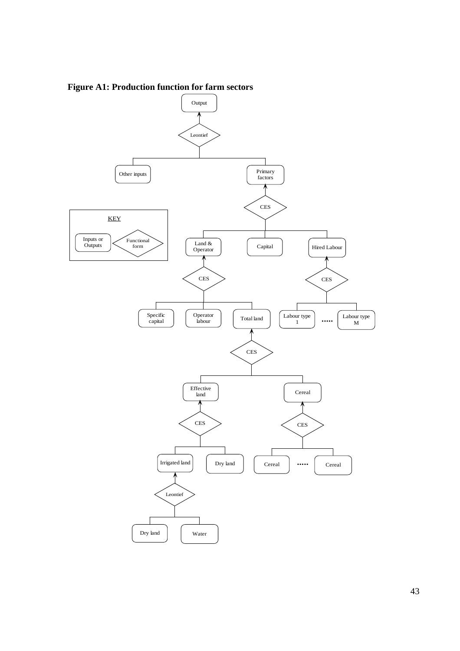

**Figure A1: Production function for farm sectors**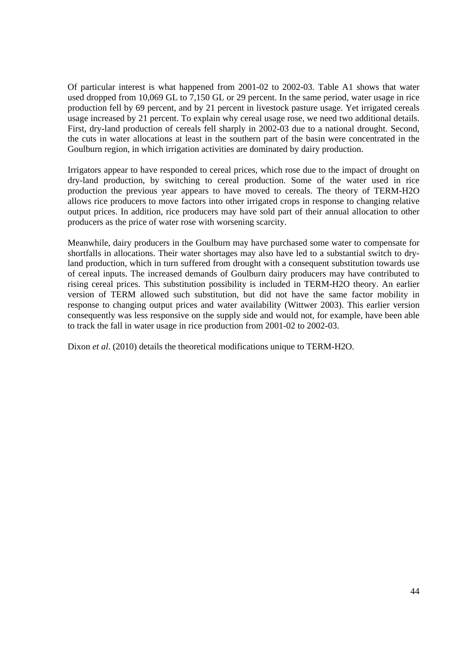Of particular interest is what happened from 2001-02 to 2002-03. Table A1 shows that water used dropped from 10,069 GL to 7,150 GL or 29 percent. In the same period, water usage in rice production fell by 69 percent, and by 21 percent in livestock pasture usage. Yet irrigated cereals usage increased by 21 percent. To explain why cereal usage rose, we need two additional details. First, dry-land production of cereals fell sharply in 2002-03 due to a national drought. Second, the cuts in water allocations at least in the southern part of the basin were concentrated in the Goulburn region, in which irrigation activities are dominated by dairy production.

Irrigators appear to have responded to cereal prices, which rose due to the impact of drought on dry-land production, by switching to cereal production. Some of the water used in rice production the previous year appears to have moved to cereals. The theory of TERM-H2O allows rice producers to move factors into other irrigated crops in response to changing relative output prices. In addition, rice producers may have sold part of their annual allocation to other producers as the price of water rose with worsening scarcity.

Meanwhile, dairy producers in the Goulburn may have purchased some water to compensate for shortfalls in allocations. Their water shortages may also have led to a substantial switch to dryland production, which in turn suffered from drought with a consequent substitution towards use of cereal inputs. The increased demands of Goulburn dairy producers may have contributed to rising cereal prices. This substitution possibility is included in TERM-H2O theory. An earlier version of TERM allowed such substitution, but did not have the same factor mobility in response to changing output prices and water availability (Wittwer 2003). This earlier version consequently was less responsive on the supply side and would not, for example, have been able to track the fall in water usage in rice production from 2001-02 to 2002-03.

Dixon *et al.* (2010) details the theoretical modifications unique to TERM-H2O.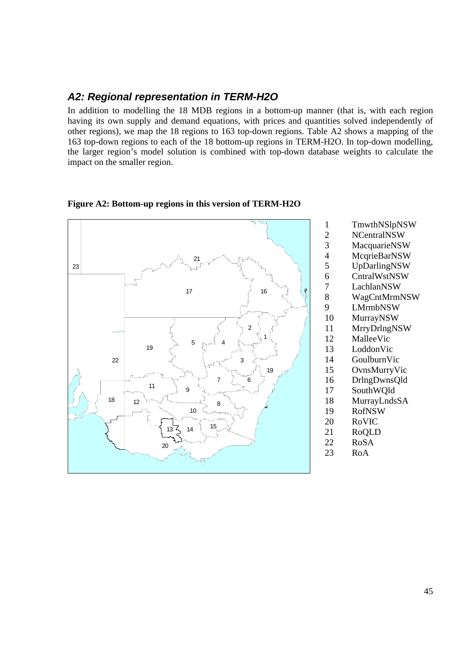### *A2: Regional representation in TERM-H2O*

In addition to modelling the 18 MDB regions in a bottom-up manner (that is, with each region having its own supply and demand equations, with prices and quantities solved independently of other regions), we map the 18 regions to 163 top-down regions. Table A2 shows a mapping of the 163 top-down regions to each of the 18 bottom-up regions in TERM-H2O. In top-down modelling, the larger region's model solution is combined with top-down database weights to calculate the impact on the smaller region.

#### **Figure A2: Bottom-up regions in this version of TERM-H2O**



- 1 TmwthNSlpNSW<br>2 NCentralNSW
- 2 NCentralNSW<br>3 MacquarieNSW
	- **MacquarieNSW**
- 4 McqrieBarNSW
- 5 UpDarlingNSW
	-
- 6 CntralWstNSW<br>7 LachlanNSW LachlanNSW
- 8 WagCntMrmNSW
- 9 LMrmbNSW
- 10 MurrayNSW
- 11 MrryDrlngNSW
- 12 MalleeVic
- 13 LoddonVic
- 14 GoulburnVic
- 15 OvnsMurryVic
- 16 DrlngDwnsQld
- 17 SouthWQld
- 18 MurrayLndsSA
- 19 RofNSW
- 20 RoVIC
- 21 RoQLD
- 22 RoSA
- 23 RoA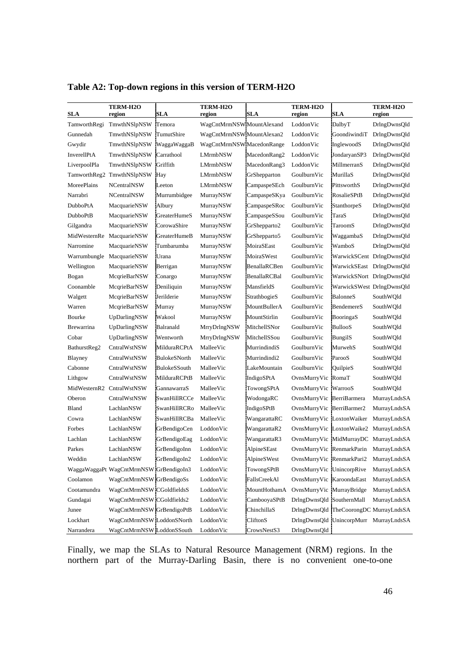| <b>SLA</b>         | <b>TERM-H2O</b><br>region              | <b>SLA</b>          | <b>TERM-H2O</b><br>region | <b>SLA</b>      | <b>TERM-H2O</b><br>region | SLA                                    | <b>TERM-H2O</b><br>region              |
|--------------------|----------------------------------------|---------------------|---------------------------|-----------------|---------------------------|----------------------------------------|----------------------------------------|
|                    | TamworthRegi TmwthNSlpNSW              | Temora              | WagCntMrmNSWMountAlexand  |                 | LoddonVic                 | DalbyT                                 | DrlngDwnsQld                           |
| Gunnedah           | TmwthNSlpNSW TumutShire                |                     | WagCntMrmNSW MountAlexan2 |                 | LoddonVic                 | GoondiwindiT                           | DrlngDwnsQld                           |
| Gwydir             | TmwthNSlpNSW                           | WaggaWaggaB         | WagCntMrmNSW MacedonRange |                 | LoddonVic                 | InglewoodS                             | DrlngDwnsQld                           |
| InverellPtA        | TmwthNSlpNSW                           | Carrathool          | <b>LMrmbNSW</b>           | MacedonRang2    | LoddonVic                 | JondaryanSP3                           | DrlngDwnsQld                           |
| LiverpoolPla       | TmwthNSlpNSW                           | Griffith            | <b>LMrmbNSW</b>           | MacedonRang3    | LoddonVic                 | MillmerranS                            | DrlngDwnsQld                           |
|                    | TamworthReg2 TmwthNSlpNSW              | Hay                 | LMrmbNSW                  | GrShepparton    | GoulburnVic               | MurillaS                               | DrlngDwnsQld                           |
| <b>MoreePlains</b> | <b>NCentralNSW</b>                     | Leeton              | <b>LMrmbNSW</b>           | CampaspeSEch    | GoulburnVic               | PittsworthS                            | DrlngDwnsQld                           |
| Narrabri           | <b>NCentralNSW</b>                     | Murrumbidgee        | MurrayNSW                 | CampaspeSKya    | GoulburnVic               | RosalieSPtB                            | DrlngDwnsQld                           |
| <b>DubboPtA</b>    | MacquarieNSW                           | Albury              | MurrayNSW                 | CampaspeSRoc    | GoulburnVic               | StanthorpeS                            | DrlngDwnsQld                           |
| <b>DubboPtB</b>    | MacquarieNSW                           | <b>GreaterHumeS</b> | MurrayNSW                 | CampaspeSSou    | GoulburnVic               | TaraS                                  | DrlngDwnsQld                           |
| Gilgandra          | MacquarieNSW                           | CorowaShire         | MurrayNSW                 | GrShepparto2    | GoulburnVic               | TaroomS                                | DrlngDwnsQld                           |
|                    | MidWesternRe MacquarieNSW              | <b>GreaterHumeB</b> | MurrayNSW                 | GrShepparto5    | GoulburnVic               | WaggambaS                              | DrlngDwnsQld                           |
| Narromine          | MacquarieNSW                           | Tumbarumba          | MurrayNSW                 | MoiraSEast      | GoulburnVic               | WamboS                                 | DrlngDwnsQld                           |
|                    | Warrumbungle MacquarieNSW              | Urana               | MurrayNSW                 | MoiraSWest      | GoulburnVic               |                                        | WarwickSCent DrlngDwnsOld              |
| Wellington         | MacquarieNSW                           | Berrigan            | MurrayNSW                 | BenallaRCBen    | GoulburnVic               |                                        | WarwickSEast DrlngDwnsQld              |
| Bogan              | McqrieBarNSW                           | Conargo             | MurrayNSW                 | BenallaRCBal    | GoulburnVic               |                                        | WarwickSNort DrlngDwnsQld              |
| Coonamble          | McqrieBarNSW                           | Deniliquin          | MurrayNSW                 | MansfieldS      | GoulburnVic               |                                        | WarwickSWest DrlngDwnsQld              |
| Walgett            | McqrieBarNSW                           | Jerilderie          | MurrayNSW                 | StrathbogieS    | GoulburnVic               | BalonneS                               | SouthWQld                              |
| Warren             | McqrieBarNSW                           | Murray              | MurrayNSW                 | MountBullerA    | GoulburnVic               | BendemereS                             | SouthWQld                              |
| Bourke             | UpDarlingNSW                           | Wakool              | MurrayNSW                 | MountStirlin    | GoulburnVic               | BooringaS                              | SouthWQld                              |
| Brewarrina         | UpDarlingNSW                           | Balranald           | MrryDrlngNSW              | MitchellSNor    | GoulburnVic               | BullooS                                | SouthWQld                              |
| Cobar              | UpDarlingNSW                           | Wentworth           | MrryDrlngNSW              | MitchellSSou    | GoulburnVic               | BungilS                                | SouthWQld                              |
| BathurstReg2       | CntralWstNSW                           | MilduraRCPtA        | MalleeVic                 | MurrindindiS    | GoulburnVic               | MurwehS                                | SouthWQld                              |
| Blayney            | CntralWstNSW                           | BulokeSNorth        | MalleeVic                 | Murrindindi2    | GoulburnVic               | ParooS                                 | SouthWQld                              |
| Cabonne            | CntralWstNSW                           | BulokeSSouth        | MalleeVic                 | LakeMountain    | GoulburnVic               | QuilpieS                               | SouthWQld                              |
| Lithgow            | CntralWstNSW                           | MilduraRCPtB        | MalleeVic                 | IndigoSPtA      | OvnsMurryVic RomaT        |                                        | SouthWQld                              |
|                    | MidWesternR2 CntralWstNSW              | GannawarraS         | MalleeVic                 | TowongSPtA      | OvnsMurryVic  WarrooS     |                                        | SouthWQld                              |
| Oberon             | CntralWstNSW                           | SwanHillRCCe        | MalleeVic                 | WodongaRC       | OvnsMurryVic BerriBarmera |                                        | MurrayLndsSA                           |
| Bland              | LachlanNSW                             | SwanHillRCRo        | MalleeVic                 | IndigoSPtB      | OvnsMurryVic BerriBarmer2 |                                        | MurrayLndsSA                           |
| Cowra              | LachlanNSW                             | <b>SwanHillRCBa</b> | MalleeVic                 | WangarattaRC    | OvnsMurryVic LoxtonWaiker |                                        | MurrayLndsSA                           |
| Forbes             | LachlanNSW                             | GrBendigoCen        | LoddonVic                 | WangarattaR2    |                           |                                        | OvnsMurryVic LoxtonWaike2 MurrayLndsSA |
| Lachlan            | LachlanNSW                             | GrBendigoEag        | LoddonVic                 | WangarattaR3    |                           |                                        | OvnsMurryVic MidMurrayDC MurrayLndsSA  |
| Parkes             | LachlanNSW                             | GrBendigoInn        | LoddonVic                 | AlpineSEast     |                           | OvnsMurryVic RenmarkParin MurrayLndsSA |                                        |
| Weddin             | LachlanNSW                             | GrBendigoIn2        | LoddonVic                 | AlpineSWest     | OvnsMurryVic RenmarkPari2 |                                        | MurrayLndsSA                           |
|                    | WaggaWaggaPt WagCntMrmNSW GrBendigoIn3 |                     | LoddonVic                 | TowongSPtB      | OvnsMurryVic UnincorpRive |                                        | MurrayLndsSA                           |
| Coolamon           | WagCntMrmNSW GrBendigoSs               |                     | LoddonVic                 | FallsCreekAl    | OvnsMurryVic KaroondaEast |                                        | MurrayLndsSA                           |
| Cootamundra        | WagCntMrmNSW CGoldfieldsS              |                     | LoddonVic                 | MountHothamA    | OvnsMurryVic MurrayBridge |                                        | MurrayLndsSA                           |
| Gundagai           | WagCntMrmNSW CGoldfields2              |                     | LoddonVic                 | CambooyaSPtB    | DrlngDwnsQld SouthernMall |                                        | MurrayLndsSA                           |
| Junee              | WagCntMrmNSW GrBendigoPtB              |                     | LoddonVic                 | ChinchillaS     |                           | DrlngDwnsQld TheCoorongDC MurrayLndsSA |                                        |
| Lockhart           | WagCntMrmNSW LoddonSNorth              |                     | LoddonVic                 | <b>CliftonS</b> |                           | DrlngDwnsQld UnincorpMurr MurrayLndsSA |                                        |
| Narrandera         | WagCntMrmNSW LoddonSSouth              |                     | LoddonVic                 | CrowsNestS3     | DrlngDwnsQld              |                                        |                                        |

**Table A2: Top-down regions in this version of TERM-H2O** 

Finally, we map the SLAs to Natural Resource Management (NRM) regions. In the northern part of the Murray-Darling Basin, there is no convenient one-to-one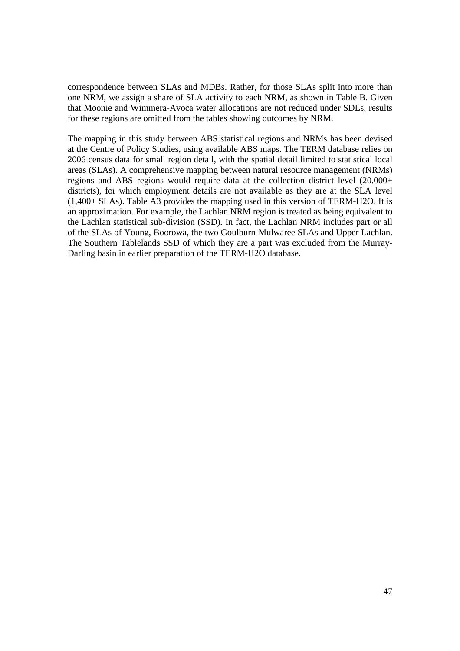correspondence between SLAs and MDBs. Rather, for those SLAs split into more than one NRM, we assign a share of SLA activity to each NRM, as shown in Table B. Given that Moonie and Wimmera-Avoca water allocations are not reduced under SDLs, results for these regions are omitted from the tables showing outcomes by NRM.

The mapping in this study between ABS statistical regions and NRMs has been devised at the Centre of Policy Studies, using available ABS maps. The TERM database relies on 2006 census data for small region detail, with the spatial detail limited to statistical local areas (SLAs). A comprehensive mapping between natural resource management (NRMs) regions and ABS regions would require data at the collection district level (20,000+ districts), for which employment details are not available as they are at the SLA level (1,400+ SLAs). Table A3 provides the mapping used in this version of TERM-H2O. It is an approximation. For example, the Lachlan NRM region is treated as being equivalent to the Lachlan statistical sub-division (SSD). In fact, the Lachlan NRM includes part or all of the SLAs of Young, Boorowa, the two Goulburn-Mulwaree SLAs and Upper Lachlan. The Southern Tablelands SSD of which they are a part was excluded from the Murray-Darling basin in earlier preparation of the TERM-H2O database.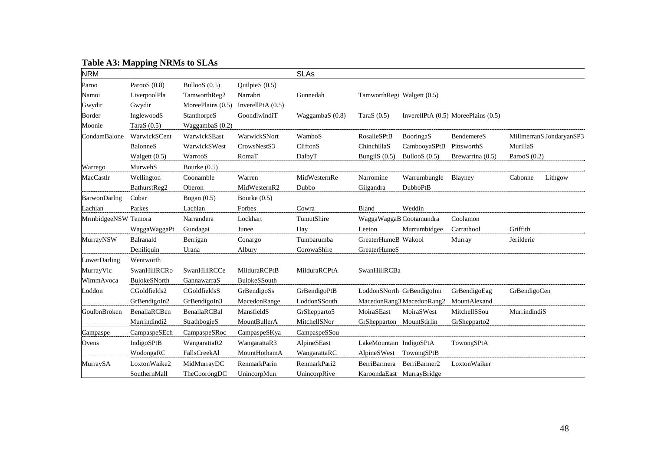### **Table A3: Mapping NRMs to SLAs**

| <b>NRM</b>   |                     |                     |                     | <b>SLAs</b>       |                            |                           |                                         |                |                          |
|--------------|---------------------|---------------------|---------------------|-------------------|----------------------------|---------------------------|-----------------------------------------|----------------|--------------------------|
| Paroo        | ParooS $(0.8)$      | BullooS $(0.5)$     | QuilpieS $(0.5)$    |                   |                            |                           |                                         |                |                          |
| Namoi        | LiverpoolPla        | TamworthReg2        | Narrabri            | Gunnedah          | TamworthRegi Walgett (0.5) |                           |                                         |                |                          |
| Gwydir       | Gwydir              | MoreePlains $(0.5)$ | InverellPtA $(0.5)$ |                   |                            |                           |                                         |                |                          |
| Border       | InglewoodS          | StanthorpeS         | GoondiwindiT        | WaggambaS $(0.8)$ | Tara $S(0.5)$              |                           | InverellPtA $(0.5)$ MoreePlains $(0.5)$ |                |                          |
| Moonie       | TaraS $(0.5)$       | WaggambaS (0.2)     |                     |                   |                            |                           |                                         |                |                          |
| CondamBalone | WarwickSCent        | WarwickSEast        | WarwickSNort        | WamboS            | RosalieSPtB                | BooringaS                 | BendemereS                              |                | MillmerranS JondaryanSP3 |
|              | BalonneS            | WarwickSWest        | CrowsNestS3         | CliftonS          | ChinchillaS                | CambooyaSPtB              | PittsworthS                             | MurillaS       |                          |
|              | Walgett $(0.5)$     | WarrooS             | RomaT               | DalbyT            | BungilS (0.5)              | BullooS $(0.5)$           | Brewarrina (0.5)                        | ParooS $(0.2)$ |                          |
| Warrego      | MurwehS             | Bourke $(0.5)$      |                     |                   |                            |                           |                                         |                |                          |
| MacCastlr    | Wellington          | Coonamble           | Warren              | MidWesternRe      | Narromine                  | Warrumbungle              | Blayney                                 | Cabonne        | Lithgow                  |
|              | BathurstReg2        | Oberon              | MidWesternR2        | Dubbo             | Gilgandra                  | <b>DubboPtB</b>           |                                         |                |                          |
| BarwonDarlng | Cobar               | Bogan $(0.5)$       | Bourke $(0.5)$      |                   |                            |                           |                                         |                |                          |
| Lachlan      | Parkes              | Lachlan             | Forbes              | Cowra             | Bland                      | Weddin                    |                                         |                |                          |
| MrmbidgeeNSW | Temora              | Narrandera          | Lockhart            | TumutShire        | WaggaWaggaB Cootamundra    |                           | Coolamon                                |                |                          |
|              | WaggaWaggaPt        | Gundagai            | Junee               | Hay               | Leeton                     | Murrumbidgee              | Carrathool                              | Griffith       |                          |
| MurrayNSW    | Balranald           | Berrigan            | Conargo             | Tumbarumba        | GreaterHumeB Wakool        |                           | Murray                                  | Jerilderie     |                          |
|              | Deniliquin          | Urana               | Albury              | CorowaShire       | GreaterHumeS               |                           |                                         |                |                          |
| LowerDarling | Wentworth           |                     |                     |                   |                            |                           |                                         |                |                          |
| MurrayVic    | SwanHillRCRo        | SwanHillRCCe        | MilduraRCPtB        | MilduraRCPtA      | SwanHillRCBa               |                           |                                         |                |                          |
| WimmAvoca    | <b>BulokeSNorth</b> | GannawarraS         | BulokeSSouth        |                   |                            |                           |                                         |                |                          |
| Loddon       | CGoldfields2        | CGoldfieldsS        | GrBendigoSs         | GrBendigoPtB      |                            | LoddonSNorth GrBendigoInn | GrBendigoEag                            | GrBendigoCen   |                          |
|              | GrBendigoIn2        | GrBendigoIn3        | MacedonRange        | LoddonSSouth      |                            | MacedonRang3 MacedonRang2 | MountAlexand                            |                |                          |
| GoulbnBroken | BenallaRCBen        | BenallaRCBal        | MansfieldS          | GrShepparto5      | MoiraSEast                 | MoiraSWest                | MitchellSSou                            | MurrindindiS   |                          |
|              | Murrindindi2        | StrathbogieS        | MountBullerA        | MitchellSNor      | GrShepparton MountStirlin  |                           | GrShepparto2                            |                |                          |
| Campaspe     | CampaspeSEch        | CampaspeSRoc        | CampaspeSKya        | CampaspeSSou      |                            |                           |                                         |                |                          |
| Ovens        | IndigoSPtB          | WangarattaR2        | WangarattaR3        | AlpineSEast       | LakeMountain IndigoSPtA    |                           | TowongSPtA                              |                |                          |
|              | WodongaRC           | FallsCreekAl        | MountHothamA        | WangarattaRC      | AlpineSWest TowongSPtB     |                           |                                         |                |                          |
| MurraySA     | LoxtonWaike2        | MidMurrayDC         | <b>RenmarkParin</b> | RenmarkPari2      | BerriBarmera               | BerriBarmer2              | LoxtonWaiker                            |                |                          |
|              | SouthernMall        | TheCoorongDC        | UnincorpMurr        | UnincorpRive      | KaroondaEast MurrayBridge  |                           |                                         |                |                          |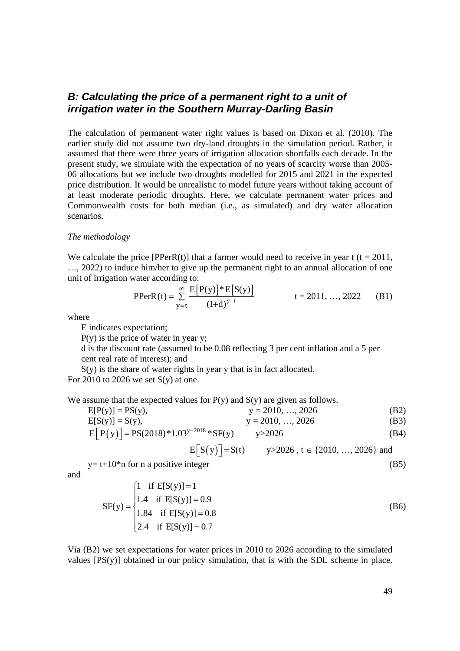#### *B: Calculating the price of a permanent right to a unit of irrigation water in the Southern Murray-Darling Basin*

The calculation of permanent water right values is based on Dixon et al. (2010). The earlier study did not assume two dry-land droughts in the simulation period. Rather, it assumed that there were three years of irrigation allocation shortfalls each decade. In the present study, we simulate with the expectation of no years of scarcity worse than 2005- 06 allocations but we include two droughts modelled for 2015 and 2021 in the expected price distribution. It would be unrealistic to model future years without taking account of at least moderate periodic droughts. Here, we calculate permanent water prices and Commonwealth costs for both median (i.e., as simulated) and dry water allocation scenarios.

#### *The methodology*

We calculate the price  $[PPerR(t)]$  that a farmer would need to receive in year t (t = 2011, …, 2022) to induce him/her to give up the permanent right to an annual allocation of one unit of irrigation water according to:

$$
PPerR(t) = \sum_{y=t}^{\infty} \frac{E[P(y)]^* E[S(y)]}{(1+d)^{y-t}} \qquad t = 2011, ..., 2022 \qquad (B1)
$$

where

E indicates expectation;

 $P(y)$  is the price of water in year y;

d is the discount rate (assumed to be 0.08 reflecting 3 per cent inflation and a 5 per cent real rate of interest); and

S(y) is the share of water rights in year y that is in fact allocated.

For 2010 to 2026 we set  $S(y)$  at one.

We assume that the expected values for  $P(y)$  and  $S(y)$  are given as follows.

| $E[P(y)] = PS(y),$                                | $y = 2010, , 2026$ | (B2) |
|---------------------------------------------------|--------------------|------|
| $E[S(y)] = S(y)$ ,                                | $y = 2010, , 2026$ | (B3) |
| $E[P(y)] = PS(2018)*1.03^{y-2018} * SF(y)$ y>2026 |                    | (B4) |

$$
E[S(y)] = S(t) \qquad y > 2026, t \in \{2010, ..., 2026\} \text{ and}
$$

 $y= t+10*n$  for n a positive integer (B5)

and

$$
SF(y) = \begin{cases} 1 & \text{if } E[S(y)] = 1 \\ 1.4 & \text{if } E[S(y)] = 0.9 \\ 1.84 & \text{if } E[S(y)] = 0.8 \\ 2.4 & \text{if } E[S(y)] = 0.7 \end{cases}
$$
 (B6)

Via (B2) we set expectations for water prices in 2010 to 2026 according to the simulated values  $[PS(y)]$  obtained in our policy simulation, that is with the SDL scheme in place.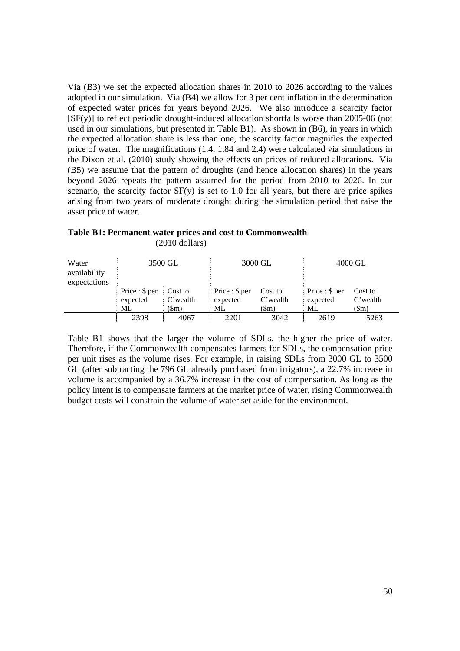Via (B3) we set the expected allocation shares in 2010 to 2026 according to the values adopted in our simulation. Via (B4) we allow for 3 per cent inflation in the determination of expected water prices for years beyond 2026. We also introduce a scarcity factor [SF(y)] to reflect periodic drought-induced allocation shortfalls worse than 2005-06 (not used in our simulations, but presented in Table B1). As shown in (B6), in years in which the expected allocation share is less than one, the scarcity factor magnifies the expected price of water. The magnifications (1.4, 1.84 and 2.4) were calculated via simulations in the Dixon et al. (2010) study showing the effects on prices of reduced allocations. Via (B5) we assume that the pattern of droughts (and hence allocation shares) in the years beyond 2026 repeats the pattern assumed for the period from 2010 to 2026. In our scenario, the scarcity factor  $SF(y)$  is set to 1.0 for all years, but there are price spikes arising from two years of moderate drought during the simulation period that raise the asset price of water.

#### **Table B1: Permanent water prices and cost to Commonwealth**  (2010 dollars)

| Water<br>availability<br>expectations |                                                                                    | 3500 GL                       |                                                  | 3000 GL                     | 4000 GL                                          |                             |  |
|---------------------------------------|------------------------------------------------------------------------------------|-------------------------------|--------------------------------------------------|-----------------------------|--------------------------------------------------|-----------------------------|--|
|                                       | $\frac{1}{2}$ Price : \$ per $\frac{1}{2}$ Cost to<br>$\frac{1}{2}$ expected<br>ML | $\therefore$ C'wealth<br>(Sm) | $\frac{1}{2}$ Price : \$ per<br>: expected<br>ML | Cost to<br>C'wealth<br>(Sm) | $\frac{1}{2}$ Price : \$ per<br>expected<br>. ML | Cost to<br>C'wealth<br>(Sm) |  |
|                                       | 2398                                                                               | 4067                          | 2201                                             | 3042                        | 2619                                             | 5263                        |  |

Table B1 shows that the larger the volume of SDLs, the higher the price of water. Therefore, if the Commonwealth compensates farmers for SDLs, the compensation price per unit rises as the volume rises. For example, in raising SDLs from 3000 GL to 3500 GL (after subtracting the 796 GL already purchased from irrigators), a 22.7% increase in volume is accompanied by a 36.7% increase in the cost of compensation. As long as the policy intent is to compensate farmers at the market price of water, rising Commonwealth budget costs will constrain the volume of water set aside for the environment.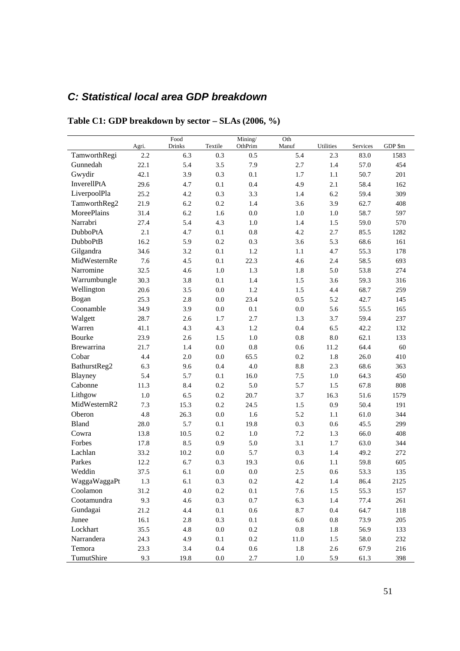## *C: Statistical local area GDP breakdown*

|                 |       | Food   |         | Mining/ | Oth      |           |          |         |
|-----------------|-------|--------|---------|---------|----------|-----------|----------|---------|
|                 | Agri. | Drinks | Textile | OthPrim | Manuf    | Utilities | Services | GDP \$m |
| TamworthRegi    | 2.2   | 6.3    | 0.3     | 0.5     | 5.4      | 2.3       | 83.0     | 1583    |
| Gunnedah        | 22.1  | 5.4    | 3.5     | 7.9     | 2.7      | 1.4       | 57.0     | 454     |
| Gwydir          | 42.1  | 3.9    | 0.3     | 0.1     | 1.7      | 1.1       | 50.7     | 201     |
| InverellPtA     | 29.6  | 4.7    | 0.1     | 0.4     | 4.9      | 2.1       | 58.4     | 162     |
| LiverpoolPla    | 25.2  | 4.2    | 0.3     | 3.3     | 1.4      | 6.2       | 59.4     | 309     |
| TamworthReg2    | 21.9  | 6.2    | $0.2\,$ | 1.4     | 3.6      | 3.9       | 62.7     | 408     |
| MoreePlains     | 31.4  | 6.2    | 1.6     | 0.0     | 1.0      | 1.0       | 58.7     | 597     |
| Narrabri        | 27.4  | 5.4    | 4.3     | 1.0     | 1.4      | 1.5       | 59.0     | 570     |
| DubboPtA        | 2.1   | 4.7    | 0.1     | 0.8     | 4.2      | 2.7       | 85.5     | 1282    |
| <b>DubboPtB</b> | 16.2  | 5.9    | $0.2\,$ | 0.3     | 3.6      | 5.3       | 68.6     | 161     |
| Gilgandra       | 34.6  | 3.2    | 0.1     | 1.2     | 1.1      | 4.7       | 55.3     | 178     |
| MidWesternRe    | 7.6   | 4.5    | 0.1     | 22.3    | 4.6      | 2.4       | 58.5     | 693     |
| Narromine       | 32.5  | 4.6    | 1.0     | 1.3     | 1.8      | 5.0       | 53.8     | 274     |
| Warrumbungle    | 30.3  | 3.8    | 0.1     | 1.4     | 1.5      | 3.6       | 59.3     | 316     |
| Wellington      | 20.6  | 3.5    | 0.0     | 1.2     | 1.5      | 4.4       | 68.7     | 259     |
| Bogan           | 25.3  | 2.8    | 0.0     | 23.4    | 0.5      | 5.2       | 42.7     | 145     |
| Coonamble       | 34.9  | 3.9    | 0.0     | 0.1     | 0.0      | 5.6       | 55.5     | 165     |
| Walgett         | 28.7  | 2.6    | 1.7     | 2.7     | 1.3      | 3.7       | 59.4     | 237     |
| Warren          | 41.1  | 4.3    | 4.3     | 1.2     | 0.4      | 6.5       | 42.2     | 132     |
| Bourke          | 23.9  | 2.6    | 1.5     | 1.0     | 0.8      | 8.0       | 62.1     | 133     |
| Brewarrina      | 21.7  | 1.4    | 0.0     | 0.8     | 0.6      | 11.2      | 64.4     | 60      |
| Cobar           | 4.4   | 2.0    | 0.0     | 65.5    | 0.2      | 1.8       | 26.0     | 410     |
| BathurstReg2    | 6.3   | 9.6    | 0.4     | 4.0     | 8.8      | 2.3       | 68.6     | 363     |
| Blayney         | 5.4   | 5.7    | 0.1     | 16.0    | 7.5      | 1.0       | 64.3     | 450     |
| Cabonne         | 11.3  | 8.4    | $0.2\,$ | 5.0     | 5.7      | 1.5       | 67.8     | 808     |
| Lithgow         | 1.0   | 6.5    | 0.2     | 20.7    | 3.7      | 16.3      | 51.6     | 1579    |
| MidWesternR2    | 7.3   | 15.3   | $0.2\,$ | 24.5    | 1.5      | 0.9       | 50.4     | 191     |
| Oberon          | 4.8   | 26.3   | 0.0     | 1.6     | 5.2      | 1.1       | 61.0     | 344     |
| <b>Bland</b>    | 28.0  | 5.7    | 0.1     | 19.8    | 0.3      | 0.6       | 45.5     | 299     |
| Cowra           | 13.8  | 10.5   | 0.2     | 1.0     | 7.2      | 1.3       | 66.0     | 408     |
| Forbes          | 17.8  | 8.5    | 0.9     | 5.0     | 3.1      | 1.7       | 63.0     | 344     |
| Lachlan         | 33.2  | 10.2   | 0.0     | 5.7     | 0.3      | 1.4       | 49.2     | 272     |
| Parkes          | 12.2  | 6.7    | 0.3     | 19.3    | 0.6      | 1.1       | 59.8     | 605     |
| Weddin          | 37.5  | 6.1    | 0.0     | 0.0     | 2.5      | 0.6       | 53.3     | 135     |
| WaggaWaggaPt    | 1.3   | 6.1    | 0.3     | 0.2     | 4.2      | 1.4       | 86.4     | 2125    |
| Coolamon        | 31.2  | 4.0    | 0.2     | 0.1     | 7.6      | 1.5       | 55.3     | 157     |
| Cootamundra     | 9.3   | 4.6    | 0.3     | 0.7     | 6.3      | 1.4       | 77.4     | 261     |
| Gundagai        | 21.2  | 4.4    | $0.1\,$ | 0.6     | 8.7      | 0.4       | 64.7     | 118     |
| Junee           | 16.1  | 2.8    | 0.3     | 0.1     | $6.0\,$  | $0.8\,$   | 73.9     | 205     |
| Lockhart        | 35.5  | 4.8    | $0.0\,$ | 0.2     | $0.8\,$  | $1.8\,$   | 56.9     | 133     |
| Narrandera      | 24.3  | 4.9    | 0.1     | $0.2\,$ | $11.0\,$ | 1.5       | 58.0     | 232     |
| Temora          | 23.3  | 3.4    | $0.4\,$ | $0.6\,$ | $1.8\,$  | $2.6\,$   | 67.9     | 216     |
| TumutShire      |       |        |         | 2.7     | $1.0\,$  | 5.9       | 61.3     | 398     |

**Table C1: GDP breakdown by sector – SLAs (2006, %)**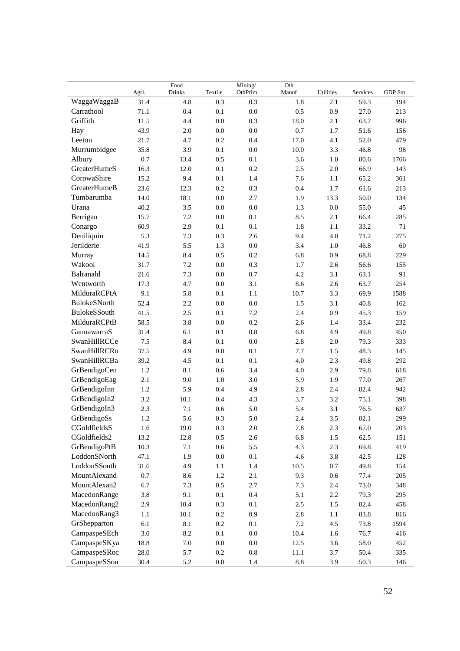|                     | Agri.   | Food<br><b>Drinks</b> | Textile | Mining/<br>OthPrim | Oth<br>Manuf | Utilities | Services | GDP \$m |
|---------------------|---------|-----------------------|---------|--------------------|--------------|-----------|----------|---------|
| WaggaWaggaB         | 31.4    | 4.8                   | 0.3     | 0.3                | 1.8          | 2.1       | 59.3     | 194     |
| Carrathool          | 71.1    | 0.4                   | 0.1     | $0.0\,$            | 0.5          | 0.9       | 27.0     | 213     |
| Griffith            | 11.5    | 4.4                   | $0.0\,$ | 0.3                | 18.0         | 2.1       | 63.7     | 996     |
| Hay                 | 43.9    | 2.0                   | 0.0     | 0.0                | 0.7          | 1.7       | 51.6     | 156     |
| Leeton              | 21.7    | 4.7                   | 0.2     | 0.4                | 17.0         | 4.1       | 52.0     | 479     |
| Murrumbidgee        | 35.8    | 3.9                   | 0.1     | 0.0                | 10.0         | 3.3       | 46.8     | 98      |
| Albury              | 0.7     | 13.4                  | 0.5     | 0.1                | 3.6          | 1.0       | 80.6     | 1766    |
| GreaterHumeS        | 16.3    | 12.0                  | 0.1     | 0.2                | 2.5          | $2.0\,$   | 66.9     | 143     |
| CorowaShire         | 15.2    | 9.4                   | 0.1     | 1.4                | 7.6          | 1.1       | 65.2     | 361     |
| GreaterHumeB        | 23.6    | 12.3                  | 0.2     | 0.3                | 0.4          | 1.7       | 61.6     | 213     |
| Tumbarumba          | 14.0    | 18.1                  | 0.0     | 2.7                | 1.9          | 13.3      | 50.0     | 134     |
| Urana               | 40.2    | 3.5                   | $0.0\,$ | 0.0                | 1.3          | $0.0\,$   | 55.0     | 45      |
| Berrigan            | 15.7    | 7.2                   | $0.0\,$ | 0.1                | 8.5          | 2.1       | 66.4     | 285     |
| Conargo             | 60.9    | 2.9                   | 0.1     | 0.1                | 1.8          | 1.1       | 33.2     | 71      |
| Deniliquin          | 5.3     | 7.3                   | 0.3     | 2.6                | 9.4          | 4.0       | 71.2     | 275     |
| Jerilderie          | 41.9    | 5.5                   | 1.3     | 0.0                | 3.4          | 1.0       | 46.8     | 60      |
| Murray              | 14.5    | 8.4                   | 0.5     | 0.2                | 6.8          | 0.9       | 68.8     | 229     |
| Wakool              | 31.7    | $7.2\,$               | $0.0\,$ | 0.3                | 1.7          | 2.6       | 56.6     | 155     |
| Balranald           | 21.6    | 7.3                   | 0.0     | 0.7                | 4.2          | 3.1       | 63.1     | 91      |
| Wentworth           | 17.3    | 4.7                   | 0.0     | 3.1                | 8.6          | 2.6       | 63.7     | 254     |
| MilduraRCPtA        | 9.1     | 5.8                   | 0.1     | 1.1                | 10.7         | 3.3       | 69.9     | 1588    |
| BulokeSNorth        | 52.4    | 2.2                   | $0.0\,$ | 0.0                | 1.5          | 3.1       | 40.8     | 162     |
| BulokeSSouth        | 41.5    | 2.5                   | 0.1     | 7.2                | 2.4          | 0.9       | 45.3     | 159     |
| MilduraRCPtB        | 58.5    | 3.8                   | $0.0\,$ | 0.2                | 2.6          | 1.4       | 33.4     | 232     |
| GannawarraS         | 31.4    | 6.1                   | 0.1     | $0.8\,$            | 6.8          | 4.9       | 49.8     | 450     |
| SwanHillRCCe        | 7.5     | 8.4                   | 0.1     | 0.0                | 2.8          | 2.0       | 79.3     | 333     |
| SwanHillRCRo        | 37.5    | 4.9                   | $0.0\,$ | 0.1                | 7.7          | 1.5       | 48.3     | 145     |
| <b>SwanHillRCBa</b> | 39.2    | 4.5                   | 0.1     | 0.1                | 4.0          | 2.3       | 49.8     | 292     |
| GrBendigoCen        | 1.2     | 8.1                   | 0.6     | 3.4                | 4.0          | 2.9       | 79.8     | 618     |
| GrBendigoEag        | 2.1     | 9.0                   | 1.0     | 3.0                | 5.9          | 1.9       | 77.0     | 267     |
| GrBendigoInn        | 1.2     | 5.9                   | 0.4     | 4.9                | 2.8          | 2.4       | 82.4     | 942     |
| GrBendigoIn2        | 3.2     | 10.1                  | 0.4     | 4.3                | 3.7          | 3.2       | 75.1     | 398     |
| GrBendigoIn3        | 2.3     | 7.1                   | 0.6     | 5.0                | 5.4          | 3.1       | 76.5     | 637     |
| GrBendigoSs         | 1.2     | 5.6                   | 0.3     | 5.0                | 2.4          | 3.5       | 82.1     | 299     |
| CGoldfieldsS        | 1.6     | 19.0                  | $0.3\,$ | $2.0\,$            | 7.8          | 2.3       | 67.0     | 203     |
| CGoldfields2        | 13.2    | 12.8                  | 0.5     | 2.6                | 6.8          | 1.5       | 62.5     | 151     |
| GrBendigoPtB        | 10.3    | $7.1\,$               | $0.6\,$ | 5.5                | 4.3          | 2.3       | 69.8     | 419     |
| LoddonSNorth        | 47.1    | 1.9                   | $0.0\,$ | $0.1\,$            | 4.6          | 3.8       | 42.5     | 128     |
| LoddonSSouth        | 31.6    | 4.9                   | $1.1\,$ | $1.4\,$            | 10.5         | $0.7\,$   | 49.8     | 154     |
| MountAlexand        | 0.7     | 8.6                   | $1.2\,$ | 2.1                | 9.3          | $0.6\,$   | 77.4     | 205     |
| MountAlexan2        | 6.7     | 7.3                   | $0.5\,$ | 2.7                | 7.3          | $2.4\,$   | 73.0     | 348     |
| MacedonRange        | 3.8     | 9.1                   | $0.1\,$ | $0.4\,$            | 5.1          | $2.2\,$   | 79.3     | 295     |
| MacedonRang2        | 2.9     | 10.4                  | 0.3     | $0.1\,$            | $2.5\,$      | 1.5       | 82.4     | 458     |
| MacedonRang3        | $1.1\,$ | 10.1                  | $0.2\,$ | 0.9                | 2.8          | $1.1\,$   | 83.8     | 816     |
| GrShepparton        | 6.1     | $8.1\,$               | $0.2\,$ | 0.1                | 7.2          | 4.5       | 73.8     | 1594    |
| CampaspeSEch        | $3.0\,$ | $8.2\,$               | 0.1     | $0.0\,$            | 10.4         | 1.6       | 76.7     | 416     |
| CampaspeSKya        | 18.8    | $7.0\,$               | $0.0\,$ | $0.0\,$            | 12.5         | 3.6       | 58.0     | 452     |
| CampaspeSRoc        | 28.0    | 5.7                   | $0.2\,$ | $\rm 0.8$          | 11.1         | 3.7       | 50.4     | 335     |
| CampaspeSSou        | 30.4    | $5.2\,$               | $0.0\,$ | 1.4                | $8.8\,$      | 3.9       | 50.3     | 146     |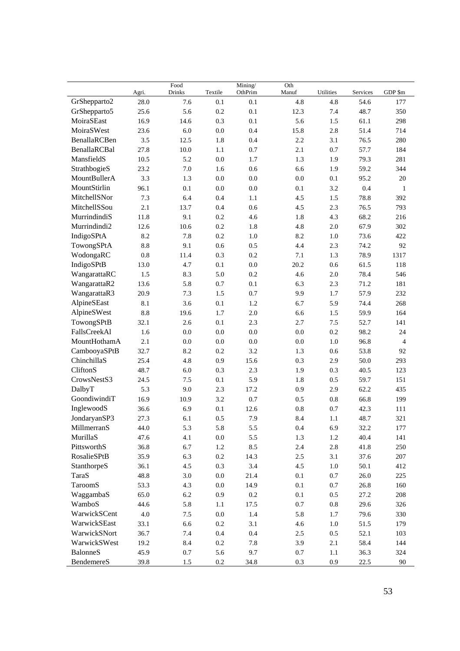|                 | Agri.   | Food<br><b>Drinks</b> | Textile | Mining/<br>OthPrim | Oth<br>Manuf | Utilities | Services | GDP \$m        |
|-----------------|---------|-----------------------|---------|--------------------|--------------|-----------|----------|----------------|
| GrShepparto2    | 28.0    | 7.6                   | 0.1     | 0.1                | 4.8          | 4.8       | 54.6     | 177            |
| GrShepparto5    | 25.6    | 5.6                   | 0.2     | 0.1                | 12.3         | 7.4       | 48.7     | 350            |
| MoiraSEast      | 16.9    | 14.6                  | 0.3     | 0.1                | 5.6          | 1.5       | 61.1     | 298            |
| MoiraSWest      | 23.6    | 6.0                   | 0.0     | 0.4                | 15.8         | 2.8       | 51.4     | 714            |
| BenallaRCBen    | 3.5     | 12.5                  | 1.8     | 0.4                | 2.2          | 3.1       | 76.5     | 280            |
| BenallaRCBal    | 27.8    | 10.0                  | 1.1     | 0.7                | 2.1          | 0.7       | 57.7     | 184            |
| MansfieldS      | 10.5    | 5.2                   | $0.0\,$ | 1.7                | 1.3          | 1.9       | 79.3     | 281            |
| StrathbogieS    | 23.2    | 7.0                   | 1.6     | 0.6                | 6.6          | 1.9       | 59.2     | 344            |
| MountBullerA    | 3.3     | 1.3                   | 0.0     | 0.0                | $0.0\,$      | 0.1       | 95.2     | 20             |
| MountStirlin    | 96.1    | 0.1                   | $0.0\,$ | 0.0                | 0.1          | 3.2       | 0.4      | 1              |
| MitchellSNor    | 7.3     | 6.4                   | 0.4     | 1.1                | 4.5          | 1.5       | 78.8     | 392            |
| MitchellSSou    | 2.1     | 13.7                  | 0.4     | 0.6                | 4.5          | 2.3       | 76.5     | 793            |
| MurrindindiS    | 11.8    | 9.1                   | 0.2     | 4.6                | 1.8          | 4.3       | 68.2     | 216            |
| Murrindindi2    | 12.6    | 10.6                  | 0.2     | 1.8                | 4.8          | $2.0\,$   | 67.9     | 302            |
| IndigoSPtA      | 8.2     | 7.8                   | 0.2     | 1.0                | 8.2          | 1.0       | 73.6     | 422            |
| TowongSPtA      | 8.8     | 9.1                   | 0.6     | 0.5                | 4.4          | 2.3       | 74.2     | 92             |
| WodongaRC       | 0.8     | 11.4                  | 0.3     | 0.2                | 7.1          | 1.3       | 78.9     | 1317           |
| IndigoSPtB      | 13.0    | 4.7                   | 0.1     | 0.0                | 20.2         | 0.6       | 61.5     | 118            |
| WangarattaRC    | 1.5     | 8.3                   | 5.0     | 0.2                | 4.6          | 2.0       | 78.4     | 546            |
| WangarattaR2    | 13.6    | 5.8                   | 0.7     | 0.1                | 6.3          | 2.3       | 71.2     | 181            |
| WangarattaR3    | 20.9    | 7.3                   | 1.5     | 0.7                | 9.9          | 1.7       | 57.9     | 232            |
| AlpineSEast     | 8.1     | 3.6                   | 0.1     | 1.2                | 6.7          | 5.9       | 74.4     | 268            |
| AlpineSWest     | 8.8     | 19.6                  | 1.7     | 2.0                | 6.6          | 1.5       | 59.9     | 164            |
| TowongSPtB      | 32.1    | 2.6                   | 0.1     | 2.3                | 2.7          | 7.5       | 52.7     | 141            |
| FallsCreekAl    | 1.6     | $0.0\,$               | 0.0     | 0.0                | $0.0\,$      | 0.2       | 98.2     | 24             |
| MountHothamA    | 2.1     | 0.0                   | 0.0     | 0.0                | 0.0          | 1.0       | 96.8     | $\overline{4}$ |
| CambooyaSPtB    | 32.7    | 8.2                   | 0.2     | 3.2                | 1.3          | 0.6       | 53.8     | 92             |
| ChinchillaS     | 25.4    | 4.8                   | 0.9     | 15.6               | 0.3          | 2.9       | 50.0     | 293            |
| CliftonS        | 48.7    | 6.0                   | 0.3     | 2.3                | 1.9          | 0.3       | 40.5     | 123            |
| CrowsNestS3     | 24.5    | 7.5                   | 0.1     | 5.9                | 1.8          | 0.5       | 59.7     | 151            |
| DalbyT          | 5.3     | 9.0                   | 2.3     | 17.2               | 0.9          | 2.9       | 62.2     | 435            |
| GoondiwindiT    | 16.9    | 10.9                  | 3.2     | 0.7                | 0.5          | 0.8       | 66.8     | 199            |
| InglewoodS      | 36.6    | 6.9                   | 0.1     | 12.6               | 0.8          | 0.7       | 42.3     | 111            |
| JondaryanSP3    | 27.3    | 6.1                   | 0.5     | 7.9                | 8.4          | 1.1       | 48.7     | 321            |
| MillmerranS     | 44.0    | 5.3                   | 5.8     | 5.5                | 0.4          | 6.9       | 32.2     | 177            |
| MurillaS        | 47.6    | 4.1                   | $0.0\,$ | 5.5                | $1.3\,$      | 1.2       | 40.4     | 141            |
| PittsworthS     | 36.8    | 6.7                   | $1.2\,$ | 8.5                | 2.4          | $2.8\,$   | 41.8     | 250            |
| RosalieSPtB     | 35.9    | 6.3                   | $0.2\,$ | 14.3               | $2.5\,$      | 3.1       | 37.6     | 207            |
| StanthorpeS     | 36.1    | 4.5                   | 0.3     | 3.4                | $4.5$        | $1.0\,$   | 50.1     | 412            |
| TaraS           | 48.8    | $3.0\,$               | $0.0\,$ | 21.4               | $0.1\,$      | 0.7       | $26.0\,$ | 225            |
| TaroomS         | 53.3    | 4.3                   | $0.0\,$ | 14.9               | $0.1\,$      | 0.7       | 26.8     | 160            |
| WaggambaS       | 65.0    | $6.2\,$               | 0.9     | $0.2\,$            | $0.1\,$      | 0.5       | 27.2     | 208            |
| WamboS          | 44.6    | 5.8                   | $1.1\,$ | 17.5               | $0.7\,$      | $0.8\,$   | 29.6     | 326            |
| WarwickSCent    | $4.0\,$ | 7.5                   | 0.0     | 1.4                | 5.8          | 1.7       | 79.6     | 330            |
| WarwickSEast    | 33.1    | 6.6                   | $0.2\,$ | 3.1                | 4.6          | $1.0\,$   | 51.5     | 179            |
| WarwickSNort    | 36.7    | 7.4                   | $0.4\,$ | $0.4\,$            | $2.5\,$      | $0.5\,$   | 52.1     | 103            |
| WarwickSWest    | 19.2    | 8.4                   | $0.2\,$ | 7.8                | 3.9          | 2.1       | 58.4     | 144            |
| <b>BalonneS</b> | 45.9    | 0.7                   | 5.6     | 9.7                | $0.7\,$      | $1.1\,$   | 36.3     | 324            |
| BendemereS      | 39.8    | 1.5                   | $0.2\,$ | 34.8               | 0.3          | 0.9       | 22.5     | $90\,$         |